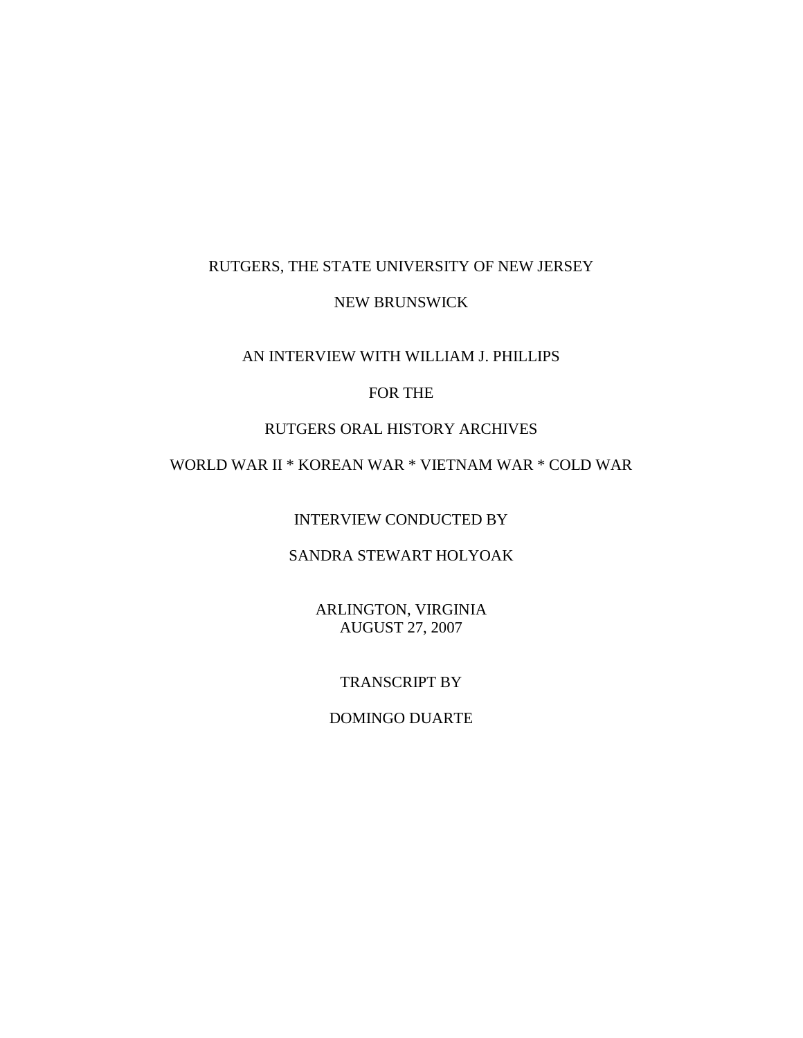## RUTGERS, THE STATE UNIVERSITY OF NEW JERSEY

### NEW BRUNSWICK

### AN INTERVIEW WITH WILLIAM J. PHILLIPS

## FOR THE

# RUTGERS ORAL HISTORY ARCHIVES

# WORLD WAR II \* KOREAN WAR \* VIETNAM WAR \* COLD WAR

INTERVIEW CONDUCTED BY

# SANDRA STEWART HOLYOAK

ARLINGTON, VIRGINIA AUGUST 27, 2007

## TRANSCRIPT BY

### DOMINGO DUARTE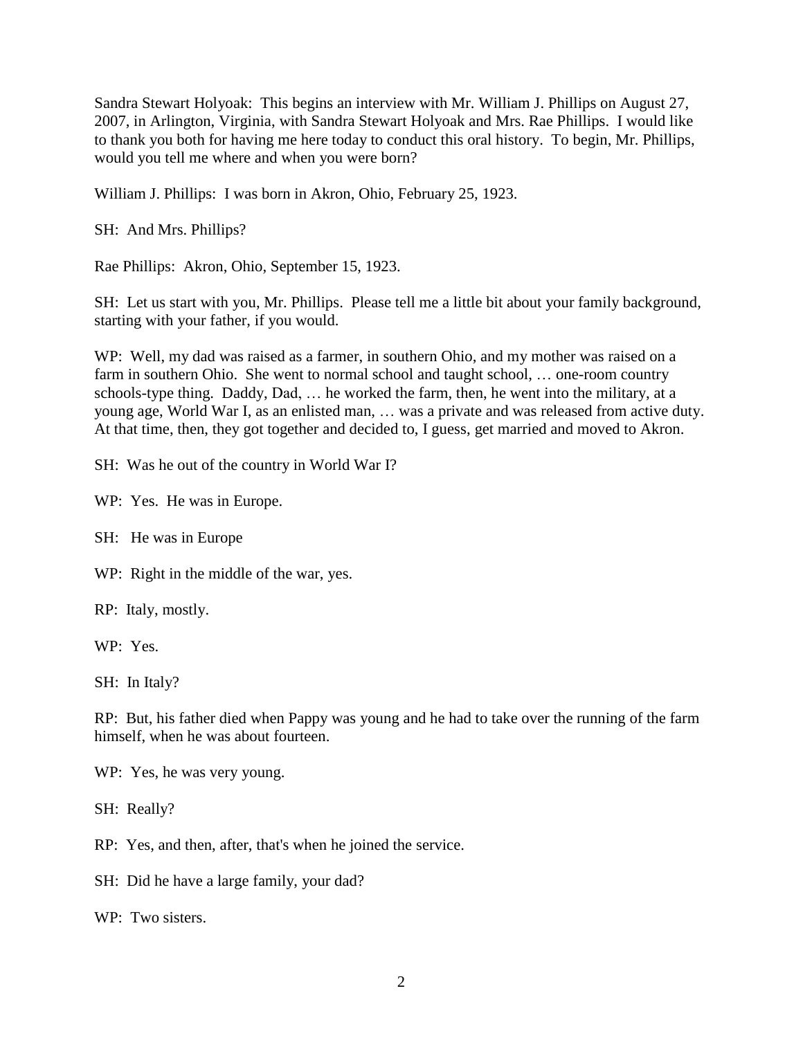Sandra Stewart Holyoak: This begins an interview with Mr. William J. Phillips on August 27, 2007, in Arlington, Virginia, with Sandra Stewart Holyoak and Mrs. Rae Phillips. I would like to thank you both for having me here today to conduct this oral history. To begin, Mr. Phillips, would you tell me where and when you were born?

William J. Phillips: I was born in Akron, Ohio, February 25, 1923.

SH: And Mrs. Phillips?

Rae Phillips: Akron, Ohio, September 15, 1923.

SH: Let us start with you, Mr. Phillips. Please tell me a little bit about your family background, starting with your father, if you would.

WP: Well, my dad was raised as a farmer, in southern Ohio, and my mother was raised on a farm in southern Ohio. She went to normal school and taught school, ... one-room country schools-type thing. Daddy, Dad, … he worked the farm, then, he went into the military, at a young age, World War I, as an enlisted man, … was a private and was released from active duty. At that time, then, they got together and decided to, I guess, get married and moved to Akron.

SH: Was he out of the country in World War I?

WP: Yes. He was in Europe.

SH: He was in Europe

WP: Right in the middle of the war, yes.

RP: Italy, mostly.

WP: Yes.

SH: In Italy?

RP: But, his father died when Pappy was young and he had to take over the running of the farm himself, when he was about fourteen.

WP: Yes, he was very young.

SH: Really?

RP: Yes, and then, after, that's when he joined the service.

SH: Did he have a large family, your dad?

WP: Two sisters.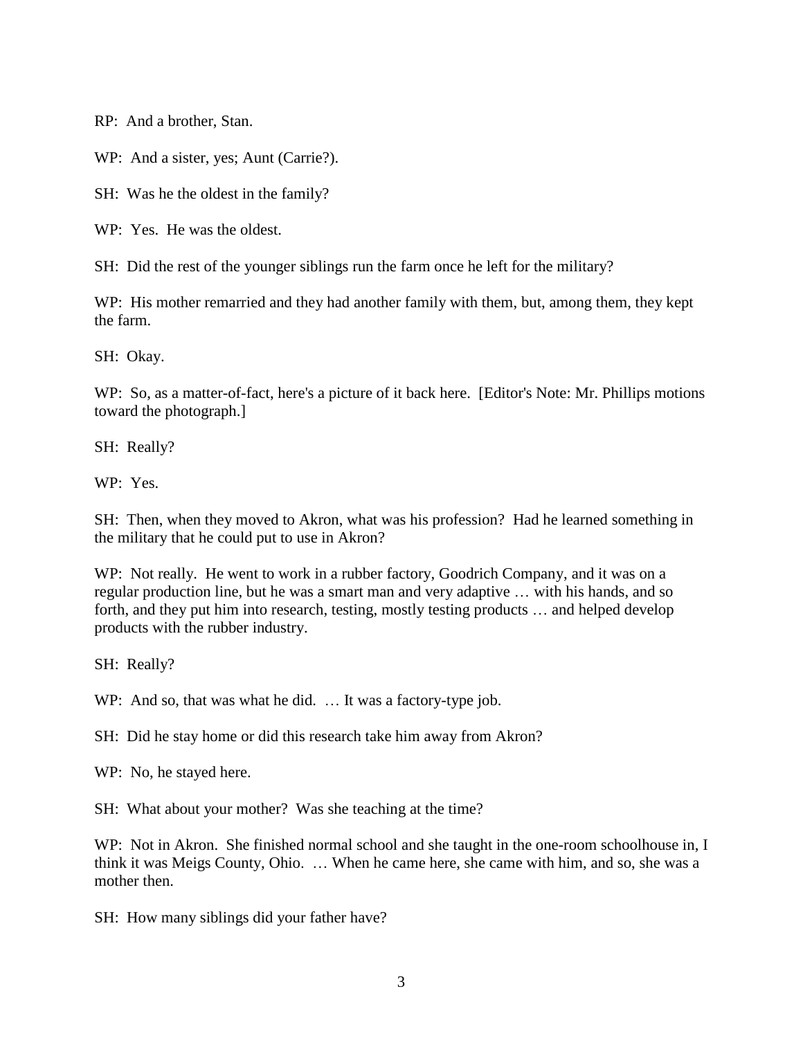RP: And a brother, Stan.

WP: And a sister, yes; Aunt (Carrie?).

SH: Was he the oldest in the family?

WP: Yes. He was the oldest.

SH: Did the rest of the younger siblings run the farm once he left for the military?

WP: His mother remarried and they had another family with them, but, among them, they kept the farm.

SH: Okay.

WP: So, as a matter-of-fact, here's a picture of it back here. [Editor's Note: Mr. Phillips motions toward the photograph.]

SH: Really?

WP: Yes.

SH: Then, when they moved to Akron, what was his profession? Had he learned something in the military that he could put to use in Akron?

WP: Not really. He went to work in a rubber factory, Goodrich Company, and it was on a regular production line, but he was a smart man and very adaptive … with his hands, and so forth, and they put him into research, testing, mostly testing products … and helped develop products with the rubber industry.

SH: Really?

WP: And so, that was what he did. ... It was a factory-type job.

SH: Did he stay home or did this research take him away from Akron?

WP: No, he stayed here.

SH: What about your mother? Was she teaching at the time?

WP: Not in Akron. She finished normal school and she taught in the one-room schoolhouse in, I think it was Meigs County, Ohio. … When he came here, she came with him, and so, she was a mother then.

SH: How many siblings did your father have?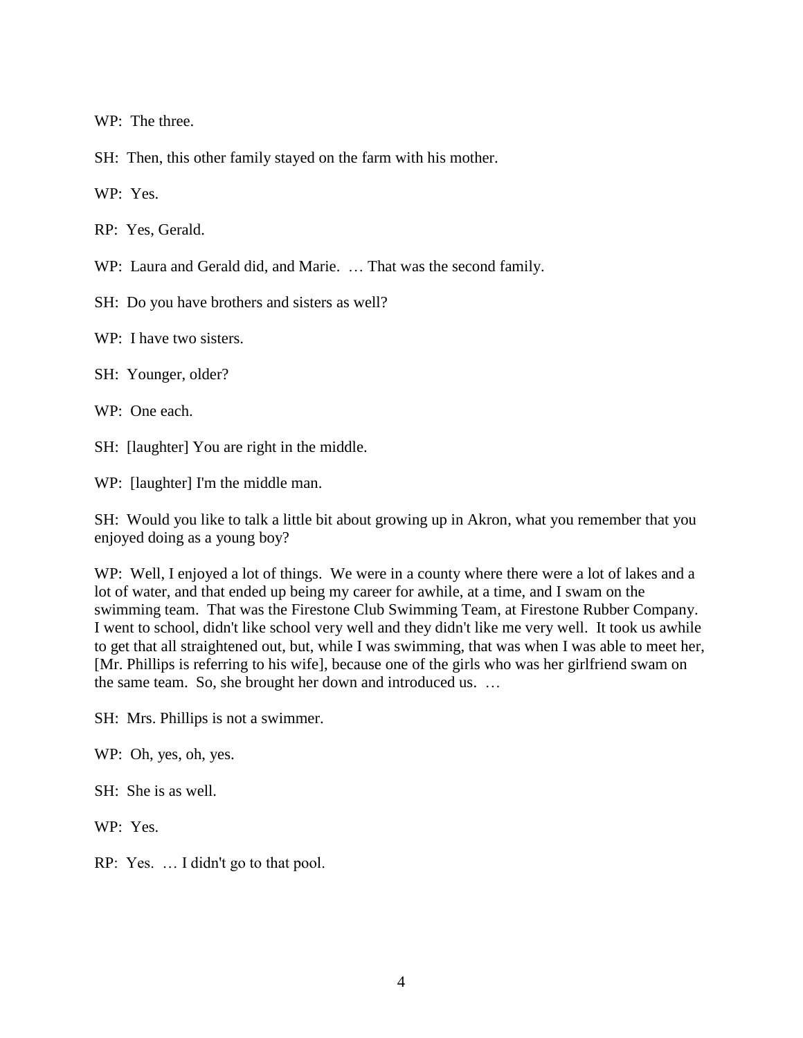WP: The three.

SH: Then, this other family stayed on the farm with his mother.

WP: Yes.

RP: Yes, Gerald.

WP: Laura and Gerald did, and Marie. … That was the second family.

SH: Do you have brothers and sisters as well?

WP: I have two sisters.

SH: Younger, older?

WP: One each.

SH: [laughter] You are right in the middle.

WP: [laughter] I'm the middle man.

SH: Would you like to talk a little bit about growing up in Akron, what you remember that you enjoyed doing as a young boy?

WP: Well, I enjoyed a lot of things. We were in a county where there were a lot of lakes and a lot of water, and that ended up being my career for awhile, at a time, and I swam on the swimming team. That was the Firestone Club Swimming Team, at Firestone Rubber Company. I went to school, didn't like school very well and they didn't like me very well. It took us awhile to get that all straightened out, but, while I was swimming, that was when I was able to meet her, [Mr. Phillips is referring to his wife], because one of the girls who was her girlfriend swam on the same team. So, she brought her down and introduced us. …

SH: Mrs. Phillips is not a swimmer.

WP: Oh, yes, oh, yes.

SH: She is as well.

WP: Yes.

RP: Yes. … I didn't go to that pool.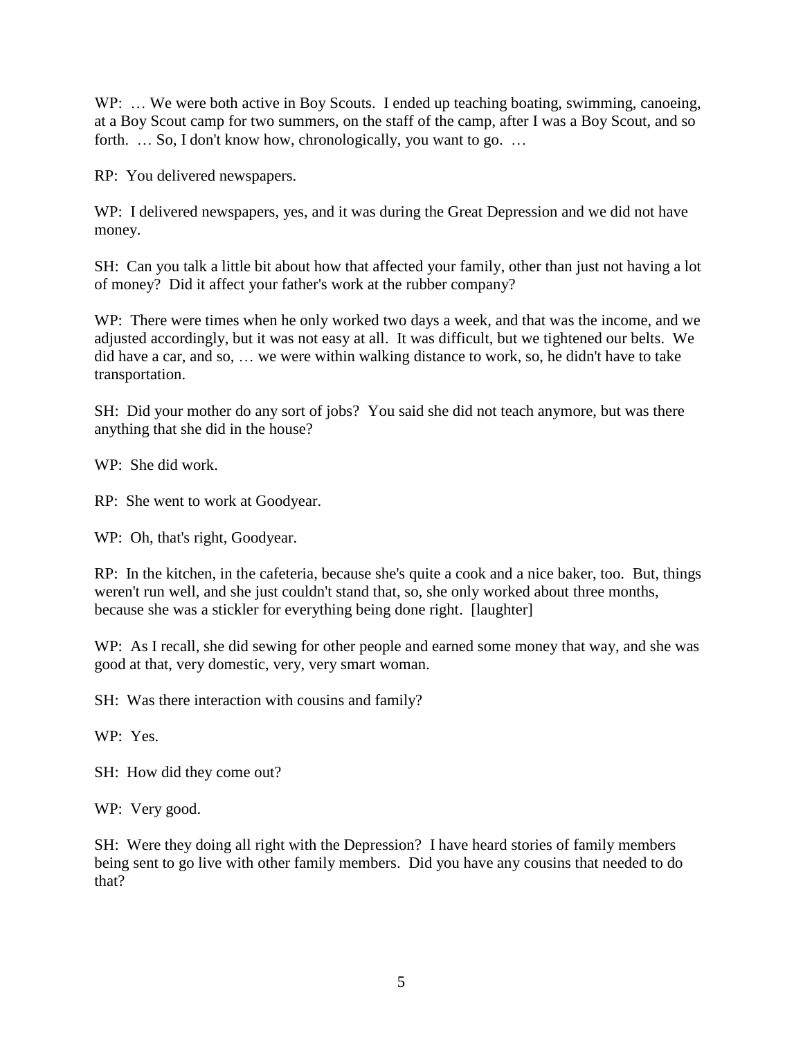WP: ... We were both active in Boy Scouts. I ended up teaching boating, swimming, canoeing, at a Boy Scout camp for two summers, on the staff of the camp, after I was a Boy Scout, and so forth. ... So, I don't know how, chronologically, you want to go. ...

RP: You delivered newspapers.

WP: I delivered newspapers, yes, and it was during the Great Depression and we did not have money.

SH: Can you talk a little bit about how that affected your family, other than just not having a lot of money? Did it affect your father's work at the rubber company?

WP: There were times when he only worked two days a week, and that was the income, and we adjusted accordingly, but it was not easy at all. It was difficult, but we tightened our belts. We did have a car, and so, … we were within walking distance to work, so, he didn't have to take transportation.

SH: Did your mother do any sort of jobs? You said she did not teach anymore, but was there anything that she did in the house?

WP: She did work.

RP: She went to work at Goodyear.

WP: Oh, that's right, Goodyear.

RP: In the kitchen, in the cafeteria, because she's quite a cook and a nice baker, too. But, things weren't run well, and she just couldn't stand that, so, she only worked about three months, because she was a stickler for everything being done right. [laughter]

WP: As I recall, she did sewing for other people and earned some money that way, and she was good at that, very domestic, very, very smart woman.

SH: Was there interaction with cousins and family?

WP: Yes.

SH: How did they come out?

WP: Very good.

SH: Were they doing all right with the Depression? I have heard stories of family members being sent to go live with other family members. Did you have any cousins that needed to do that?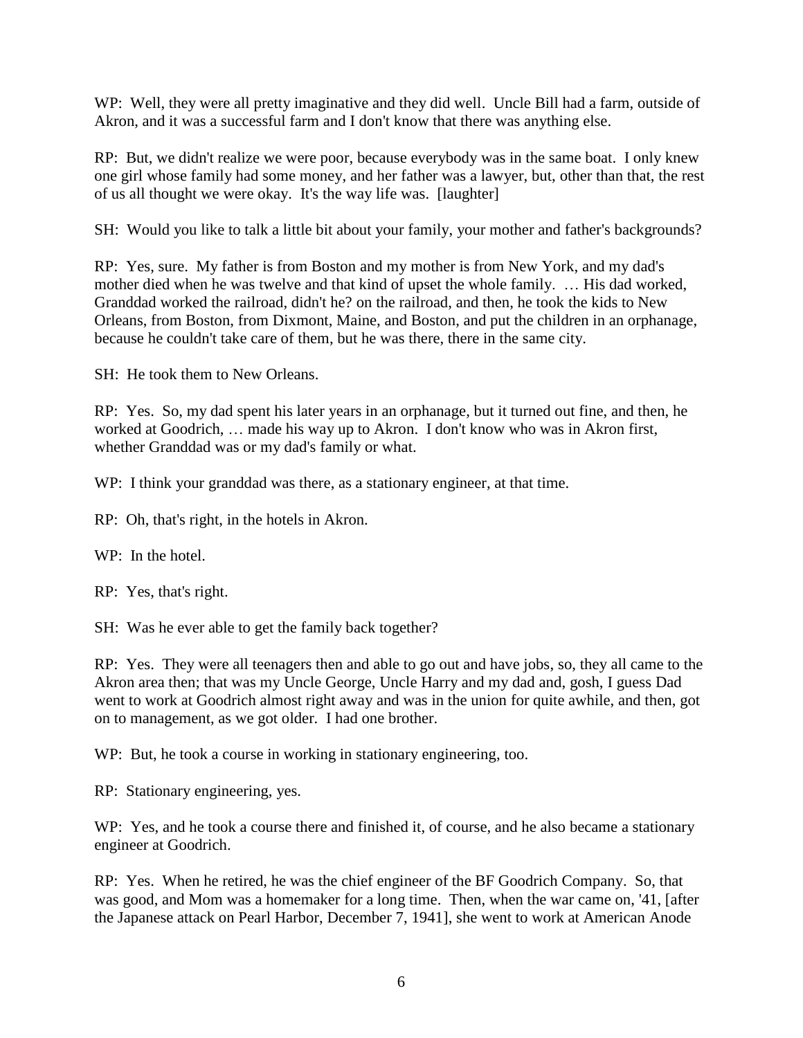WP: Well, they were all pretty imaginative and they did well. Uncle Bill had a farm, outside of Akron, and it was a successful farm and I don't know that there was anything else.

RP: But, we didn't realize we were poor, because everybody was in the same boat. I only knew one girl whose family had some money, and her father was a lawyer, but, other than that, the rest of us all thought we were okay. It's the way life was. [laughter]

SH: Would you like to talk a little bit about your family, your mother and father's backgrounds?

RP: Yes, sure. My father is from Boston and my mother is from New York, and my dad's mother died when he was twelve and that kind of upset the whole family. … His dad worked, Granddad worked the railroad, didn't he? on the railroad, and then, he took the kids to New Orleans, from Boston, from Dixmont, Maine, and Boston, and put the children in an orphanage, because he couldn't take care of them, but he was there, there in the same city.

SH: He took them to New Orleans.

RP: Yes. So, my dad spent his later years in an orphanage, but it turned out fine, and then, he worked at Goodrich, … made his way up to Akron. I don't know who was in Akron first, whether Granddad was or my dad's family or what.

WP: I think your granddad was there, as a stationary engineer, at that time.

RP: Oh, that's right, in the hotels in Akron.

WP: In the hotel.

RP: Yes, that's right.

SH: Was he ever able to get the family back together?

RP: Yes. They were all teenagers then and able to go out and have jobs, so, they all came to the Akron area then; that was my Uncle George, Uncle Harry and my dad and, gosh, I guess Dad went to work at Goodrich almost right away and was in the union for quite awhile, and then, got on to management, as we got older. I had one brother.

WP: But, he took a course in working in stationary engineering, too.

RP: Stationary engineering, yes.

WP: Yes, and he took a course there and finished it, of course, and he also became a stationary engineer at Goodrich.

RP: Yes. When he retired, he was the chief engineer of the BF Goodrich Company. So, that was good, and Mom was a homemaker for a long time. Then, when the war came on, '41, [after the Japanese attack on Pearl Harbor, December 7, 1941], she went to work at American Anode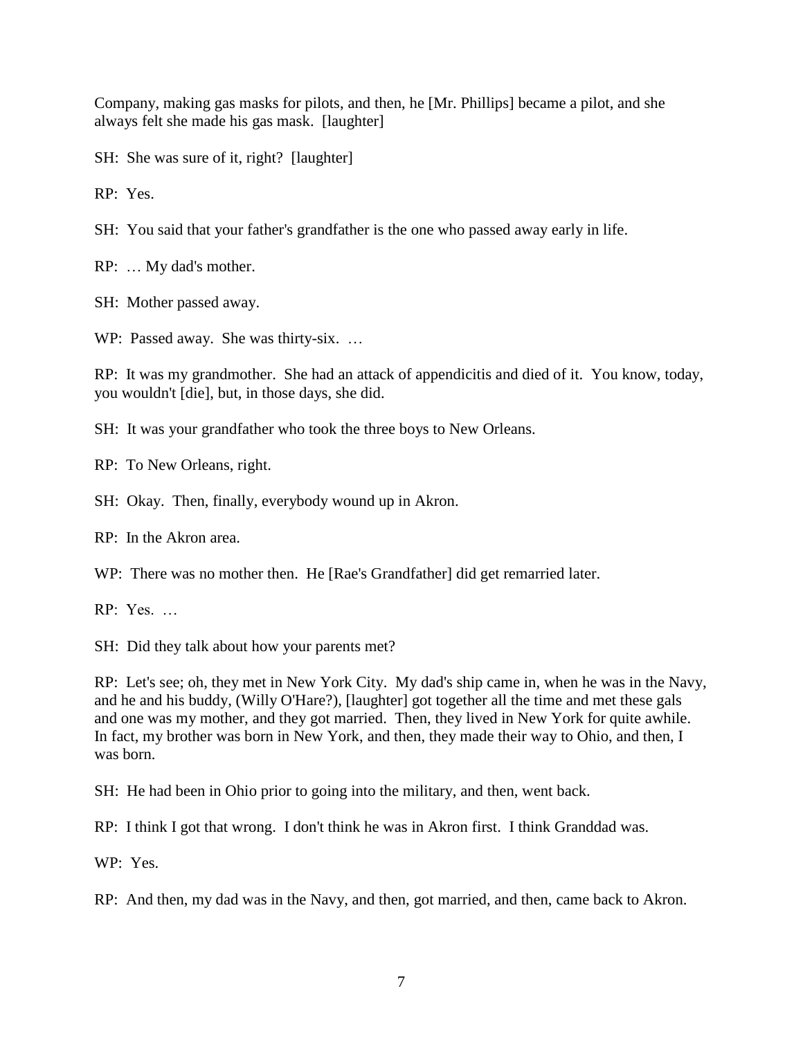Company, making gas masks for pilots, and then, he [Mr. Phillips] became a pilot, and she always felt she made his gas mask. [laughter]

SH: She was sure of it, right? [laughter]

RP: Yes.

SH: You said that your father's grandfather is the one who passed away early in life.

RP: … My dad's mother.

SH: Mother passed away.

WP: Passed away. She was thirty-six. ...

RP: It was my grandmother. She had an attack of appendicitis and died of it. You know, today, you wouldn't [die], but, in those days, she did.

SH: It was your grandfather who took the three boys to New Orleans.

RP: To New Orleans, right.

SH: Okay. Then, finally, everybody wound up in Akron.

RP: In the Akron area.

WP: There was no mother then. He [Rae's Grandfather] did get remarried later.

RP: Yes. …

SH: Did they talk about how your parents met?

RP: Let's see; oh, they met in New York City. My dad's ship came in, when he was in the Navy, and he and his buddy, (Willy O'Hare?), [laughter] got together all the time and met these gals and one was my mother, and they got married. Then, they lived in New York for quite awhile. In fact, my brother was born in New York, and then, they made their way to Ohio, and then, I was born.

SH: He had been in Ohio prior to going into the military, and then, went back.

RP: I think I got that wrong. I don't think he was in Akron first. I think Granddad was.

WP: Yes.

RP: And then, my dad was in the Navy, and then, got married, and then, came back to Akron.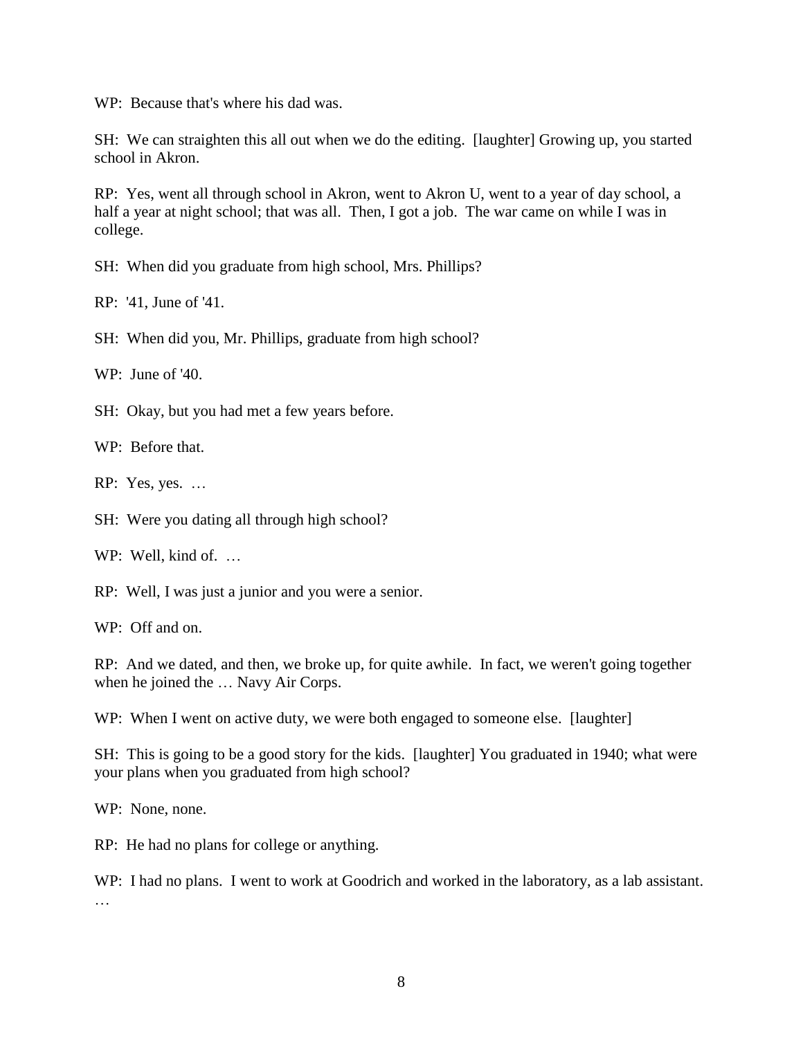WP: Because that's where his dad was.

SH: We can straighten this all out when we do the editing. [laughter] Growing up, you started school in Akron.

RP: Yes, went all through school in Akron, went to Akron U, went to a year of day school, a half a year at night school; that was all. Then, I got a job. The war came on while I was in college.

SH: When did you graduate from high school, Mrs. Phillips?

RP: '41, June of '41.

SH: When did you, Mr. Phillips, graduate from high school?

WP: June of '40.

SH: Okay, but you had met a few years before.

WP: Before that.

RP: Yes, yes. …

SH: Were you dating all through high school?

WP: Well, kind of. ...

RP: Well, I was just a junior and you were a senior.

WP: Off and on.

RP: And we dated, and then, we broke up, for quite awhile. In fact, we weren't going together when he joined the … Navy Air Corps.

WP: When I went on active duty, we were both engaged to someone else. [laughter]

SH: This is going to be a good story for the kids. [laughter] You graduated in 1940; what were your plans when you graduated from high school?

WP: None, none.

RP: He had no plans for college or anything.

WP: I had no plans. I went to work at Goodrich and worked in the laboratory, as a lab assistant. …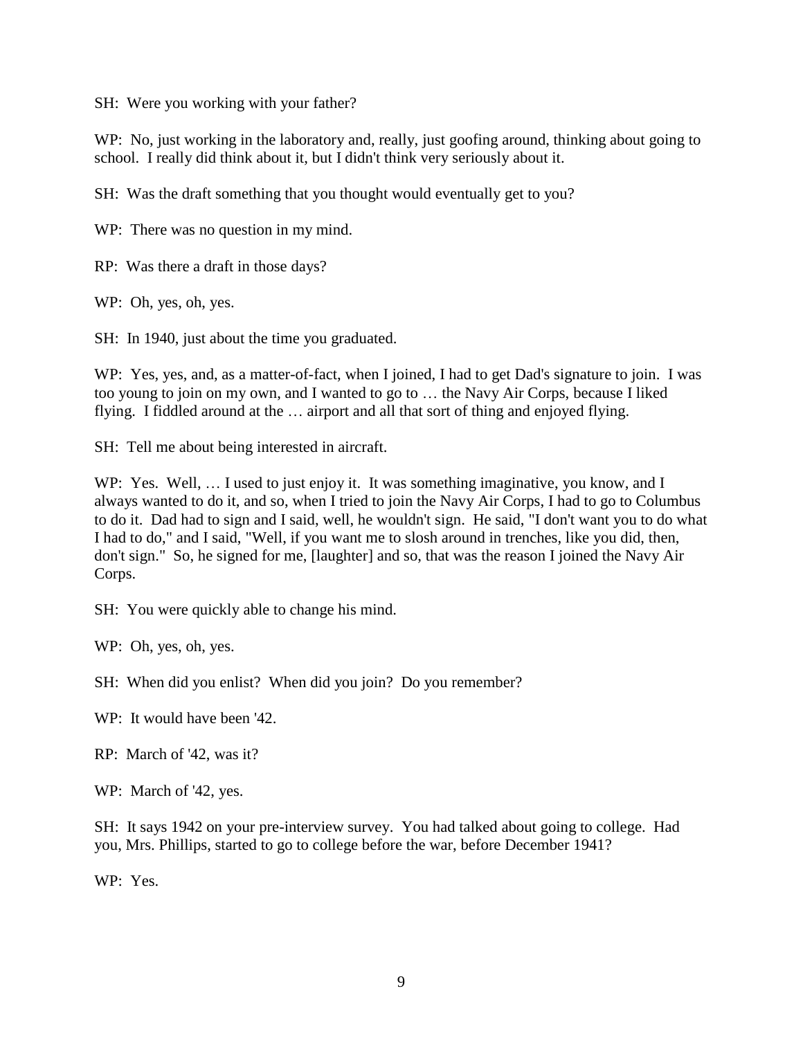SH: Were you working with your father?

WP: No, just working in the laboratory and, really, just goofing around, thinking about going to school. I really did think about it, but I didn't think very seriously about it.

SH: Was the draft something that you thought would eventually get to you?

WP: There was no question in my mind.

RP: Was there a draft in those days?

WP: Oh, yes, oh, yes.

SH: In 1940, just about the time you graduated.

WP: Yes, yes, and, as a matter-of-fact, when I joined, I had to get Dad's signature to join. I was too young to join on my own, and I wanted to go to … the Navy Air Corps, because I liked flying. I fiddled around at the … airport and all that sort of thing and enjoyed flying.

SH: Tell me about being interested in aircraft.

WP: Yes. Well, ... I used to just enjoy it. It was something imaginative, you know, and I always wanted to do it, and so, when I tried to join the Navy Air Corps, I had to go to Columbus to do it. Dad had to sign and I said, well, he wouldn't sign. He said, "I don't want you to do what I had to do," and I said, "Well, if you want me to slosh around in trenches, like you did, then, don't sign." So, he signed for me, [laughter] and so, that was the reason I joined the Navy Air Corps.

SH: You were quickly able to change his mind.

WP: Oh, yes, oh, yes.

SH: When did you enlist? When did you join? Do you remember?

WP: It would have been '42.

RP: March of '42, was it?

WP: March of '42, yes.

SH: It says 1942 on your pre-interview survey. You had talked about going to college. Had you, Mrs. Phillips, started to go to college before the war, before December 1941?

WP: Yes.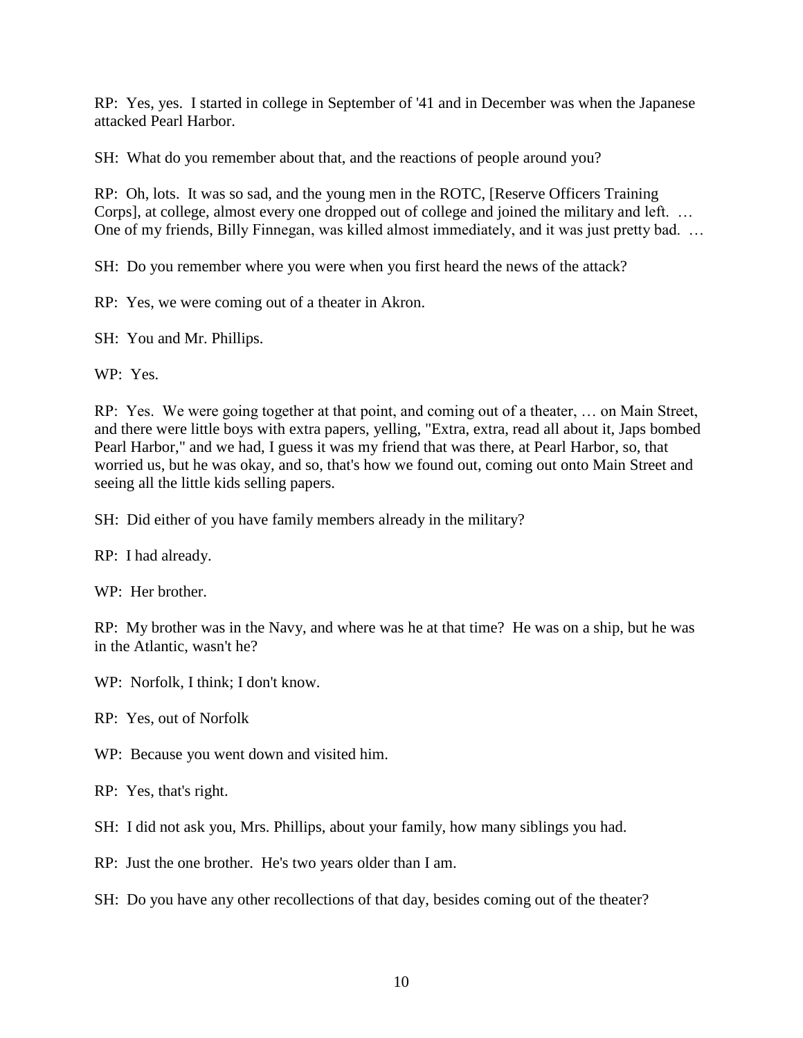RP: Yes, yes. I started in college in September of '41 and in December was when the Japanese attacked Pearl Harbor.

SH: What do you remember about that, and the reactions of people around you?

RP: Oh, lots. It was so sad, and the young men in the ROTC, [Reserve Officers Training Corps], at college, almost every one dropped out of college and joined the military and left. … One of my friends, Billy Finnegan, was killed almost immediately, and it was just pretty bad. …

SH: Do you remember where you were when you first heard the news of the attack?

RP: Yes, we were coming out of a theater in Akron.

SH: You and Mr. Phillips.

WP: Yes.

RP: Yes. We were going together at that point, and coming out of a theater, … on Main Street, and there were little boys with extra papers, yelling, "Extra, extra, read all about it, Japs bombed Pearl Harbor," and we had, I guess it was my friend that was there, at Pearl Harbor, so, that worried us, but he was okay, and so, that's how we found out, coming out onto Main Street and seeing all the little kids selling papers.

SH: Did either of you have family members already in the military?

RP: I had already.

WP: Her brother.

RP: My brother was in the Navy, and where was he at that time? He was on a ship, but he was in the Atlantic, wasn't he?

WP: Norfolk, I think: I don't know.

RP: Yes, out of Norfolk

WP: Because you went down and visited him.

RP: Yes, that's right.

SH: I did not ask you, Mrs. Phillips, about your family, how many siblings you had.

RP: Just the one brother. He's two years older than I am.

SH: Do you have any other recollections of that day, besides coming out of the theater?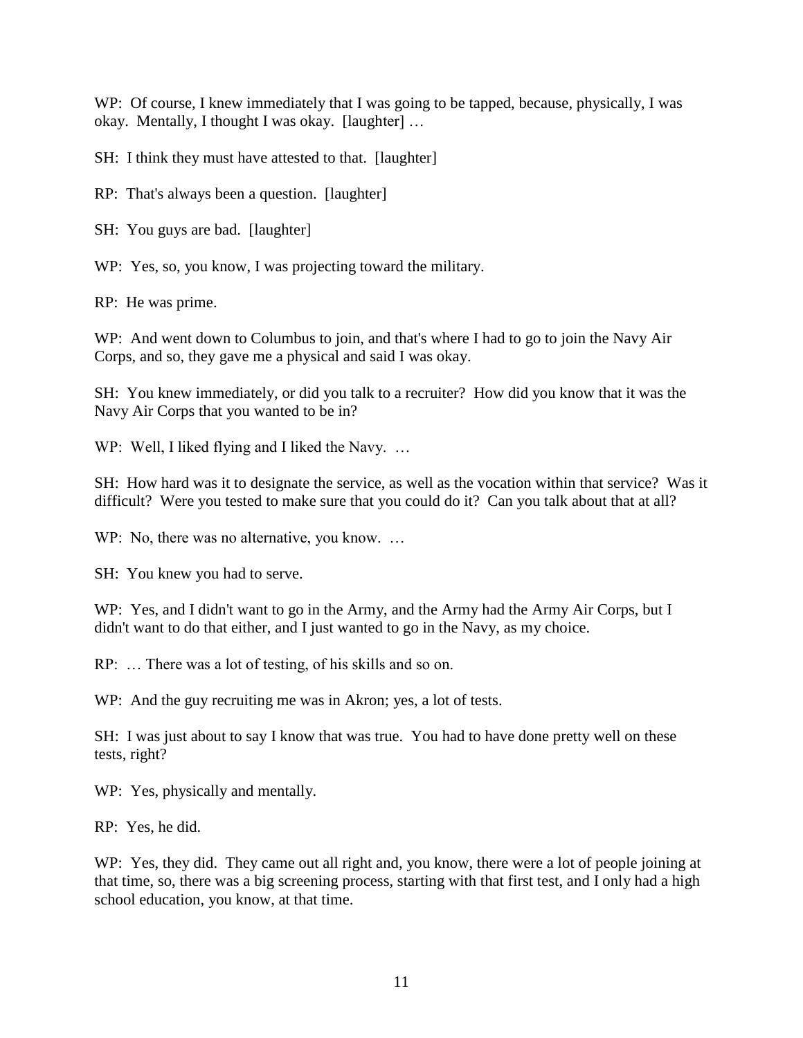WP: Of course, I knew immediately that I was going to be tapped, because, physically, I was okay. Mentally, I thought I was okay. [laughter] …

SH: I think they must have attested to that. [laughter]

RP: That's always been a question. [laughter]

SH: You guys are bad. [laughter]

WP: Yes, so, you know, I was projecting toward the military.

RP: He was prime.

WP: And went down to Columbus to join, and that's where I had to go to join the Navy Air Corps, and so, they gave me a physical and said I was okay.

SH: You knew immediately, or did you talk to a recruiter? How did you know that it was the Navy Air Corps that you wanted to be in?

WP: Well, I liked flying and I liked the Navy. ...

SH: How hard was it to designate the service, as well as the vocation within that service? Was it difficult? Were you tested to make sure that you could do it? Can you talk about that at all?

WP: No, there was no alternative, you know. ...

SH: You knew you had to serve.

WP: Yes, and I didn't want to go in the Army, and the Army had the Army Air Corps, but I didn't want to do that either, and I just wanted to go in the Navy, as my choice.

RP: … There was a lot of testing, of his skills and so on.

WP: And the guy recruiting me was in Akron; yes, a lot of tests.

SH: I was just about to say I know that was true. You had to have done pretty well on these tests, right?

WP: Yes, physically and mentally.

RP: Yes, he did.

WP: Yes, they did. They came out all right and, you know, there were a lot of people joining at that time, so, there was a big screening process, starting with that first test, and I only had a high school education, you know, at that time.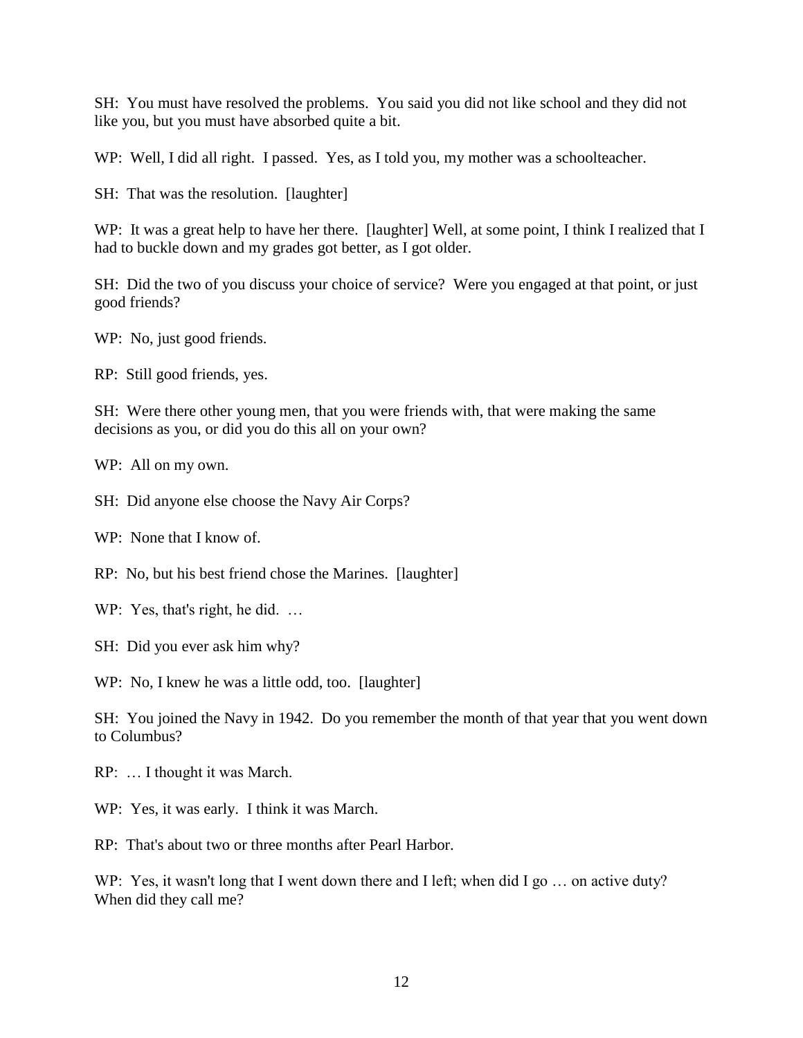SH: You must have resolved the problems. You said you did not like school and they did not like you, but you must have absorbed quite a bit.

WP: Well, I did all right. I passed. Yes, as I told you, my mother was a schoolteacher.

SH: That was the resolution. [laughter]

WP: It was a great help to have her there. [laughter] Well, at some point, I think I realized that I had to buckle down and my grades got better, as I got older.

SH: Did the two of you discuss your choice of service? Were you engaged at that point, or just good friends?

WP: No, just good friends.

RP: Still good friends, yes.

SH: Were there other young men, that you were friends with, that were making the same decisions as you, or did you do this all on your own?

WP: All on my own.

SH: Did anyone else choose the Navy Air Corps?

WP: None that I know of.

RP: No, but his best friend chose the Marines. [laughter]

WP: Yes, that's right, he did. ...

SH: Did you ever ask him why?

WP: No, I knew he was a little odd, too. [laughter]

SH: You joined the Navy in 1942. Do you remember the month of that year that you went down to Columbus?

RP: … I thought it was March.

WP: Yes, it was early. I think it was March.

RP: That's about two or three months after Pearl Harbor.

WP: Yes, it wasn't long that I went down there and I left; when did I go ... on active duty? When did they call me?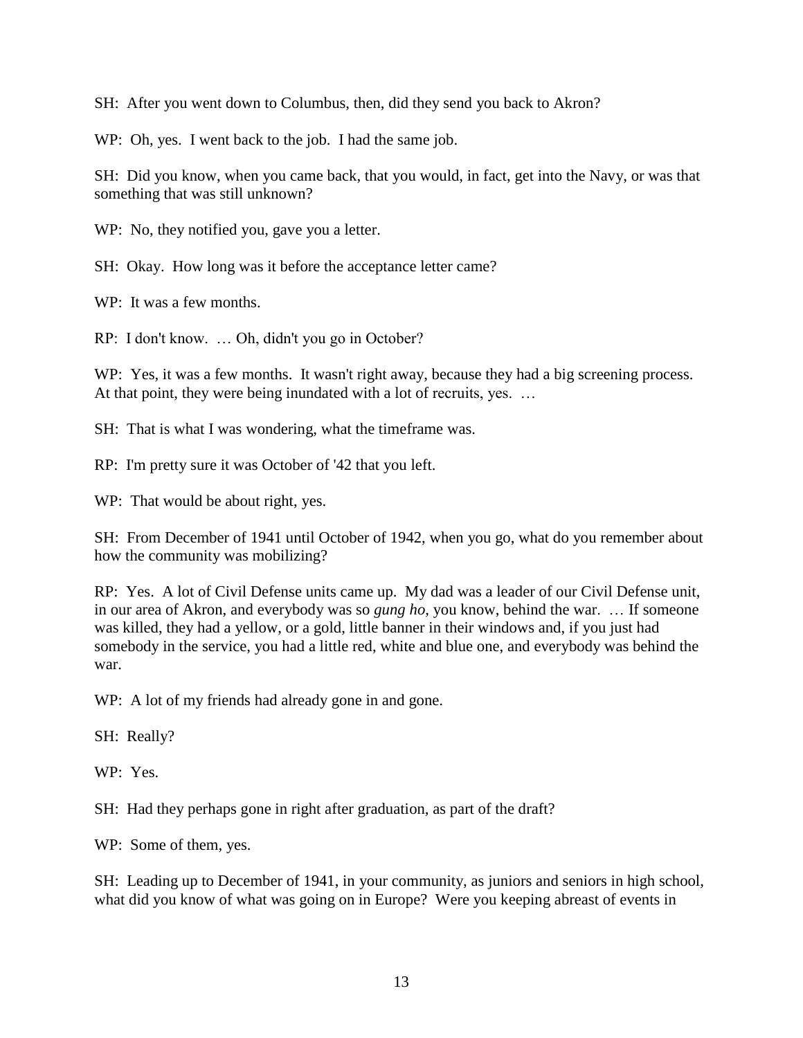SH: After you went down to Columbus, then, did they send you back to Akron?

WP: Oh, yes. I went back to the job. I had the same job.

SH: Did you know, when you came back, that you would, in fact, get into the Navy, or was that something that was still unknown?

WP: No, they notified you, gave you a letter.

SH: Okay. How long was it before the acceptance letter came?

WP: It was a few months.

RP: I don't know. … Oh, didn't you go in October?

WP: Yes, it was a few months. It wasn't right away, because they had a big screening process. At that point, they were being inundated with a lot of recruits, yes. ...

SH: That is what I was wondering, what the timeframe was.

RP: I'm pretty sure it was October of '42 that you left.

WP: That would be about right, yes.

SH: From December of 1941 until October of 1942, when you go, what do you remember about how the community was mobilizing?

RP: Yes. A lot of Civil Defense units came up. My dad was a leader of our Civil Defense unit, in our area of Akron, and everybody was so *gung ho*, you know, behind the war. … If someone was killed, they had a yellow, or a gold, little banner in their windows and, if you just had somebody in the service, you had a little red, white and blue one, and everybody was behind the war.

WP: A lot of my friends had already gone in and gone.

SH: Really?

WP: Yes.

SH: Had they perhaps gone in right after graduation, as part of the draft?

WP: Some of them, yes.

SH: Leading up to December of 1941, in your community, as juniors and seniors in high school, what did you know of what was going on in Europe? Were you keeping abreast of events in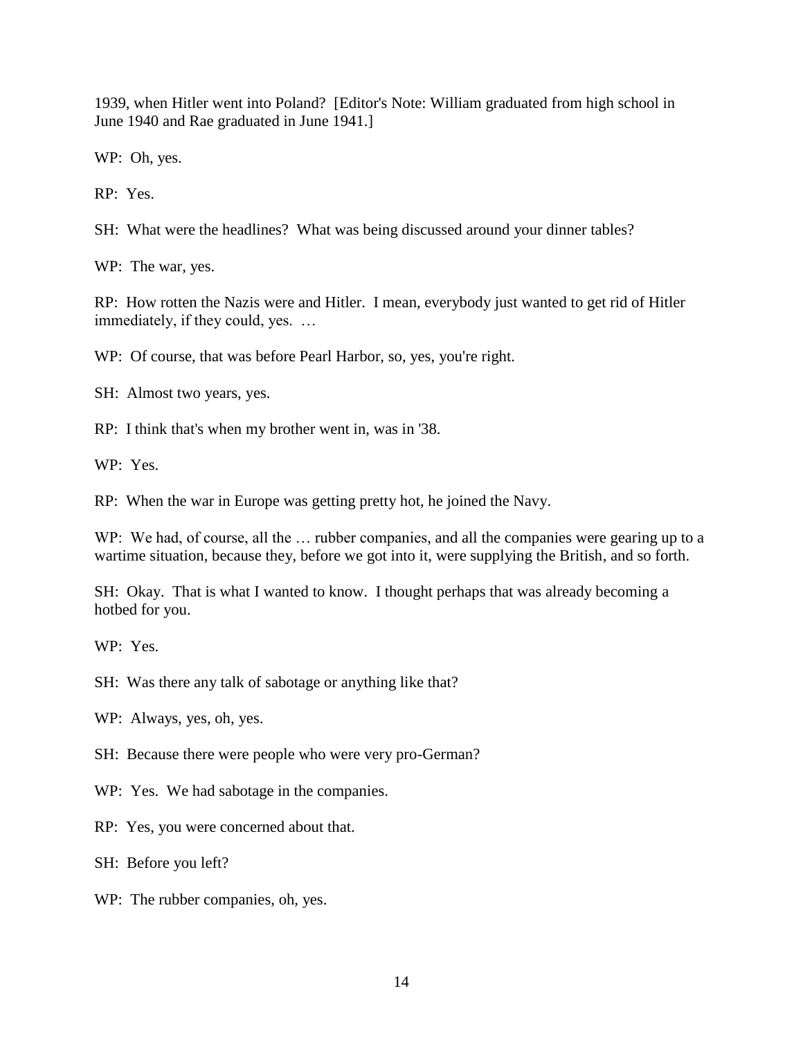1939, when Hitler went into Poland? [Editor's Note: William graduated from high school in June 1940 and Rae graduated in June 1941.]

WP: Oh, yes.

RP: Yes.

SH: What were the headlines? What was being discussed around your dinner tables?

WP: The war, yes.

RP: How rotten the Nazis were and Hitler. I mean, everybody just wanted to get rid of Hitler immediately, if they could, yes. …

WP: Of course, that was before Pearl Harbor, so, yes, you're right.

SH: Almost two years, yes.

RP: I think that's when my brother went in, was in '38.

WP: Yes.

RP: When the war in Europe was getting pretty hot, he joined the Navy.

WP: We had, of course, all the ... rubber companies, and all the companies were gearing up to a wartime situation, because they, before we got into it, were supplying the British, and so forth.

SH: Okay. That is what I wanted to know. I thought perhaps that was already becoming a hotbed for you.

WP: Yes.

SH: Was there any talk of sabotage or anything like that?

WP: Always, yes, oh, yes.

SH: Because there were people who were very pro-German?

WP: Yes. We had sabotage in the companies.

RP: Yes, you were concerned about that.

SH: Before you left?

WP: The rubber companies, oh, yes.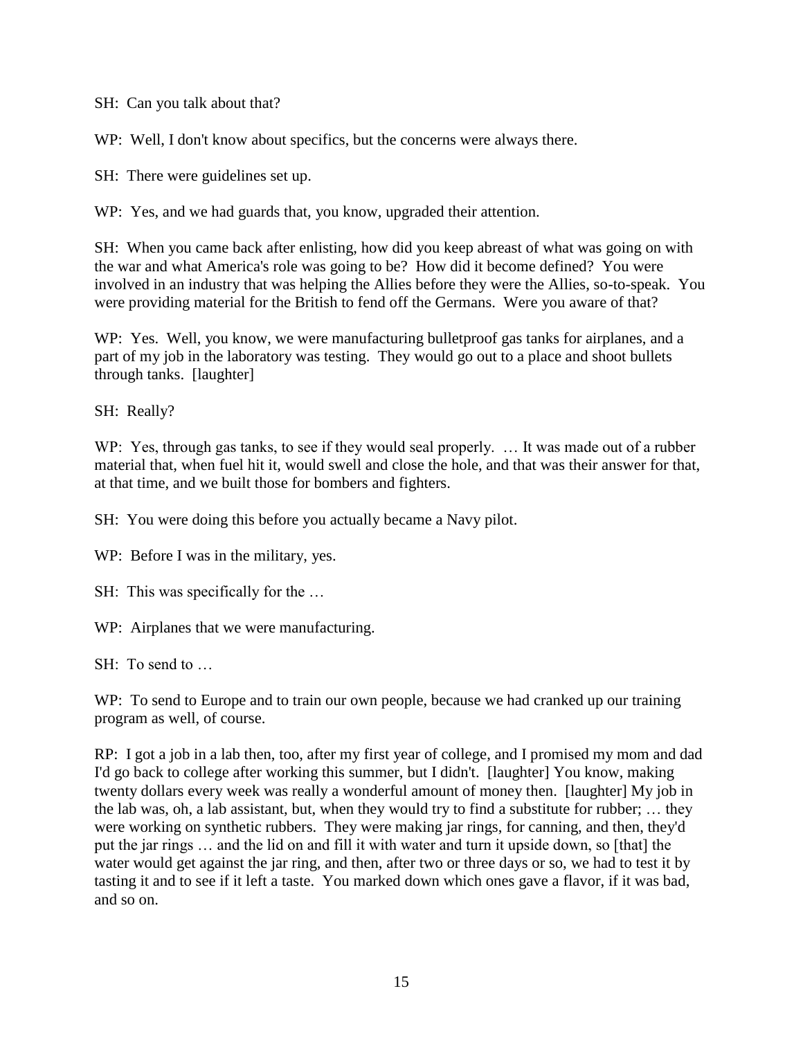SH: Can you talk about that?

WP: Well, I don't know about specifics, but the concerns were always there.

SH: There were guidelines set up.

WP: Yes, and we had guards that, you know, upgraded their attention.

SH: When you came back after enlisting, how did you keep abreast of what was going on with the war and what America's role was going to be? How did it become defined? You were involved in an industry that was helping the Allies before they were the Allies, so-to-speak. You were providing material for the British to fend off the Germans. Were you aware of that?

WP: Yes. Well, you know, we were manufacturing bulletproof gas tanks for airplanes, and a part of my job in the laboratory was testing. They would go out to a place and shoot bullets through tanks. [laughter]

SH: Really?

WP: Yes, through gas tanks, to see if they would seal properly. ... It was made out of a rubber material that, when fuel hit it, would swell and close the hole, and that was their answer for that, at that time, and we built those for bombers and fighters.

SH: You were doing this before you actually became a Navy pilot.

WP: Before I was in the military, yes.

SH: This was specifically for the ...

WP: Airplanes that we were manufacturing.

SH: To send to …

WP: To send to Europe and to train our own people, because we had cranked up our training program as well, of course.

RP: I got a job in a lab then, too, after my first year of college, and I promised my mom and dad I'd go back to college after working this summer, but I didn't. [laughter] You know, making twenty dollars every week was really a wonderful amount of money then. [laughter] My job in the lab was, oh, a lab assistant, but, when they would try to find a substitute for rubber; … they were working on synthetic rubbers. They were making jar rings, for canning, and then, they'd put the jar rings … and the lid on and fill it with water and turn it upside down, so [that] the water would get against the jar ring, and then, after two or three days or so, we had to test it by tasting it and to see if it left a taste. You marked down which ones gave a flavor, if it was bad, and so on.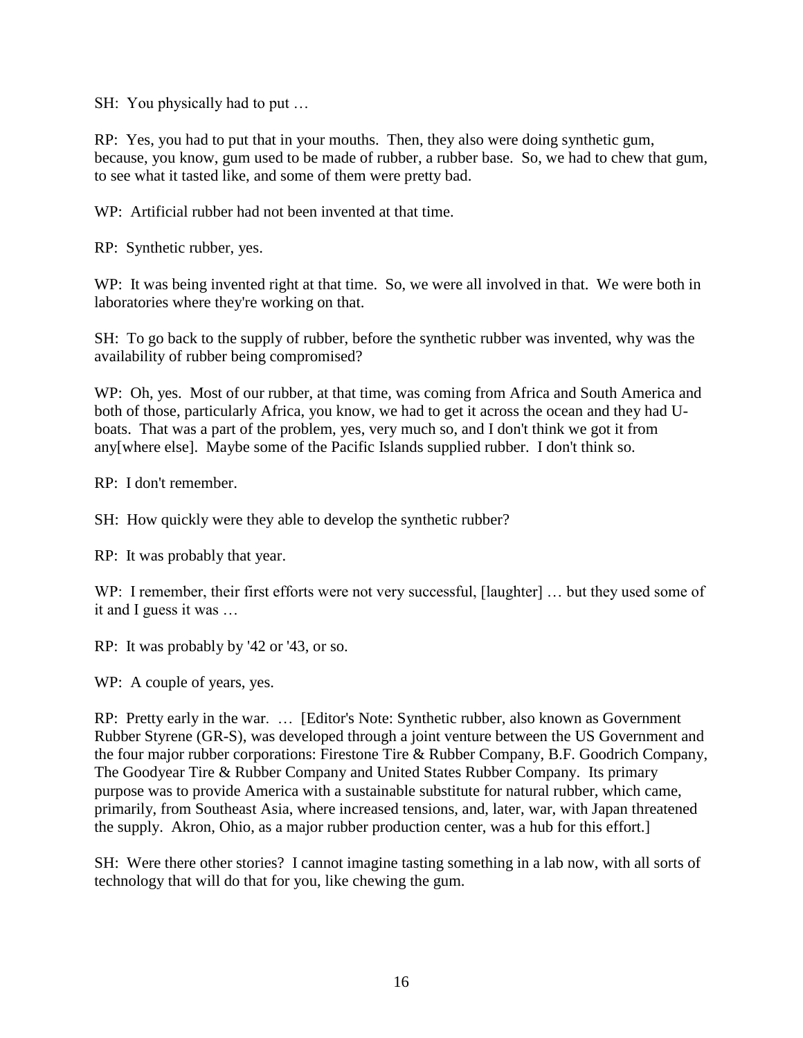SH: You physically had to put …

RP: Yes, you had to put that in your mouths. Then, they also were doing synthetic gum, because, you know, gum used to be made of rubber, a rubber base. So, we had to chew that gum, to see what it tasted like, and some of them were pretty bad.

WP: Artificial rubber had not been invented at that time.

RP: Synthetic rubber, yes.

WP: It was being invented right at that time. So, we were all involved in that. We were both in laboratories where they're working on that.

SH: To go back to the supply of rubber, before the synthetic rubber was invented, why was the availability of rubber being compromised?

WP: Oh, yes. Most of our rubber, at that time, was coming from Africa and South America and both of those, particularly Africa, you know, we had to get it across the ocean and they had Uboats. That was a part of the problem, yes, very much so, and I don't think we got it from any[where else]. Maybe some of the Pacific Islands supplied rubber. I don't think so.

RP: I don't remember.

SH: How quickly were they able to develop the synthetic rubber?

RP: It was probably that year.

WP: I remember, their first efforts were not very successful, [laughter] ... but they used some of it and I guess it was …

RP: It was probably by '42 or '43, or so.

WP: A couple of years, yes.

RP: Pretty early in the war. … [Editor's Note: Synthetic rubber, also known as Government Rubber Styrene (GR-S), was developed through a joint venture between the US Government and the four major rubber corporations: Firestone Tire & Rubber Company, B.F. Goodrich Company, The Goodyear Tire & Rubber Company and United States Rubber Company. Its primary purpose was to provide America with a sustainable substitute for natural rubber, which came, primarily, from Southeast Asia, where increased tensions, and, later, war, with Japan threatened the supply. Akron, Ohio, as a major rubber production center, was a hub for this effort.]

SH: Were there other stories? I cannot imagine tasting something in a lab now, with all sorts of technology that will do that for you, like chewing the gum.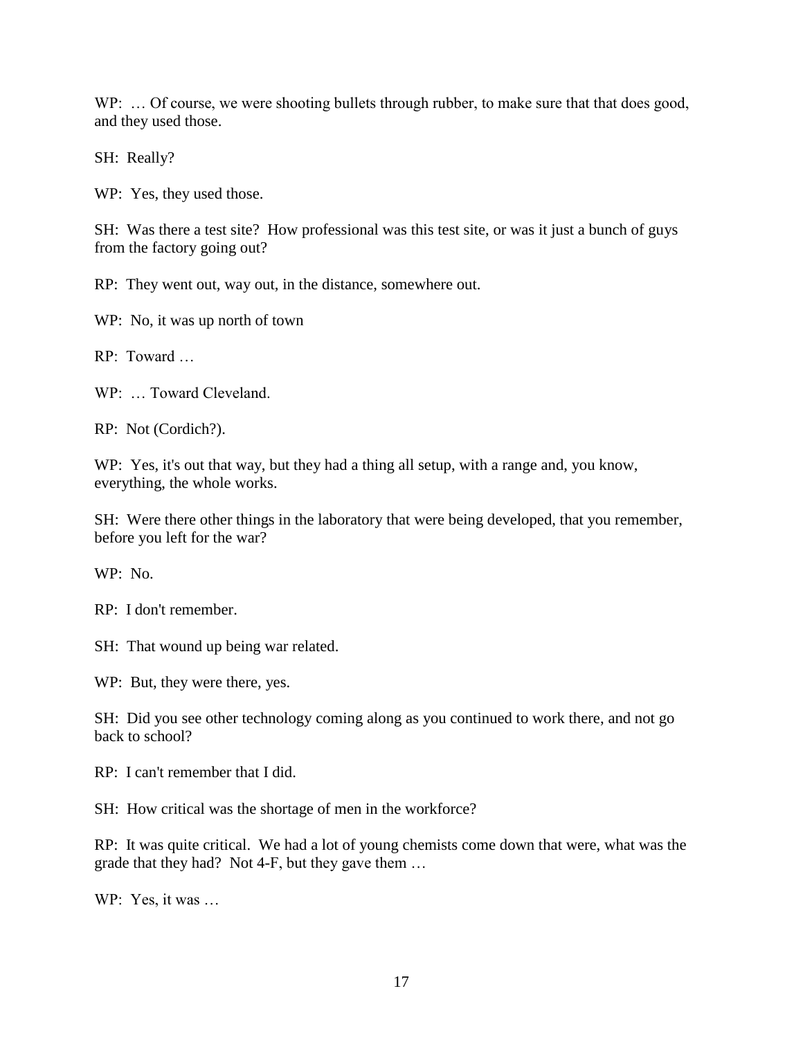WP: ... Of course, we were shooting bullets through rubber, to make sure that that does good, and they used those.

SH: Really?

WP: Yes, they used those.

SH: Was there a test site? How professional was this test site, or was it just a bunch of guys from the factory going out?

RP: They went out, way out, in the distance, somewhere out.

WP: No, it was up north of town

 $RP$  Toward

WP: … Toward Cleveland.

RP: Not (Cordich?).

WP: Yes, it's out that way, but they had a thing all setup, with a range and, you know, everything, the whole works.

SH: Were there other things in the laboratory that were being developed, that you remember, before you left for the war?

WP: No.

RP: I don't remember.

SH: That wound up being war related.

WP: But, they were there, yes.

SH: Did you see other technology coming along as you continued to work there, and not go back to school?

RP: I can't remember that I did.

SH: How critical was the shortage of men in the workforce?

RP: It was quite critical. We had a lot of young chemists come down that were, what was the grade that they had? Not 4-F, but they gave them …

WP: Yes, it was …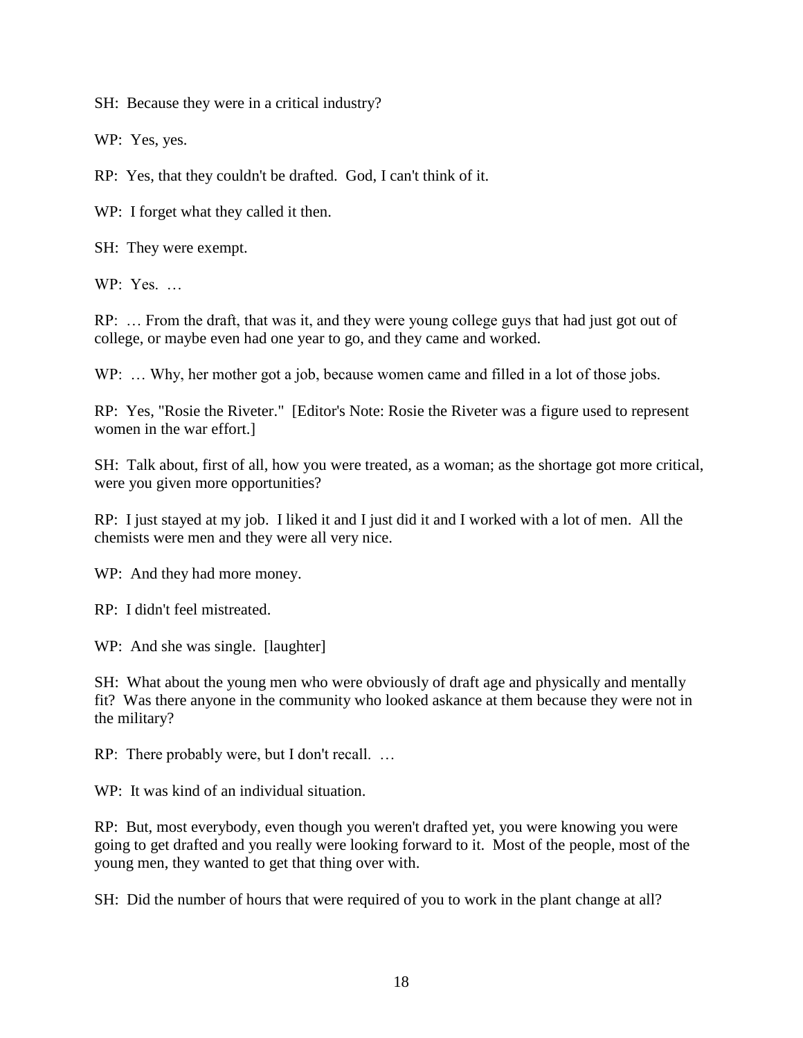SH: Because they were in a critical industry?

WP: Yes, yes.

RP: Yes, that they couldn't be drafted. God, I can't think of it.

WP: I forget what they called it then.

SH: They were exempt.

 $WP: Yes$ 

RP: … From the draft, that was it, and they were young college guys that had just got out of college, or maybe even had one year to go, and they came and worked.

WP: ... Why, her mother got a job, because women came and filled in a lot of those jobs.

RP: Yes, "Rosie the Riveter." [Editor's Note: Rosie the Riveter was a figure used to represent women in the war effort.]

SH: Talk about, first of all, how you were treated, as a woman; as the shortage got more critical, were you given more opportunities?

RP: I just stayed at my job. I liked it and I just did it and I worked with a lot of men. All the chemists were men and they were all very nice.

WP: And they had more money.

RP: I didn't feel mistreated.

WP: And she was single. [laughter]

SH: What about the young men who were obviously of draft age and physically and mentally fit? Was there anyone in the community who looked askance at them because they were not in the military?

RP: There probably were, but I don't recall. …

WP: It was kind of an individual situation.

RP: But, most everybody, even though you weren't drafted yet, you were knowing you were going to get drafted and you really were looking forward to it. Most of the people, most of the young men, they wanted to get that thing over with.

SH: Did the number of hours that were required of you to work in the plant change at all?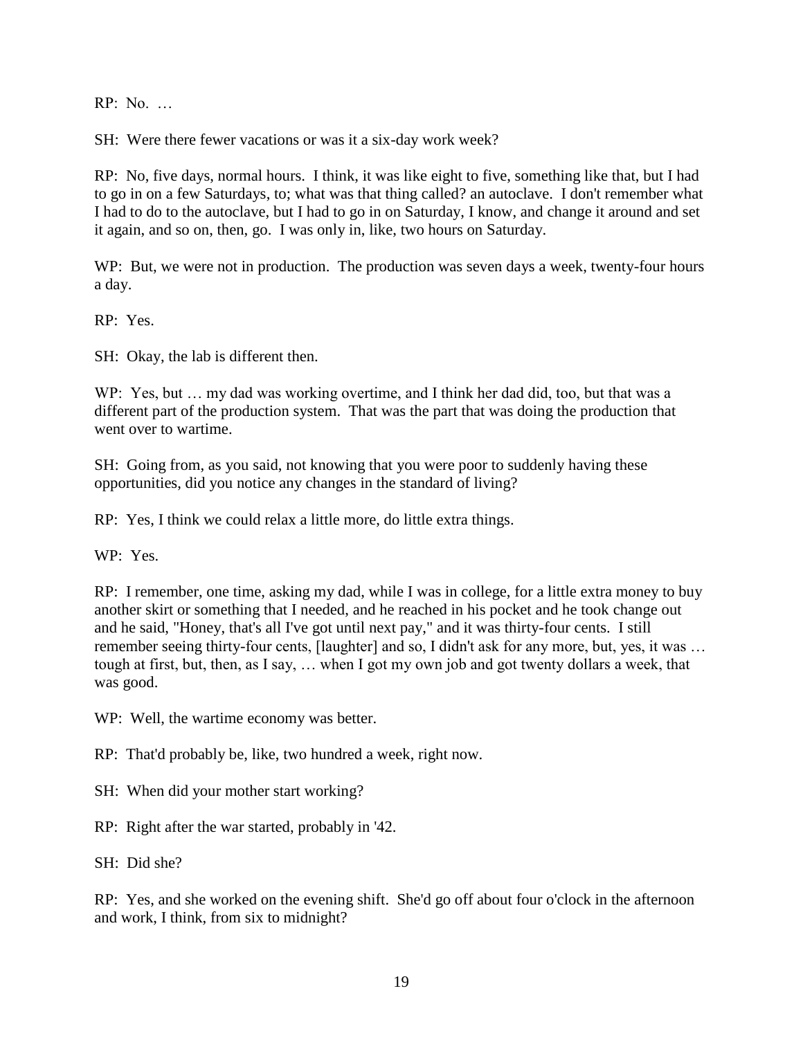RP: No. …

SH: Were there fewer vacations or was it a six-day work week?

RP: No, five days, normal hours. I think, it was like eight to five, something like that, but I had to go in on a few Saturdays, to; what was that thing called? an autoclave. I don't remember what I had to do to the autoclave, but I had to go in on Saturday, I know, and change it around and set it again, and so on, then, go. I was only in, like, two hours on Saturday.

WP: But, we were not in production. The production was seven days a week, twenty-four hours a day.

RP: Yes.

SH: Okay, the lab is different then.

WP: Yes, but … my dad was working overtime, and I think her dad did, too, but that was a different part of the production system. That was the part that was doing the production that went over to wartime.

SH: Going from, as you said, not knowing that you were poor to suddenly having these opportunities, did you notice any changes in the standard of living?

RP: Yes, I think we could relax a little more, do little extra things.

WP: Yes.

RP: I remember, one time, asking my dad, while I was in college, for a little extra money to buy another skirt or something that I needed, and he reached in his pocket and he took change out and he said, "Honey, that's all I've got until next pay," and it was thirty-four cents. I still remember seeing thirty-four cents, [laughter] and so, I didn't ask for any more, but, yes, it was … tough at first, but, then, as I say, … when I got my own job and got twenty dollars a week, that was good.

WP: Well, the wartime economy was better.

RP: That'd probably be, like, two hundred a week, right now.

SH: When did your mother start working?

RP: Right after the war started, probably in '42.

SH: Did she?

RP: Yes, and she worked on the evening shift. She'd go off about four o'clock in the afternoon and work, I think, from six to midnight?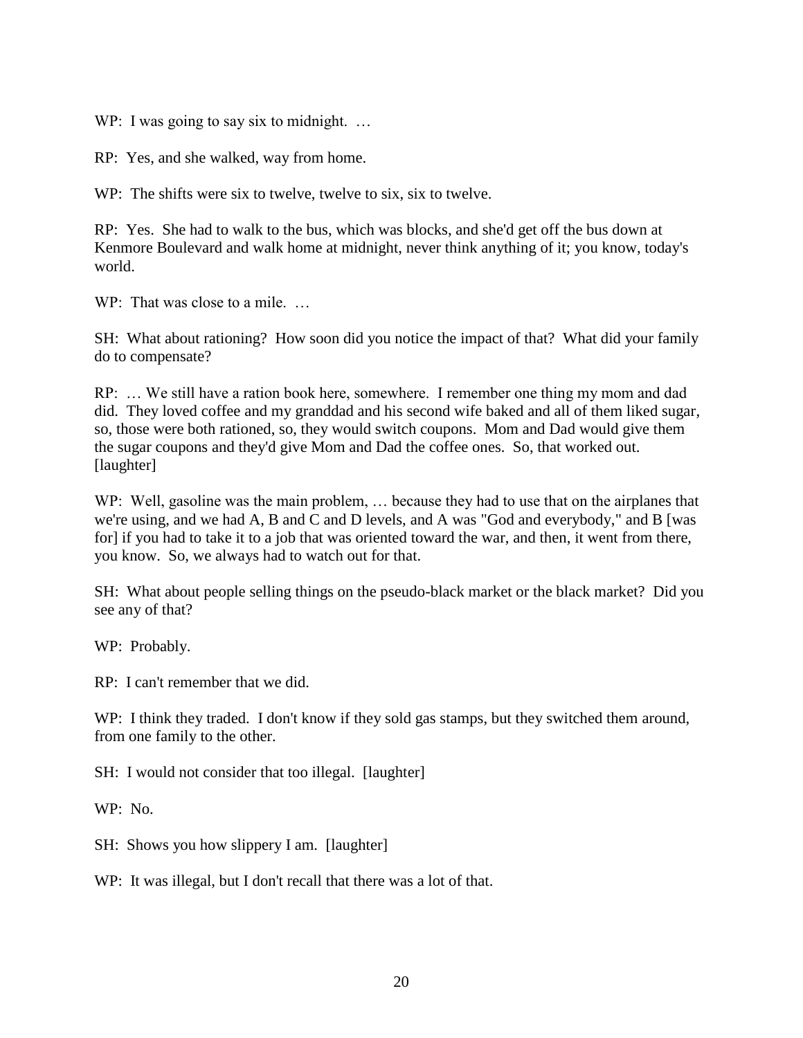WP: I was going to say six to midnight. ...

RP: Yes, and she walked, way from home.

WP: The shifts were six to twelve, twelve to six, six to twelve.

RP: Yes. She had to walk to the bus, which was blocks, and she'd get off the bus down at Kenmore Boulevard and walk home at midnight, never think anything of it; you know, today's world.

WP: That was close to a mile. ...

SH: What about rationing? How soon did you notice the impact of that? What did your family do to compensate?

RP: … We still have a ration book here, somewhere. I remember one thing my mom and dad did. They loved coffee and my granddad and his second wife baked and all of them liked sugar, so, those were both rationed, so, they would switch coupons. Mom and Dad would give them the sugar coupons and they'd give Mom and Dad the coffee ones. So, that worked out. [laughter]

WP: Well, gasoline was the main problem, ... because they had to use that on the airplanes that we're using, and we had A, B and C and D levels, and A was "God and everybody," and B [was for] if you had to take it to a job that was oriented toward the war, and then, it went from there, you know. So, we always had to watch out for that.

SH: What about people selling things on the pseudo-black market or the black market? Did you see any of that?

WP: Probably.

RP: I can't remember that we did.

WP: I think they traded. I don't know if they sold gas stamps, but they switched them around, from one family to the other.

SH: I would not consider that too illegal. [laughter]

WP: No.

SH: Shows you how slippery I am. [laughter]

WP: It was illegal, but I don't recall that there was a lot of that.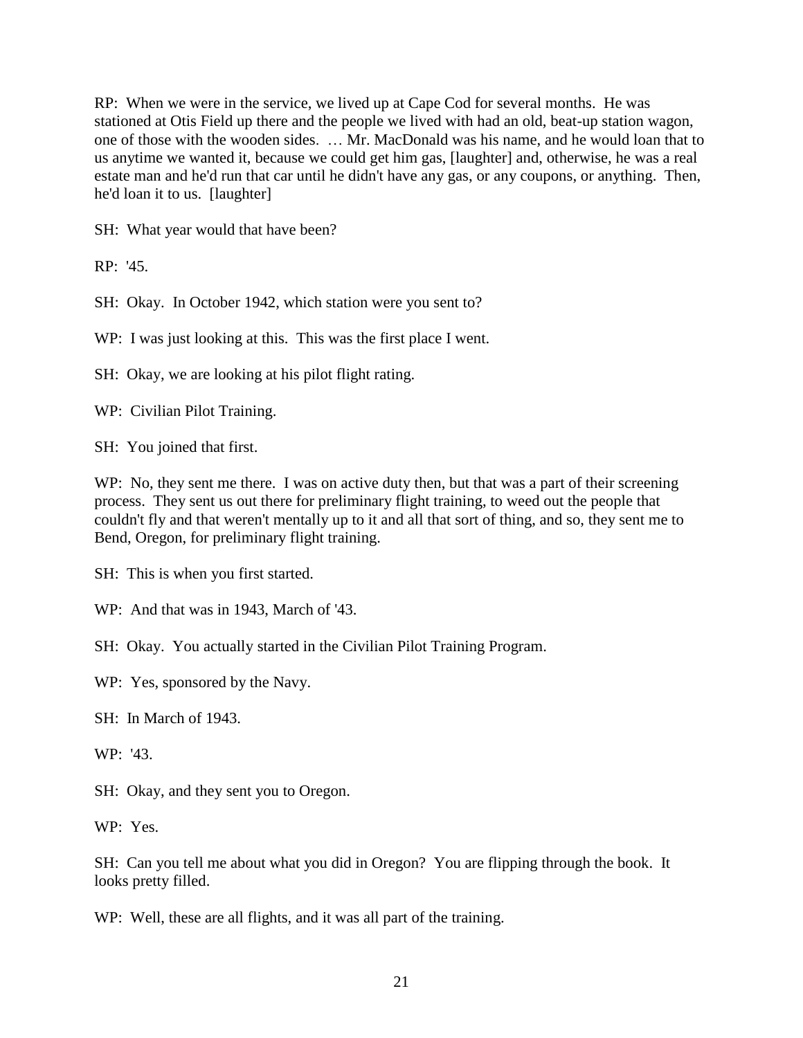RP: When we were in the service, we lived up at Cape Cod for several months. He was stationed at Otis Field up there and the people we lived with had an old, beat-up station wagon, one of those with the wooden sides. … Mr. MacDonald was his name, and he would loan that to us anytime we wanted it, because we could get him gas, [laughter] and, otherwise, he was a real estate man and he'd run that car until he didn't have any gas, or any coupons, or anything. Then, he'd loan it to us. [laughter]

SH: What year would that have been?

RP: '45.

SH: Okay. In October 1942, which station were you sent to?

WP: I was just looking at this. This was the first place I went.

SH: Okay, we are looking at his pilot flight rating.

WP: Civilian Pilot Training.

SH: You joined that first.

WP: No, they sent me there. I was on active duty then, but that was a part of their screening process. They sent us out there for preliminary flight training, to weed out the people that couldn't fly and that weren't mentally up to it and all that sort of thing, and so, they sent me to Bend, Oregon, for preliminary flight training.

SH: This is when you first started.

WP: And that was in 1943, March of '43.

SH: Okay. You actually started in the Civilian Pilot Training Program.

WP: Yes, sponsored by the Navy.

SH: In March of 1943.

WP: '43.

SH: Okay, and they sent you to Oregon.

WP: Yes.

SH: Can you tell me about what you did in Oregon? You are flipping through the book. It looks pretty filled.

WP: Well, these are all flights, and it was all part of the training.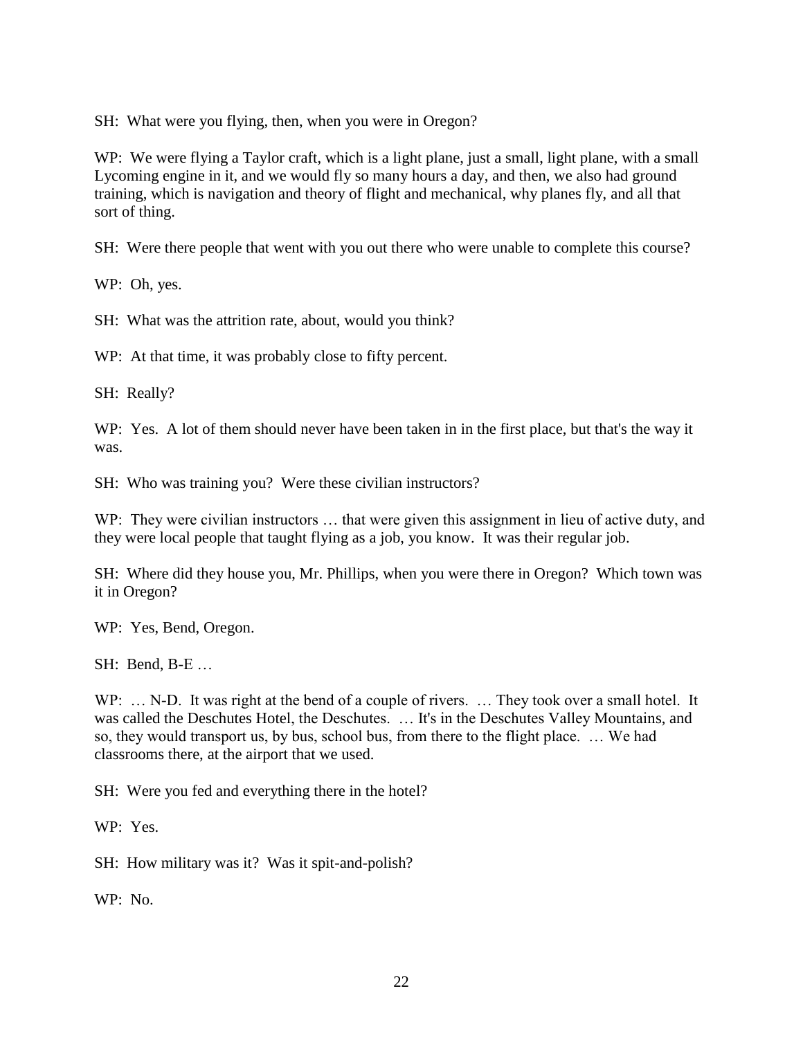SH: What were you flying, then, when you were in Oregon?

WP: We were flying a Taylor craft, which is a light plane, just a small, light plane, with a small Lycoming engine in it, and we would fly so many hours a day, and then, we also had ground training, which is navigation and theory of flight and mechanical, why planes fly, and all that sort of thing.

SH: Were there people that went with you out there who were unable to complete this course?

WP: Oh, yes.

SH: What was the attrition rate, about, would you think?

WP: At that time, it was probably close to fifty percent.

SH: Really?

WP: Yes. A lot of them should never have been taken in in the first place, but that's the way it was.

SH: Who was training you? Were these civilian instructors?

WP: They were civilian instructors ... that were given this assignment in lieu of active duty, and they were local people that taught flying as a job, you know. It was their regular job.

SH: Where did they house you, Mr. Phillips, when you were there in Oregon? Which town was it in Oregon?

WP: Yes, Bend, Oregon.

SH: Bend, B-E …

WP: ... N-D. It was right at the bend of a couple of rivers. ... They took over a small hotel. It was called the Deschutes Hotel, the Deschutes. … It's in the Deschutes Valley Mountains, and so, they would transport us, by bus, school bus, from there to the flight place. … We had classrooms there, at the airport that we used.

SH: Were you fed and everything there in the hotel?

WP: Yes.

SH: How military was it? Was it spit-and-polish?

WP: No.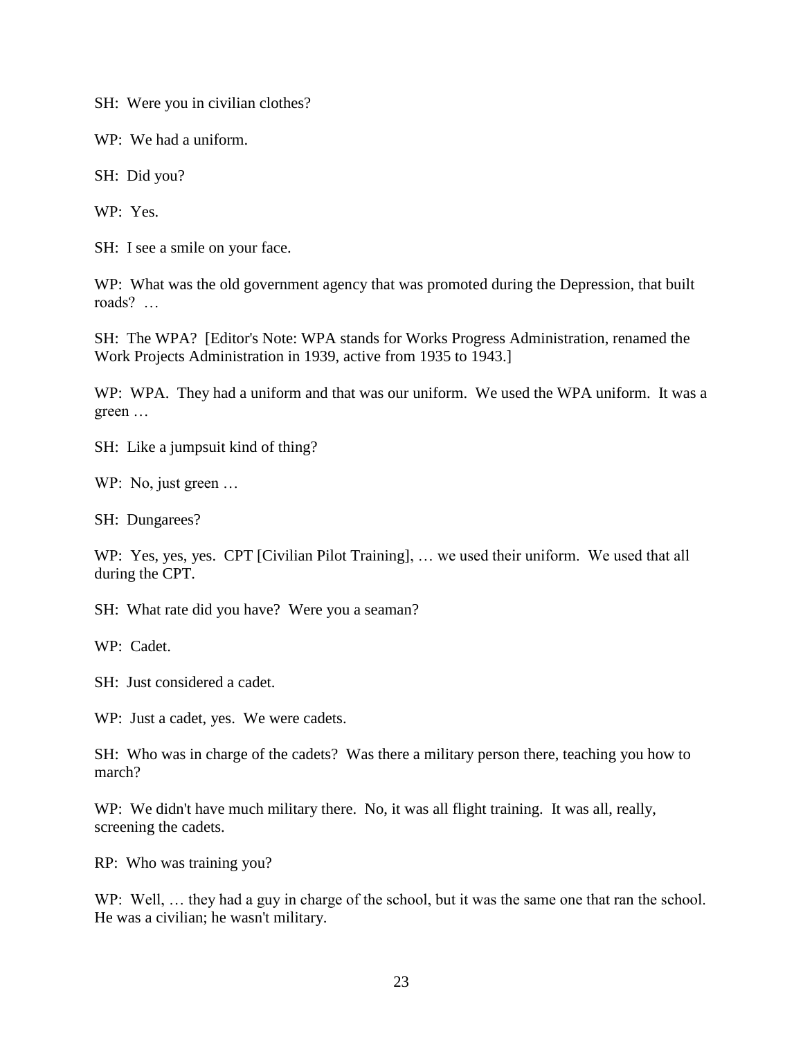SH: Were you in civilian clothes?

WP: We had a uniform.

SH: Did you?

WP: Yes.

SH: I see a smile on your face.

WP: What was the old government agency that was promoted during the Depression, that built roads? …

SH: The WPA? [Editor's Note: WPA stands for Works Progress Administration, renamed the Work Projects Administration in 1939, active from 1935 to 1943.]

WP: WPA. They had a uniform and that was our uniform. We used the WPA uniform. It was a green …

SH: Like a jumpsuit kind of thing?

WP: No, just green …

SH: Dungarees?

WP: Yes, yes, yes. CPT [Civilian Pilot Training], ... we used their uniform. We used that all during the CPT.

SH: What rate did you have? Were you a seaman?

WP: Cadet.

SH: Just considered a cadet.

WP: Just a cadet, yes. We were cadets.

SH: Who was in charge of the cadets? Was there a military person there, teaching you how to march?

WP: We didn't have much military there. No, it was all flight training. It was all, really, screening the cadets.

RP: Who was training you?

WP: Well, ... they had a guy in charge of the school, but it was the same one that ran the school. He was a civilian; he wasn't military.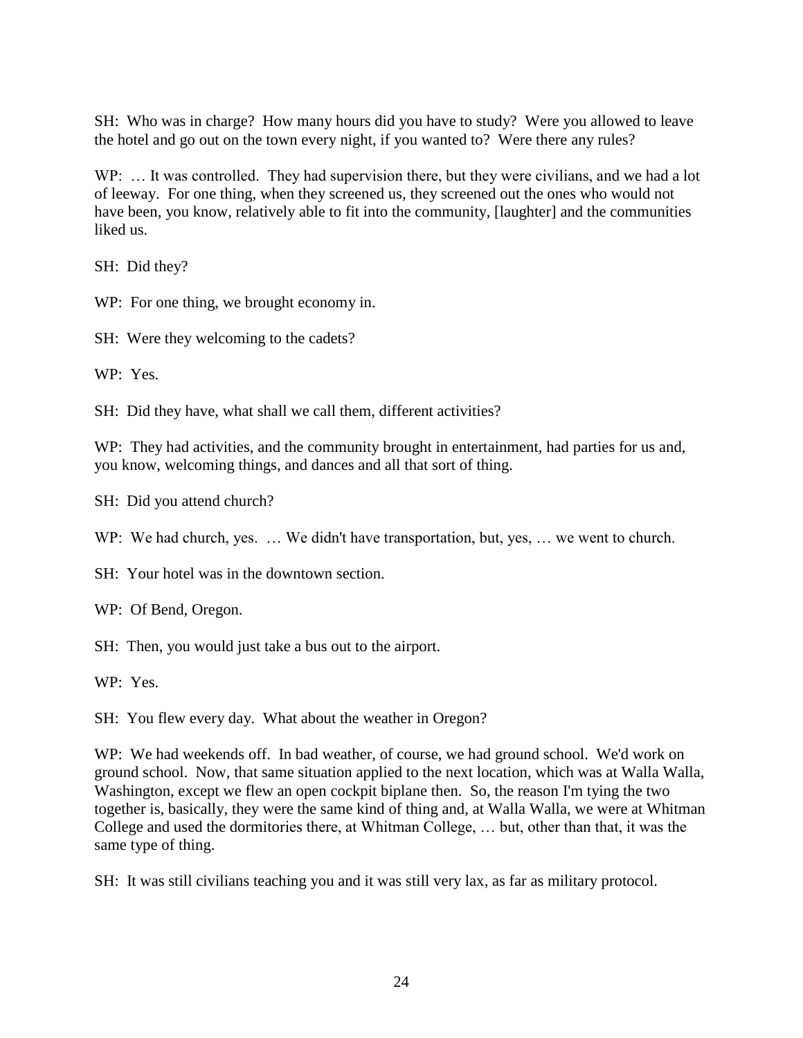SH: Who was in charge? How many hours did you have to study? Were you allowed to leave the hotel and go out on the town every night, if you wanted to? Were there any rules?

WP: ... It was controlled. They had supervision there, but they were civilians, and we had a lot of leeway. For one thing, when they screened us, they screened out the ones who would not have been, you know, relatively able to fit into the community, [laughter] and the communities liked us.

SH: Did they?

WP: For one thing, we brought economy in.

SH: Were they welcoming to the cadets?

WP: Yes.

SH: Did they have, what shall we call them, different activities?

WP: They had activities, and the community brought in entertainment, had parties for us and, you know, welcoming things, and dances and all that sort of thing.

SH: Did you attend church?

WP: We had church, yes. ... We didn't have transportation, but, yes, ... we went to church.

SH: Your hotel was in the downtown section.

WP: Of Bend, Oregon.

SH: Then, you would just take a bus out to the airport.

WP: Yes.

SH: You flew every day. What about the weather in Oregon?

WP: We had weekends off. In bad weather, of course, we had ground school. We'd work on ground school. Now, that same situation applied to the next location, which was at Walla Walla, Washington, except we flew an open cockpit biplane then. So, the reason I'm tying the two together is, basically, they were the same kind of thing and, at Walla Walla, we were at Whitman College and used the dormitories there, at Whitman College, … but, other than that, it was the same type of thing.

SH: It was still civilians teaching you and it was still very lax, as far as military protocol.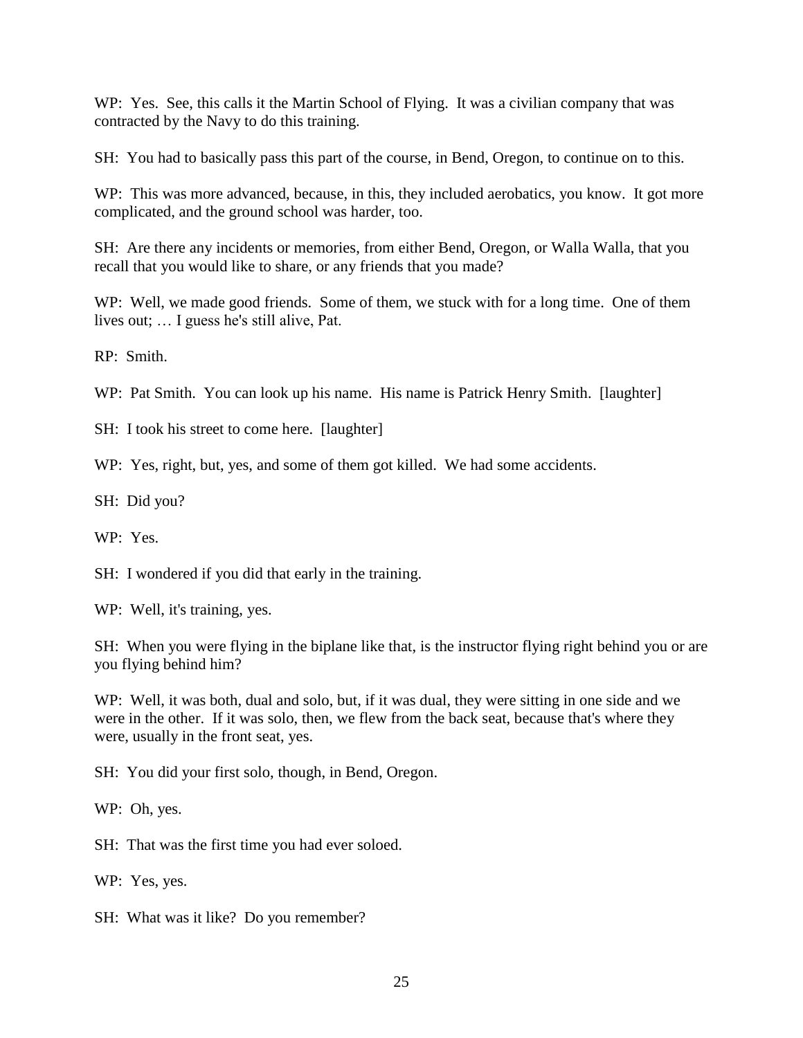WP: Yes. See, this calls it the Martin School of Flying. It was a civilian company that was contracted by the Navy to do this training.

SH: You had to basically pass this part of the course, in Bend, Oregon, to continue on to this.

WP: This was more advanced, because, in this, they included aerobatics, you know. It got more complicated, and the ground school was harder, too.

SH: Are there any incidents or memories, from either Bend, Oregon, or Walla Walla, that you recall that you would like to share, or any friends that you made?

WP: Well, we made good friends. Some of them, we stuck with for a long time. One of them lives out; … I guess he's still alive, Pat.

RP: Smith.

WP: Pat Smith. You can look up his name. His name is Patrick Henry Smith. [laughter]

SH: I took his street to come here. [laughter]

WP: Yes, right, but, yes, and some of them got killed. We had some accidents.

SH: Did you?

WP: Yes.

SH: I wondered if you did that early in the training.

WP: Well, it's training, yes.

SH: When you were flying in the biplane like that, is the instructor flying right behind you or are you flying behind him?

WP: Well, it was both, dual and solo, but, if it was dual, they were sitting in one side and we were in the other. If it was solo, then, we flew from the back seat, because that's where they were, usually in the front seat, yes.

SH: You did your first solo, though, in Bend, Oregon.

WP: Oh, yes.

SH: That was the first time you had ever soloed.

WP: Yes, yes.

SH: What was it like? Do you remember?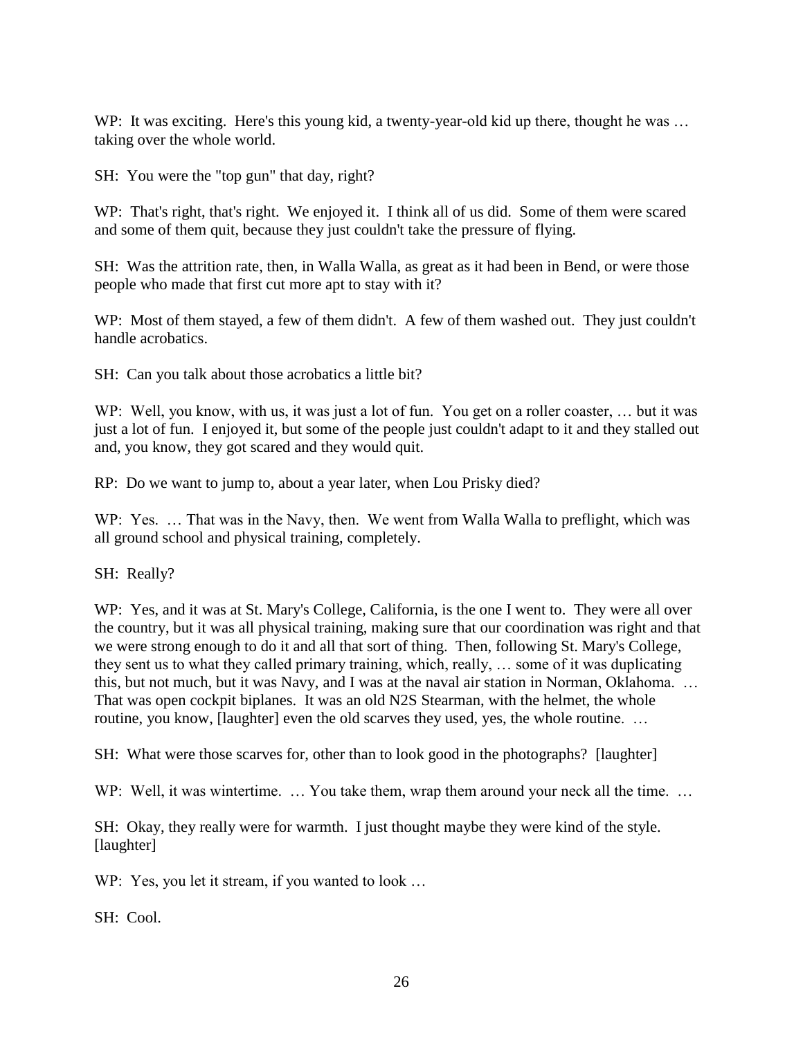WP: It was exciting. Here's this young kid, a twenty-year-old kid up there, thought he was ... taking over the whole world.

SH: You were the "top gun" that day, right?

WP: That's right, that's right. We enjoyed it. I think all of us did. Some of them were scared and some of them quit, because they just couldn't take the pressure of flying.

SH: Was the attrition rate, then, in Walla Walla, as great as it had been in Bend, or were those people who made that first cut more apt to stay with it?

WP: Most of them stayed, a few of them didn't. A few of them washed out. They just couldn't handle acrobatics.

SH: Can you talk about those acrobatics a little bit?

WP: Well, you know, with us, it was just a lot of fun. You get on a roller coaster, ... but it was just a lot of fun. I enjoyed it, but some of the people just couldn't adapt to it and they stalled out and, you know, they got scared and they would quit.

RP: Do we want to jump to, about a year later, when Lou Prisky died?

WP: Yes. ... That was in the Navy, then. We went from Walla Walla to preflight, which was all ground school and physical training, completely.

SH: Really?

WP: Yes, and it was at St. Mary's College, California, is the one I went to. They were all over the country, but it was all physical training, making sure that our coordination was right and that we were strong enough to do it and all that sort of thing. Then, following St. Mary's College, they sent us to what they called primary training, which, really, … some of it was duplicating this, but not much, but it was Navy, and I was at the naval air station in Norman, Oklahoma. … That was open cockpit biplanes. It was an old N2S Stearman, with the helmet, the whole routine, you know, [laughter] even the old scarves they used, yes, the whole routine. …

SH: What were those scarves for, other than to look good in the photographs? [laughter]

WP: Well, it was wintertime. ... You take them, wrap them around your neck all the time. ...

SH: Okay, they really were for warmth. I just thought maybe they were kind of the style. [laughter]

WP: Yes, you let it stream, if you wanted to look ...

SH: Cool.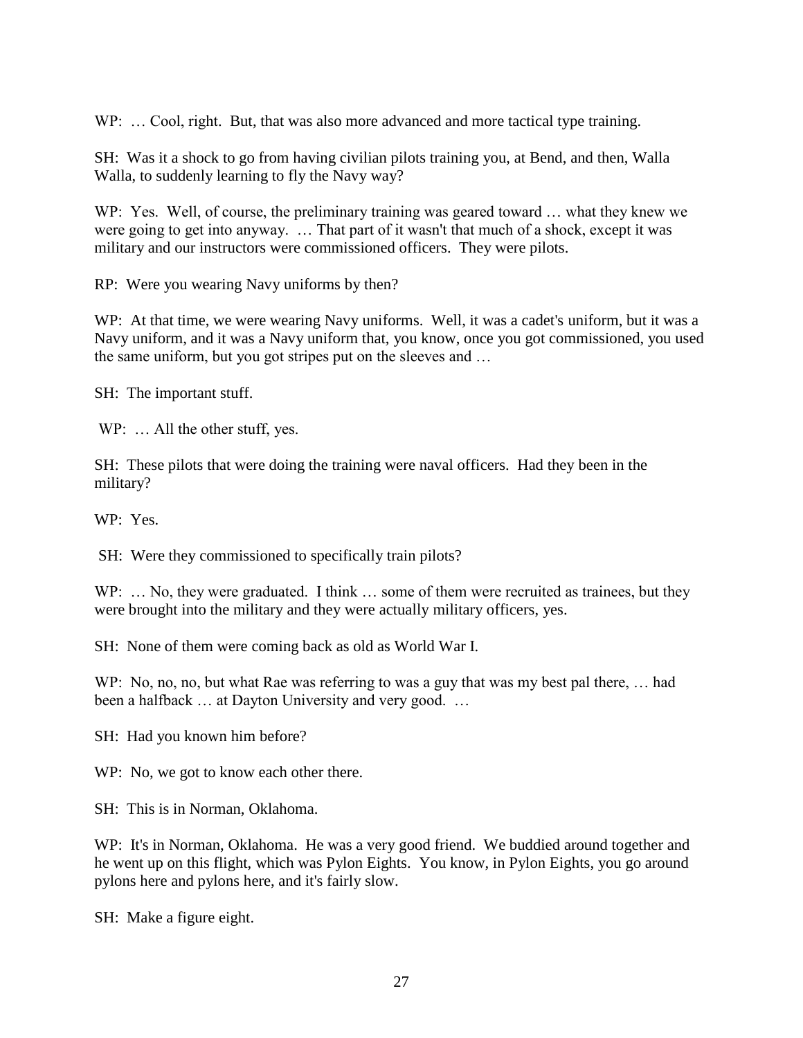WP: ... Cool, right. But, that was also more advanced and more tactical type training.

SH: Was it a shock to go from having civilian pilots training you, at Bend, and then, Walla Walla, to suddenly learning to fly the Navy way?

WP: Yes. Well, of course, the preliminary training was geared toward … what they knew we were going to get into anyway. … That part of it wasn't that much of a shock, except it was military and our instructors were commissioned officers. They were pilots.

RP: Were you wearing Navy uniforms by then?

WP: At that time, we were wearing Navy uniforms. Well, it was a cadet's uniform, but it was a Navy uniform, and it was a Navy uniform that, you know, once you got commissioned, you used the same uniform, but you got stripes put on the sleeves and …

SH: The important stuff.

WP: ... All the other stuff, yes.

SH: These pilots that were doing the training were naval officers. Had they been in the military?

WP: Yes.

SH: Were they commissioned to specifically train pilots?

WP: ... No, they were graduated. I think ... some of them were recruited as trainees, but they were brought into the military and they were actually military officers, yes.

SH: None of them were coming back as old as World War I.

WP: No, no, no, but what Rae was referring to was a guy that was my best pal there, ... had been a halfback ... at Dayton University and very good. ...

SH: Had you known him before?

WP: No, we got to know each other there.

SH: This is in Norman, Oklahoma.

WP: It's in Norman, Oklahoma. He was a very good friend. We buddied around together and he went up on this flight, which was Pylon Eights. You know, in Pylon Eights, you go around pylons here and pylons here, and it's fairly slow.

SH: Make a figure eight.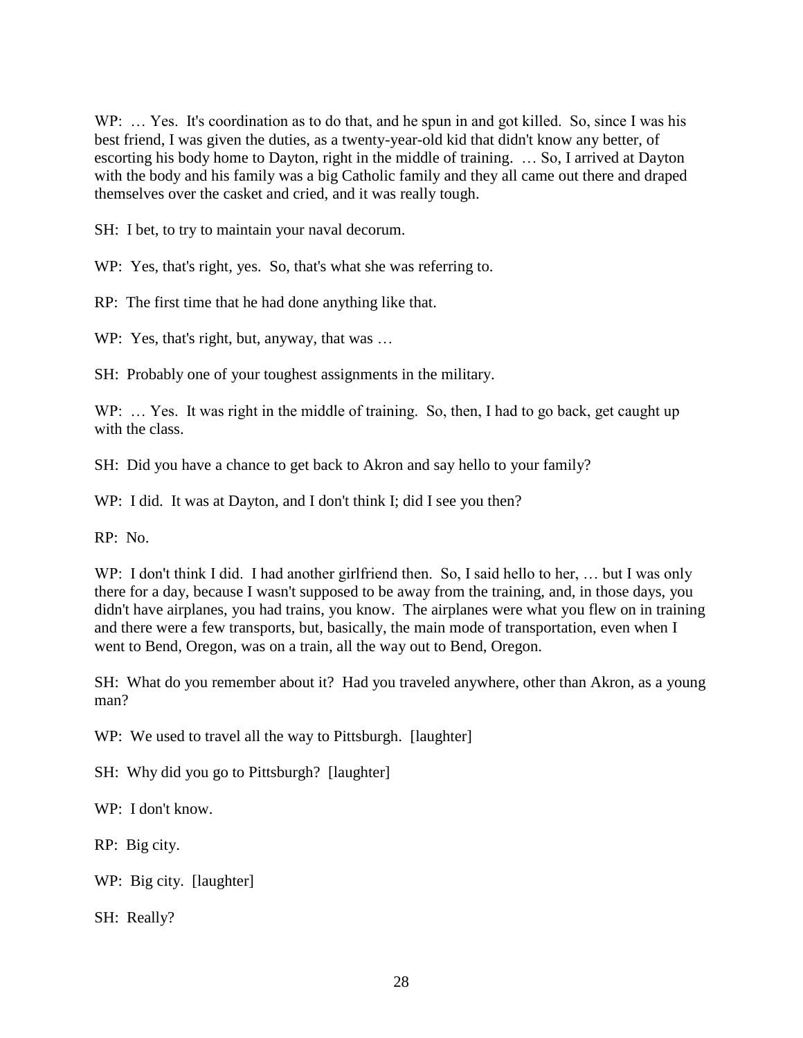WP: ... Yes. It's coordination as to do that, and he spun in and got killed. So, since I was his best friend, I was given the duties, as a twenty-year-old kid that didn't know any better, of escorting his body home to Dayton, right in the middle of training. … So, I arrived at Dayton with the body and his family was a big Catholic family and they all came out there and draped themselves over the casket and cried, and it was really tough.

SH: I bet, to try to maintain your naval decorum.

WP: Yes, that's right, yes. So, that's what she was referring to.

RP: The first time that he had done anything like that.

WP: Yes, that's right, but, anyway, that was ...

SH: Probably one of your toughest assignments in the military.

WP: ... Yes. It was right in the middle of training. So, then, I had to go back, get caught up with the class.

SH: Did you have a chance to get back to Akron and say hello to your family?

WP: I did. It was at Dayton, and I don't think I; did I see you then?

RP: No.

WP: I don't think I did. I had another girlfriend then. So, I said hello to her, ... but I was only there for a day, because I wasn't supposed to be away from the training, and, in those days, you didn't have airplanes, you had trains, you know. The airplanes were what you flew on in training and there were a few transports, but, basically, the main mode of transportation, even when I went to Bend, Oregon, was on a train, all the way out to Bend, Oregon.

SH: What do you remember about it? Had you traveled anywhere, other than Akron, as a young man?

WP: We used to travel all the way to Pittsburgh. [laughter]

SH: Why did you go to Pittsburgh? [laughter]

WP: I don't know.

RP: Big city.

WP: Big city. [laughter]

SH: Really?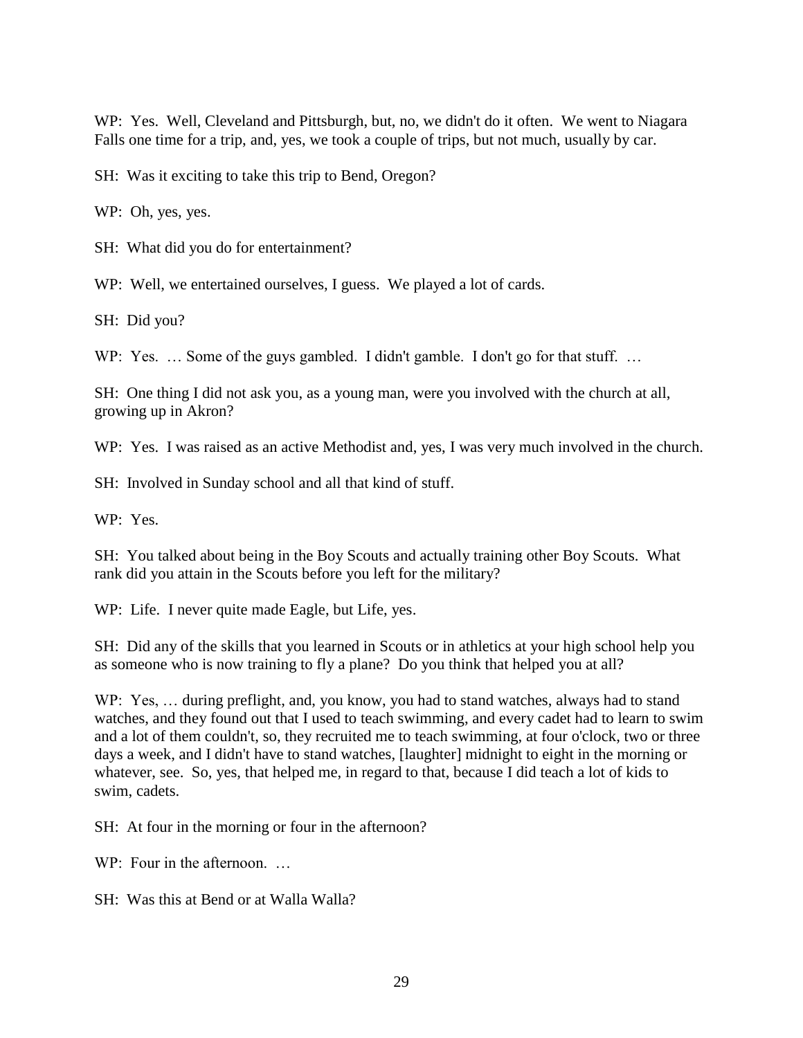WP: Yes. Well, Cleveland and Pittsburgh, but, no, we didn't do it often. We went to Niagara Falls one time for a trip, and, yes, we took a couple of trips, but not much, usually by car.

SH: Was it exciting to take this trip to Bend, Oregon?

WP: Oh, yes, yes.

SH: What did you do for entertainment?

WP: Well, we entertained ourselves, I guess. We played a lot of cards.

SH: Did you?

WP: Yes. ... Some of the guys gambled. I didn't gamble. I don't go for that stuff. ...

SH: One thing I did not ask you, as a young man, were you involved with the church at all, growing up in Akron?

WP: Yes. I was raised as an active Methodist and, yes, I was very much involved in the church.

SH: Involved in Sunday school and all that kind of stuff.

WP: Yes.

SH: You talked about being in the Boy Scouts and actually training other Boy Scouts. What rank did you attain in the Scouts before you left for the military?

WP: Life. I never quite made Eagle, but Life, yes.

SH: Did any of the skills that you learned in Scouts or in athletics at your high school help you as someone who is now training to fly a plane? Do you think that helped you at all?

WP: Yes, … during preflight, and, you know, you had to stand watches, always had to stand watches, and they found out that I used to teach swimming, and every cadet had to learn to swim and a lot of them couldn't, so, they recruited me to teach swimming, at four o'clock, two or three days a week, and I didn't have to stand watches, [laughter] midnight to eight in the morning or whatever, see. So, yes, that helped me, in regard to that, because I did teach a lot of kids to swim, cadets.

SH: At four in the morning or four in the afternoon?

 $WP: Four in the afternoon. \dots$ 

SH: Was this at Bend or at Walla Walla?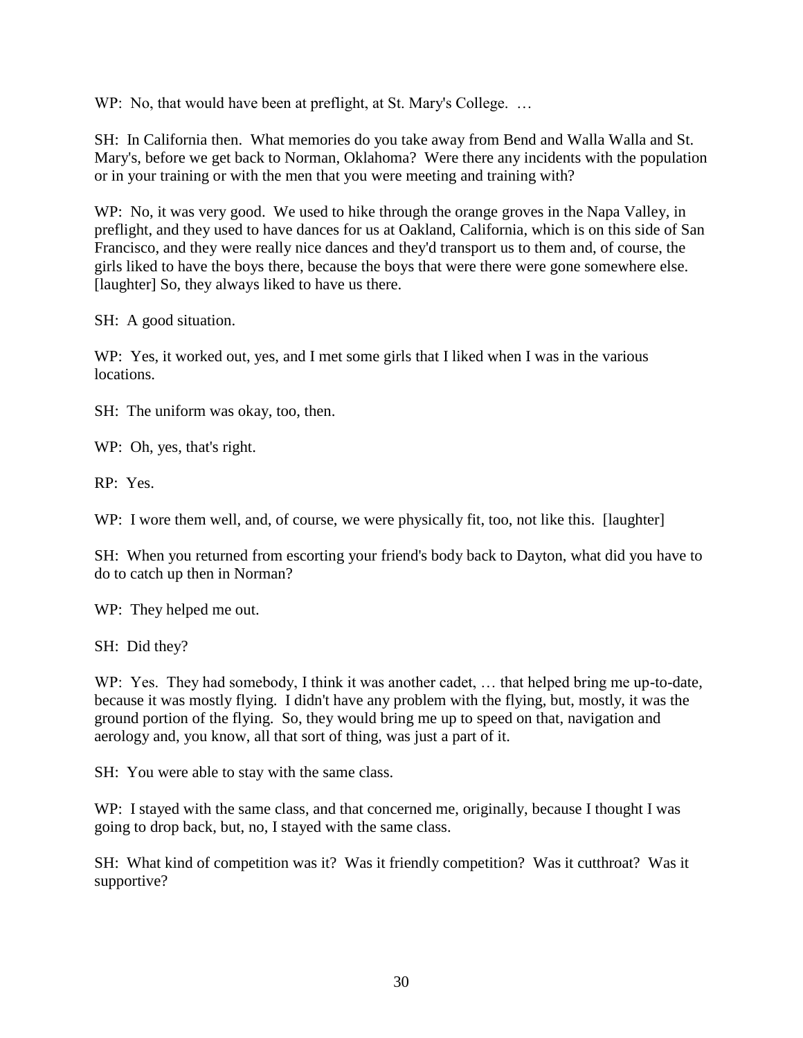WP: No, that would have been at preflight, at St. Mary's College. ...

SH: In California then. What memories do you take away from Bend and Walla Walla and St. Mary's, before we get back to Norman, Oklahoma? Were there any incidents with the population or in your training or with the men that you were meeting and training with?

WP: No, it was very good. We used to hike through the orange groves in the Napa Valley, in preflight, and they used to have dances for us at Oakland, California, which is on this side of San Francisco, and they were really nice dances and they'd transport us to them and, of course, the girls liked to have the boys there, because the boys that were there were gone somewhere else. [laughter] So, they always liked to have us there.

SH: A good situation.

WP: Yes, it worked out, yes, and I met some girls that I liked when I was in the various locations.

SH: The uniform was okay, too, then.

WP: Oh, yes, that's right.

RP: Yes.

WP: I wore them well, and, of course, we were physically fit, too, not like this. [laughter]

SH: When you returned from escorting your friend's body back to Dayton, what did you have to do to catch up then in Norman?

WP: They helped me out.

SH: Did they?

WP: Yes. They had somebody, I think it was another cadet, ... that helped bring me up-to-date, because it was mostly flying. I didn't have any problem with the flying, but, mostly, it was the ground portion of the flying. So, they would bring me up to speed on that, navigation and aerology and, you know, all that sort of thing, was just a part of it.

SH: You were able to stay with the same class.

WP: I stayed with the same class, and that concerned me, originally, because I thought I was going to drop back, but, no, I stayed with the same class.

SH: What kind of competition was it? Was it friendly competition? Was it cutthroat? Was it supportive?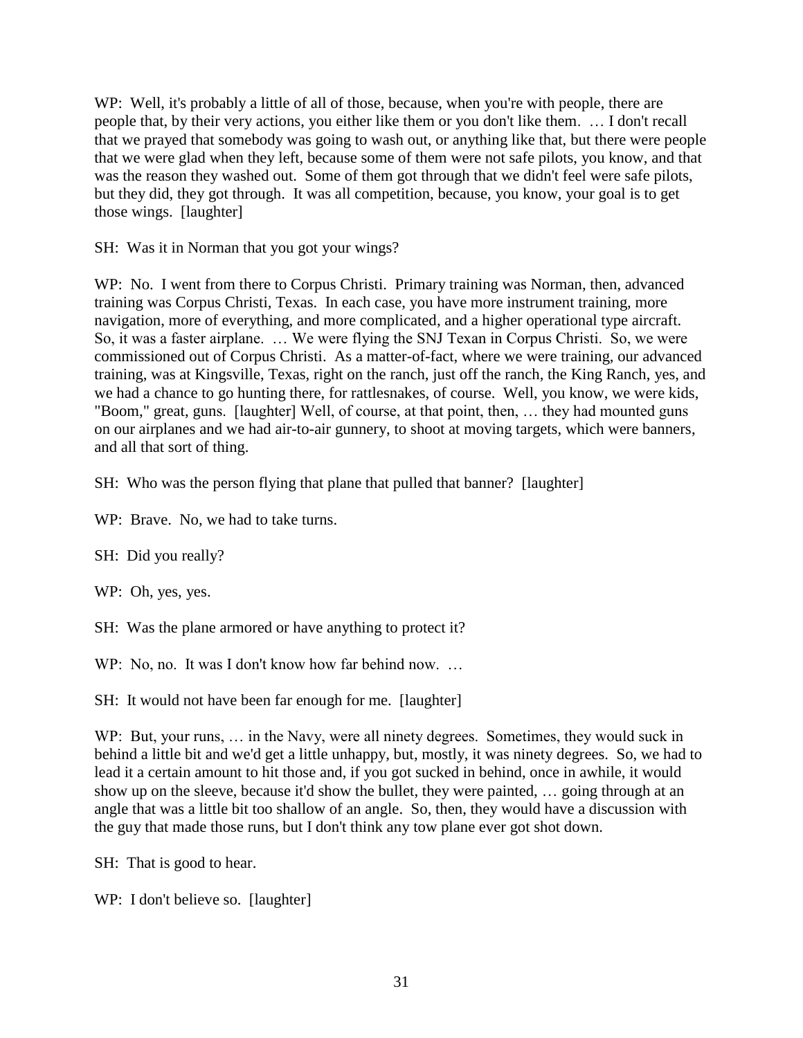WP: Well, it's probably a little of all of those, because, when you're with people, there are people that, by their very actions, you either like them or you don't like them. … I don't recall that we prayed that somebody was going to wash out, or anything like that, but there were people that we were glad when they left, because some of them were not safe pilots, you know, and that was the reason they washed out. Some of them got through that we didn't feel were safe pilots, but they did, they got through. It was all competition, because, you know, your goal is to get those wings. [laughter]

SH: Was it in Norman that you got your wings?

WP: No. I went from there to Corpus Christi. Primary training was Norman, then, advanced training was Corpus Christi, Texas. In each case, you have more instrument training, more navigation, more of everything, and more complicated, and a higher operational type aircraft. So, it was a faster airplane. … We were flying the SNJ Texan in Corpus Christi. So, we were commissioned out of Corpus Christi. As a matter-of-fact, where we were training, our advanced training, was at Kingsville, Texas, right on the ranch, just off the ranch, the King Ranch, yes, and we had a chance to go hunting there, for rattlesnakes, of course. Well, you know, we were kids, "Boom," great, guns. [laughter] Well, of course, at that point, then, … they had mounted guns on our airplanes and we had air-to-air gunnery, to shoot at moving targets, which were banners, and all that sort of thing.

SH: Who was the person flying that plane that pulled that banner? [laughter]

WP: Brave. No, we had to take turns.

SH: Did you really?

WP: Oh, yes, yes.

SH: Was the plane armored or have anything to protect it?

WP: No, no. It was I don't know how far behind now. ...

SH: It would not have been far enough for me. [laughter]

WP: But, your runs, ... in the Navy, were all ninety degrees. Sometimes, they would suck in behind a little bit and we'd get a little unhappy, but, mostly, it was ninety degrees. So, we had to lead it a certain amount to hit those and, if you got sucked in behind, once in awhile, it would show up on the sleeve, because it'd show the bullet, they were painted, … going through at an angle that was a little bit too shallow of an angle. So, then, they would have a discussion with the guy that made those runs, but I don't think any tow plane ever got shot down.

SH: That is good to hear.

WP: I don't believe so. [laughter]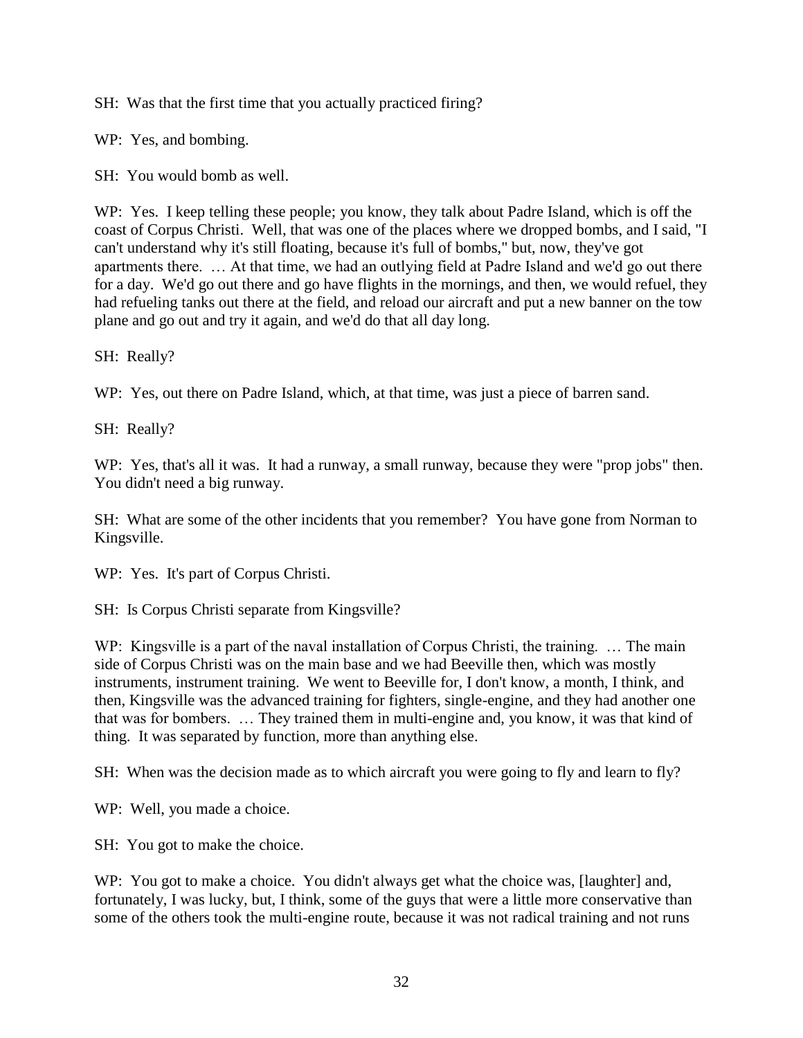SH: Was that the first time that you actually practiced firing?

WP: Yes, and bombing.

SH: You would bomb as well.

WP: Yes. I keep telling these people; you know, they talk about Padre Island, which is off the coast of Corpus Christi. Well, that was one of the places where we dropped bombs, and I said, "I can't understand why it's still floating, because it's full of bombs," but, now, they've got apartments there. … At that time, we had an outlying field at Padre Island and we'd go out there for a day. We'd go out there and go have flights in the mornings, and then, we would refuel, they had refueling tanks out there at the field, and reload our aircraft and put a new banner on the tow plane and go out and try it again, and we'd do that all day long.

SH: Really?

WP: Yes, out there on Padre Island, which, at that time, was just a piece of barren sand.

SH: Really?

WP: Yes, that's all it was. It had a runway, a small runway, because they were "prop jobs" then. You didn't need a big runway.

SH: What are some of the other incidents that you remember? You have gone from Norman to Kingsville.

WP: Yes. It's part of Corpus Christi.

SH: Is Corpus Christi separate from Kingsville?

WP: Kingsville is a part of the naval installation of Corpus Christi, the training. ... The main side of Corpus Christi was on the main base and we had Beeville then, which was mostly instruments, instrument training. We went to Beeville for, I don't know, a month, I think, and then, Kingsville was the advanced training for fighters, single-engine, and they had another one that was for bombers. … They trained them in multi-engine and, you know, it was that kind of thing. It was separated by function, more than anything else.

SH: When was the decision made as to which aircraft you were going to fly and learn to fly?

WP: Well, you made a choice.

SH: You got to make the choice.

WP: You got to make a choice. You didn't always get what the choice was, [laughter] and, fortunately, I was lucky, but, I think, some of the guys that were a little more conservative than some of the others took the multi-engine route, because it was not radical training and not runs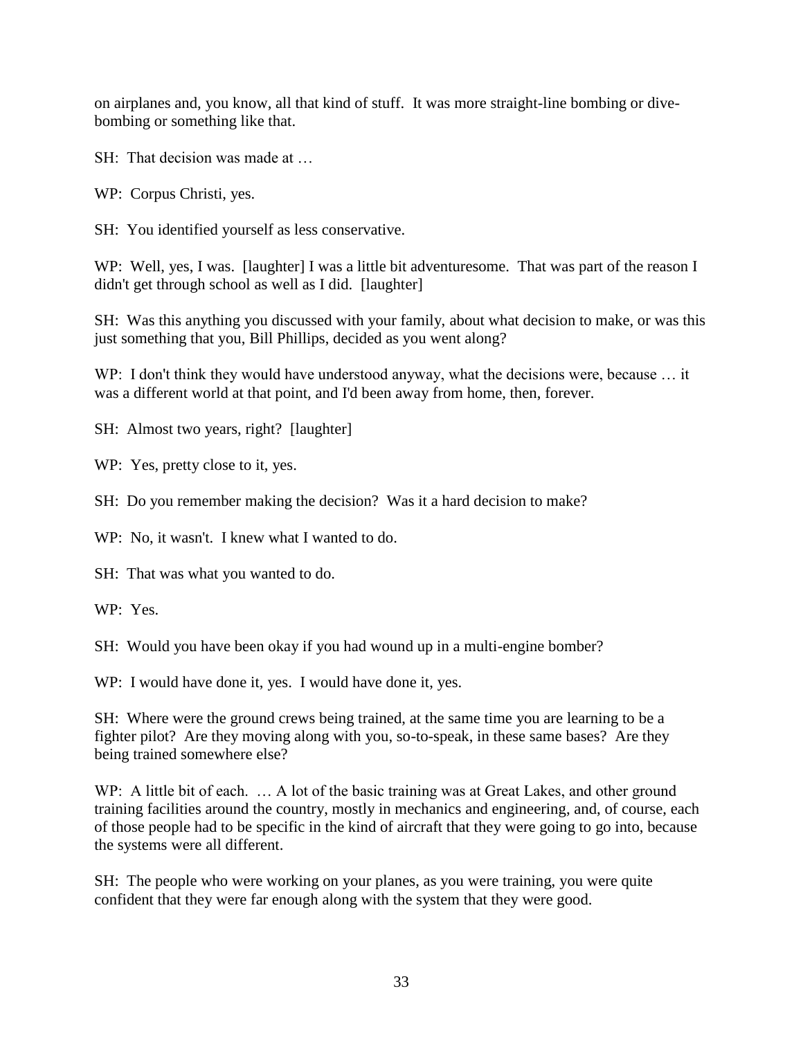on airplanes and, you know, all that kind of stuff. It was more straight-line bombing or divebombing or something like that.

SH: That decision was made at …

WP: Corpus Christi, yes.

SH: You identified yourself as less conservative.

WP: Well, yes, I was. [laughter] I was a little bit adventuresome. That was part of the reason I didn't get through school as well as I did. [laughter]

SH: Was this anything you discussed with your family, about what decision to make, or was this just something that you, Bill Phillips, decided as you went along?

WP: I don't think they would have understood anyway, what the decisions were, because ... it was a different world at that point, and I'd been away from home, then, forever.

SH: Almost two years, right? [laughter]

WP: Yes, pretty close to it, yes.

SH: Do you remember making the decision? Was it a hard decision to make?

WP: No, it wasn't. I knew what I wanted to do.

SH: That was what you wanted to do.

WP: Yes.

SH: Would you have been okay if you had wound up in a multi-engine bomber?

WP: I would have done it, yes. I would have done it, yes.

SH: Where were the ground crews being trained, at the same time you are learning to be a fighter pilot? Are they moving along with you, so-to-speak, in these same bases? Are they being trained somewhere else?

WP: A little bit of each. ... A lot of the basic training was at Great Lakes, and other ground training facilities around the country, mostly in mechanics and engineering, and, of course, each of those people had to be specific in the kind of aircraft that they were going to go into, because the systems were all different.

SH: The people who were working on your planes, as you were training, you were quite confident that they were far enough along with the system that they were good.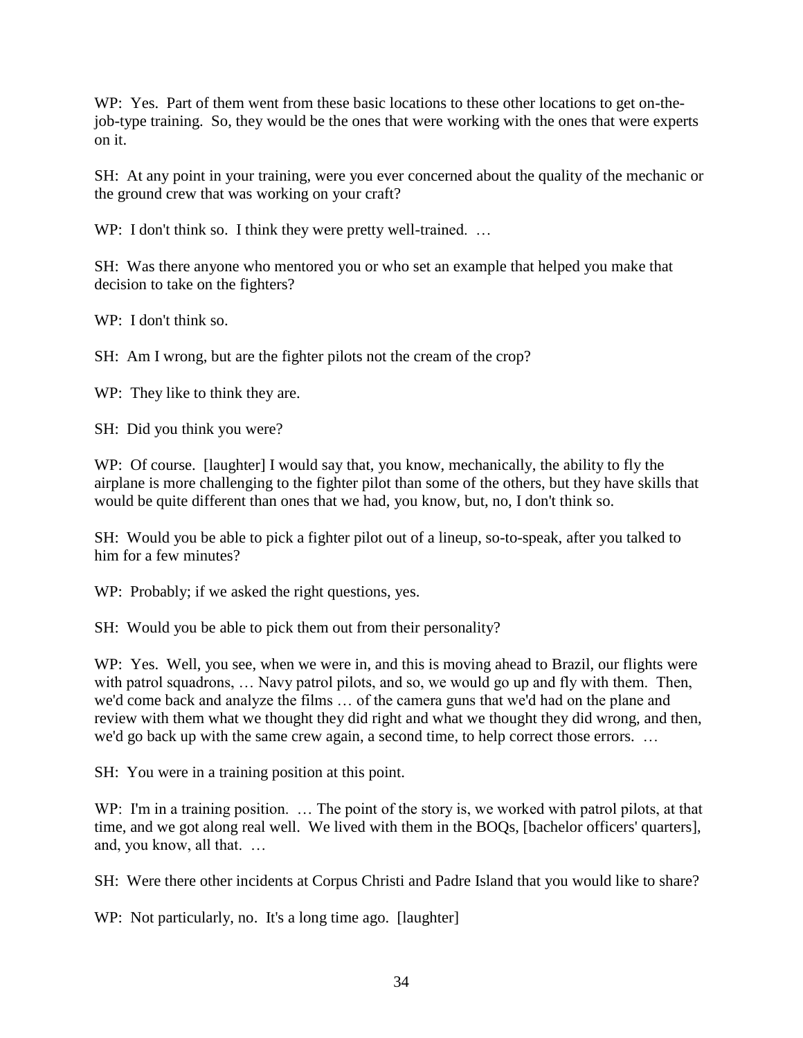WP: Yes. Part of them went from these basic locations to these other locations to get on-thejob-type training. So, they would be the ones that were working with the ones that were experts on it.

SH: At any point in your training, were you ever concerned about the quality of the mechanic or the ground crew that was working on your craft?

WP: I don't think so. I think they were pretty well-trained. ...

SH: Was there anyone who mentored you or who set an example that helped you make that decision to take on the fighters?

WP: I don't think so.

SH: Am I wrong, but are the fighter pilots not the cream of the crop?

WP: They like to think they are.

SH: Did you think you were?

WP: Of course. [laughter] I would say that, you know, mechanically, the ability to fly the airplane is more challenging to the fighter pilot than some of the others, but they have skills that would be quite different than ones that we had, you know, but, no, I don't think so.

SH: Would you be able to pick a fighter pilot out of a lineup, so-to-speak, after you talked to him for a few minutes?

WP: Probably; if we asked the right questions, yes.

SH: Would you be able to pick them out from their personality?

WP: Yes. Well, you see, when we were in, and this is moving ahead to Brazil, our flights were with patrol squadrons, ... Navy patrol pilots, and so, we would go up and fly with them. Then, we'd come back and analyze the films … of the camera guns that we'd had on the plane and review with them what we thought they did right and what we thought they did wrong, and then, we'd go back up with the same crew again, a second time, to help correct those errors. …

SH: You were in a training position at this point.

WP: I'm in a training position. ... The point of the story is, we worked with patrol pilots, at that time, and we got along real well. We lived with them in the BOQs, [bachelor officers' quarters], and, you know, all that. …

SH: Were there other incidents at Corpus Christi and Padre Island that you would like to share?

WP: Not particularly, no. It's a long time ago. [laughter]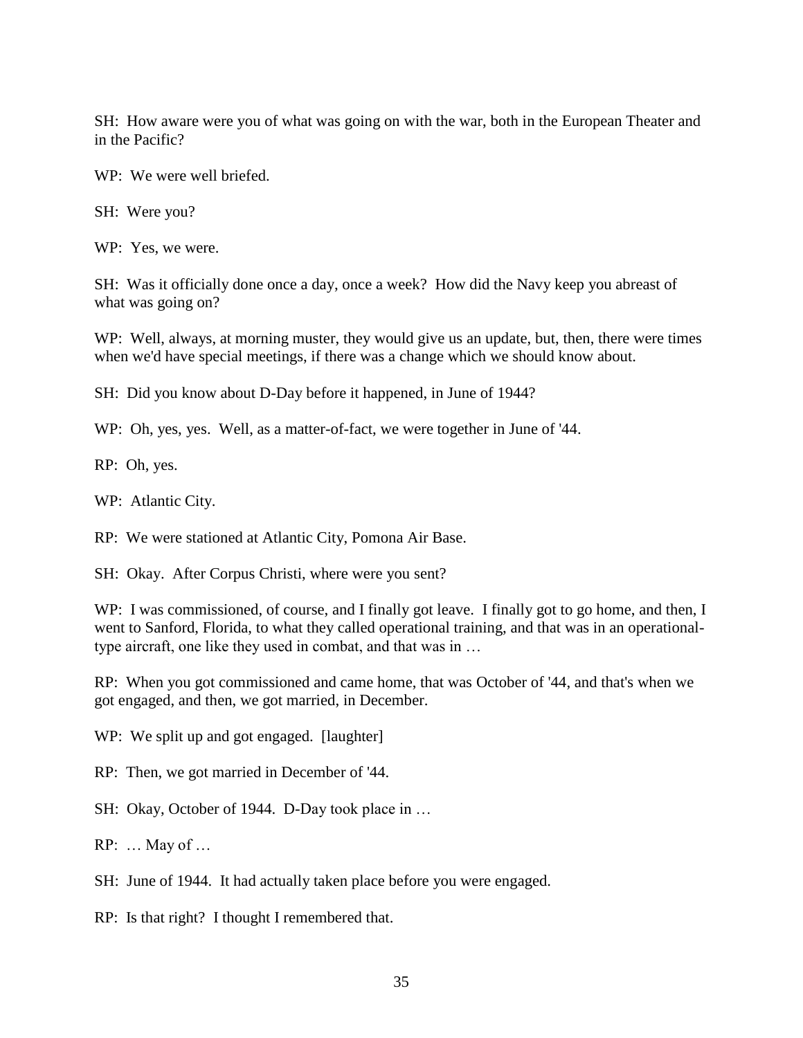SH: How aware were you of what was going on with the war, both in the European Theater and in the Pacific?

WP: We were well briefed.

SH: Were you?

WP: Yes, we were.

SH: Was it officially done once a day, once a week? How did the Navy keep you abreast of what was going on?

WP: Well, always, at morning muster, they would give us an update, but, then, there were times when we'd have special meetings, if there was a change which we should know about.

SH: Did you know about D-Day before it happened, in June of 1944?

WP: Oh, yes, yes. Well, as a matter-of-fact, we were together in June of '44.

RP: Oh, yes.

WP: Atlantic City.

RP: We were stationed at Atlantic City, Pomona Air Base.

SH: Okay. After Corpus Christi, where were you sent?

WP: I was commissioned, of course, and I finally got leave. I finally got to go home, and then, I went to Sanford, Florida, to what they called operational training, and that was in an operationaltype aircraft, one like they used in combat, and that was in …

RP: When you got commissioned and came home, that was October of '44, and that's when we got engaged, and then, we got married, in December.

WP: We split up and got engaged. [laughter]

RP: Then, we got married in December of '44.

SH: Okay, October of 1944. D-Day took place in ...

RP: … May of …

SH: June of 1944. It had actually taken place before you were engaged.

RP: Is that right? I thought I remembered that.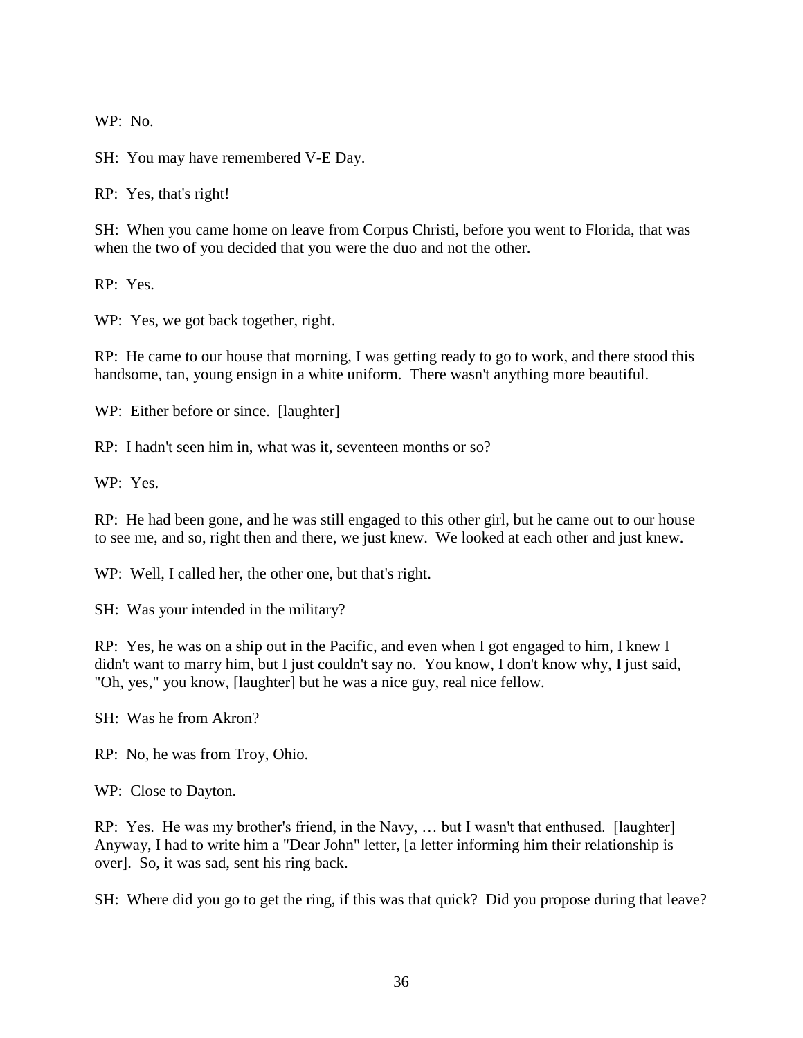WP: No.

SH: You may have remembered V-E Day.

RP: Yes, that's right!

SH: When you came home on leave from Corpus Christi, before you went to Florida, that was when the two of you decided that you were the duo and not the other.

RP: Yes.

WP: Yes, we got back together, right.

RP: He came to our house that morning, I was getting ready to go to work, and there stood this handsome, tan, young ensign in a white uniform. There wasn't anything more beautiful.

WP: Either before or since. [laughter]

RP: I hadn't seen him in, what was it, seventeen months or so?

WP: Yes.

RP: He had been gone, and he was still engaged to this other girl, but he came out to our house to see me, and so, right then and there, we just knew. We looked at each other and just knew.

WP: Well, I called her, the other one, but that's right.

SH: Was your intended in the military?

RP: Yes, he was on a ship out in the Pacific, and even when I got engaged to him, I knew I didn't want to marry him, but I just couldn't say no. You know, I don't know why, I just said, "Oh, yes," you know, [laughter] but he was a nice guy, real nice fellow.

SH: Was he from Akron?

RP: No, he was from Troy, Ohio.

WP: Close to Dayton.

RP: Yes. He was my brother's friend, in the Navy, … but I wasn't that enthused. [laughter] Anyway, I had to write him a "Dear John" letter, [a letter informing him their relationship is over]. So, it was sad, sent his ring back.

SH: Where did you go to get the ring, if this was that quick? Did you propose during that leave?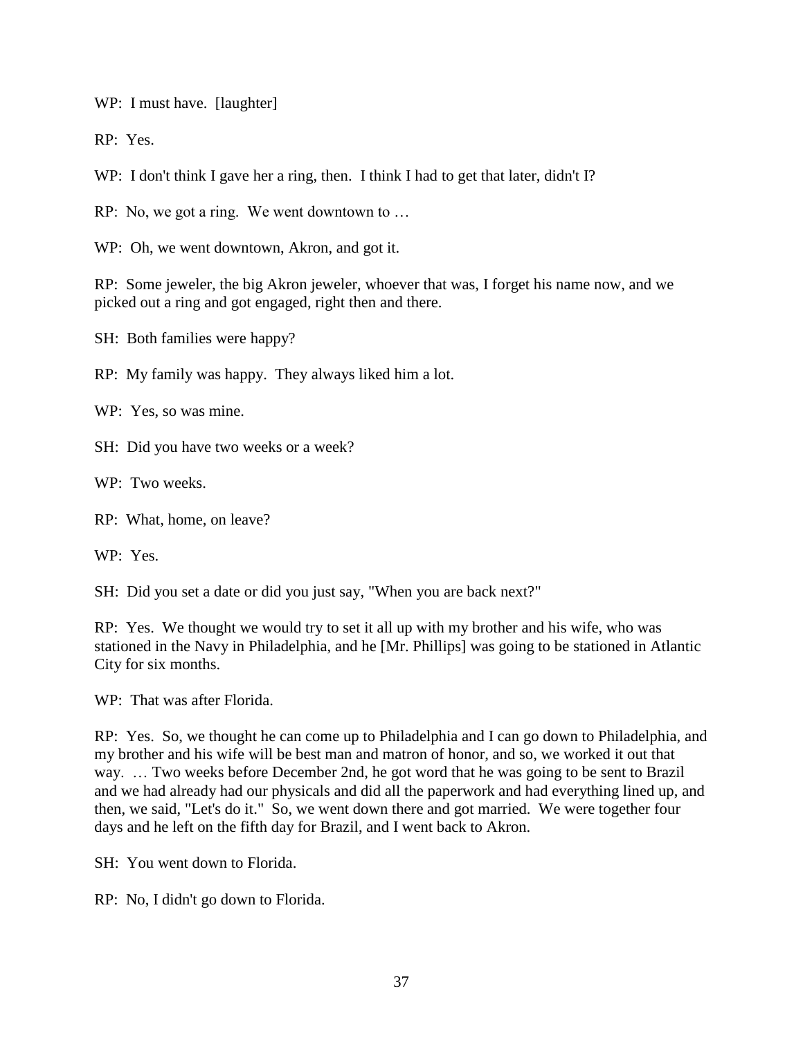WP: I must have. [laughter]

RP: Yes.

WP: I don't think I gave her a ring, then. I think I had to get that later, didn't I?

RP: No, we got a ring. We went downtown to …

WP: Oh, we went downtown, Akron, and got it.

RP: Some jeweler, the big Akron jeweler, whoever that was, I forget his name now, and we picked out a ring and got engaged, right then and there.

SH: Both families were happy?

RP: My family was happy. They always liked him a lot.

WP: Yes, so was mine.

SH: Did you have two weeks or a week?

WP: Two weeks.

RP: What, home, on leave?

WP: Yes.

SH: Did you set a date or did you just say, "When you are back next?"

RP: Yes. We thought we would try to set it all up with my brother and his wife, who was stationed in the Navy in Philadelphia, and he [Mr. Phillips] was going to be stationed in Atlantic City for six months.

WP: That was after Florida.

RP: Yes. So, we thought he can come up to Philadelphia and I can go down to Philadelphia, and my brother and his wife will be best man and matron of honor, and so, we worked it out that way. … Two weeks before December 2nd, he got word that he was going to be sent to Brazil and we had already had our physicals and did all the paperwork and had everything lined up, and then, we said, "Let's do it." So, we went down there and got married. We were together four days and he left on the fifth day for Brazil, and I went back to Akron.

SH: You went down to Florida.

RP: No, I didn't go down to Florida.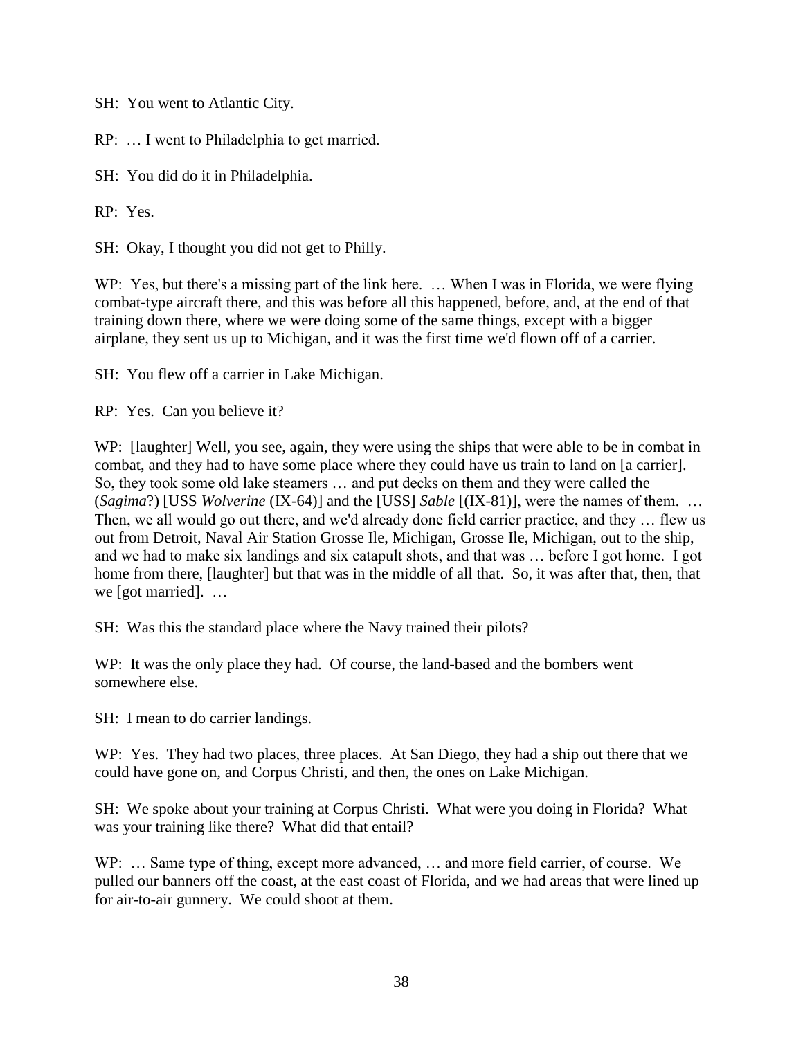SH: You went to Atlantic City.

RP: … I went to Philadelphia to get married.

SH: You did do it in Philadelphia.

RP: Yes.

SH: Okay, I thought you did not get to Philly.

WP: Yes, but there's a missing part of the link here. ... When I was in Florida, we were flying combat-type aircraft there, and this was before all this happened, before, and, at the end of that training down there, where we were doing some of the same things, except with a bigger airplane, they sent us up to Michigan, and it was the first time we'd flown off of a carrier.

SH: You flew off a carrier in Lake Michigan.

RP: Yes. Can you believe it?

WP: [laughter] Well, you see, again, they were using the ships that were able to be in combat in combat, and they had to have some place where they could have us train to land on [a carrier]. So, they took some old lake steamers … and put decks on them and they were called the (*Sagima*?) [USS *Wolverine* (IX-64)] and the [USS] *Sable* [(IX-81)], were the names of them. … Then, we all would go out there, and we'd already done field carrier practice, and they … flew us out from Detroit, Naval Air Station Grosse Ile, Michigan, Grosse Ile, Michigan, out to the ship, and we had to make six landings and six catapult shots, and that was … before I got home. I got home from there, [laughter] but that was in the middle of all that. So, it was after that, then, that we [got married]. …

SH: Was this the standard place where the Navy trained their pilots?

WP: It was the only place they had. Of course, the land-based and the bombers went somewhere else.

SH: I mean to do carrier landings.

WP: Yes. They had two places, three places. At San Diego, they had a ship out there that we could have gone on, and Corpus Christi, and then, the ones on Lake Michigan.

SH: We spoke about your training at Corpus Christi. What were you doing in Florida? What was your training like there? What did that entail?

WP: ... Same type of thing, except more advanced, ... and more field carrier, of course. We pulled our banners off the coast, at the east coast of Florida, and we had areas that were lined up for air-to-air gunnery. We could shoot at them.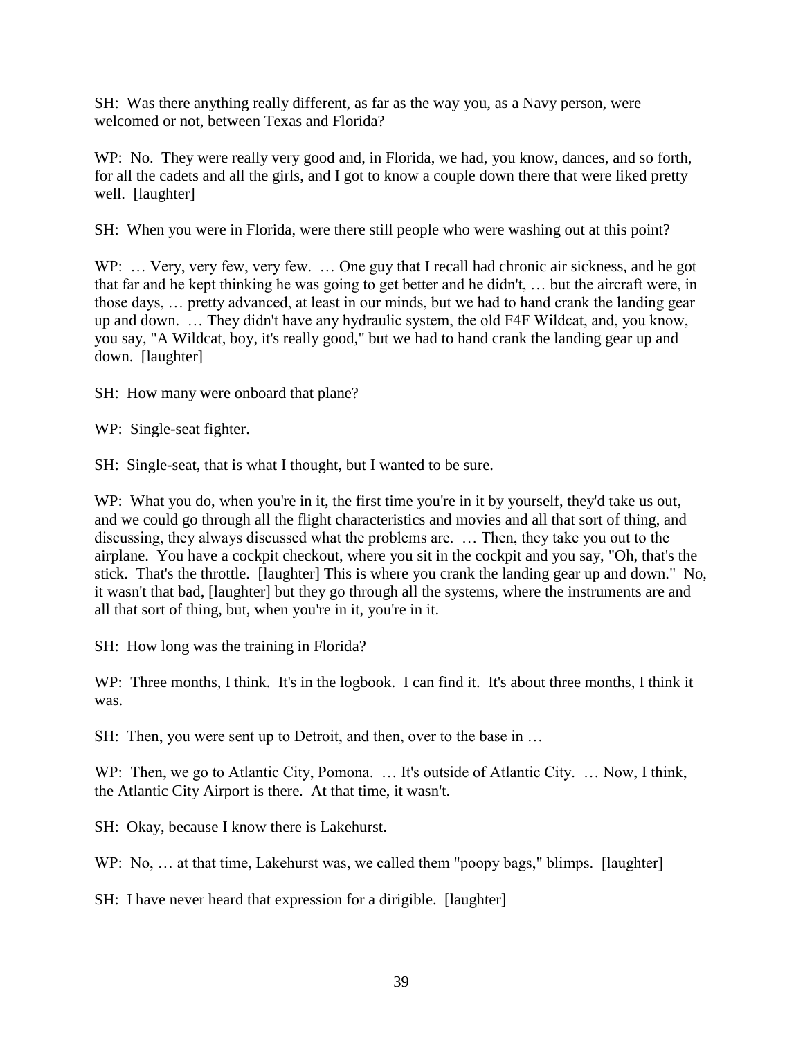SH: Was there anything really different, as far as the way you, as a Navy person, were welcomed or not, between Texas and Florida?

WP: No. They were really very good and, in Florida, we had, you know, dances, and so forth, for all the cadets and all the girls, and I got to know a couple down there that were liked pretty well. [laughter]

SH: When you were in Florida, were there still people who were washing out at this point?

WP: ... Very, very few, very few. ... One guy that I recall had chronic air sickness, and he got that far and he kept thinking he was going to get better and he didn't, … but the aircraft were, in those days, … pretty advanced, at least in our minds, but we had to hand crank the landing gear up and down. … They didn't have any hydraulic system, the old F4F Wildcat, and, you know, you say, "A Wildcat, boy, it's really good," but we had to hand crank the landing gear up and down. [laughter]

SH: How many were onboard that plane?

WP: Single-seat fighter.

SH: Single-seat, that is what I thought, but I wanted to be sure.

WP: What you do, when you're in it, the first time you're in it by yourself, they'd take us out, and we could go through all the flight characteristics and movies and all that sort of thing, and discussing, they always discussed what the problems are. … Then, they take you out to the airplane. You have a cockpit checkout, where you sit in the cockpit and you say, "Oh, that's the stick. That's the throttle. [laughter] This is where you crank the landing gear up and down." No, it wasn't that bad, [laughter] but they go through all the systems, where the instruments are and all that sort of thing, but, when you're in it, you're in it.

SH: How long was the training in Florida?

WP: Three months, I think. It's in the logbook. I can find it. It's about three months, I think it was.

SH: Then, you were sent up to Detroit, and then, over to the base in ...

WP: Then, we go to Atlantic City, Pomona. ... It's outside of Atlantic City. ... Now, I think, the Atlantic City Airport is there. At that time, it wasn't.

SH: Okay, because I know there is Lakehurst.

WP: No, ... at that time, Lakehurst was, we called them "poopy bags," blimps. [laughter]

SH: I have never heard that expression for a dirigible. [laughter]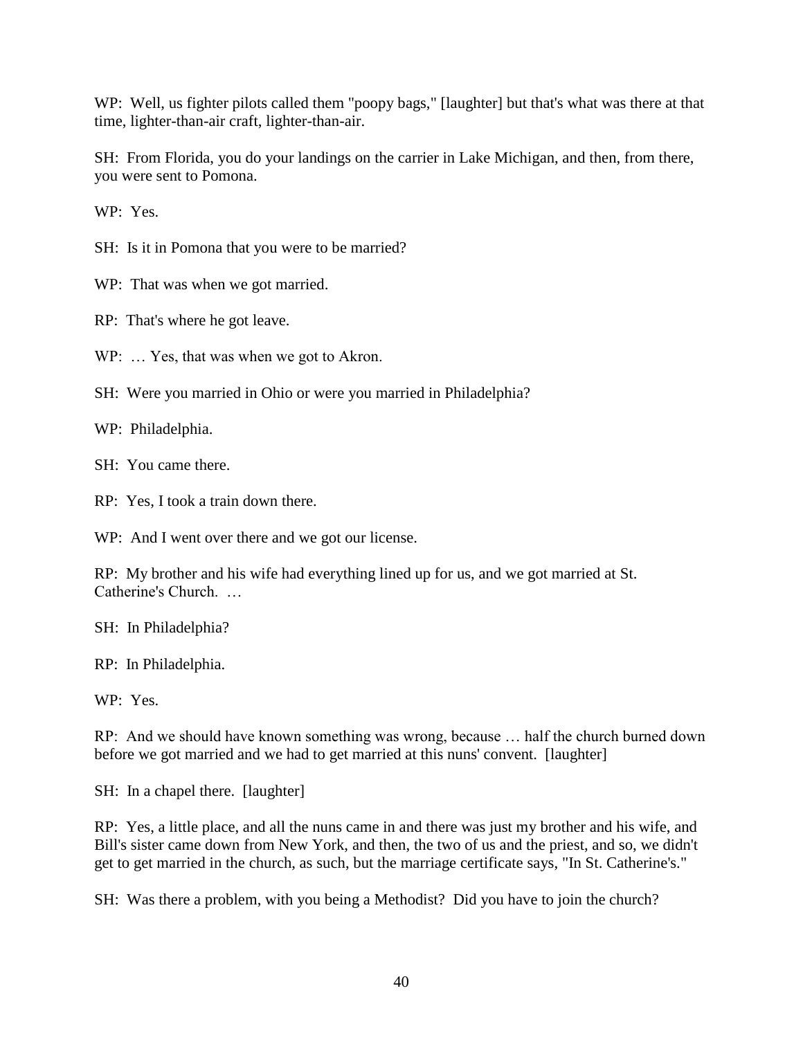WP: Well, us fighter pilots called them "poopy bags," [laughter] but that's what was there at that time, lighter-than-air craft, lighter-than-air.

SH: From Florida, you do your landings on the carrier in Lake Michigan, and then, from there, you were sent to Pomona.

WP: Yes.

SH: Is it in Pomona that you were to be married?

WP: That was when we got married.

RP: That's where he got leave.

WP: ... Yes, that was when we got to Akron.

SH: Were you married in Ohio or were you married in Philadelphia?

WP: Philadelphia.

SH: You came there.

RP: Yes, I took a train down there.

WP: And I went over there and we got our license.

RP: My brother and his wife had everything lined up for us, and we got married at St. Catherine's Church. …

SH: In Philadelphia?

RP: In Philadelphia.

WP: Yes.

RP: And we should have known something was wrong, because … half the church burned down before we got married and we had to get married at this nuns' convent. [laughter]

SH: In a chapel there. [laughter]

RP: Yes, a little place, and all the nuns came in and there was just my brother and his wife, and Bill's sister came down from New York, and then, the two of us and the priest, and so, we didn't get to get married in the church, as such, but the marriage certificate says, "In St. Catherine's."

SH: Was there a problem, with you being a Methodist? Did you have to join the church?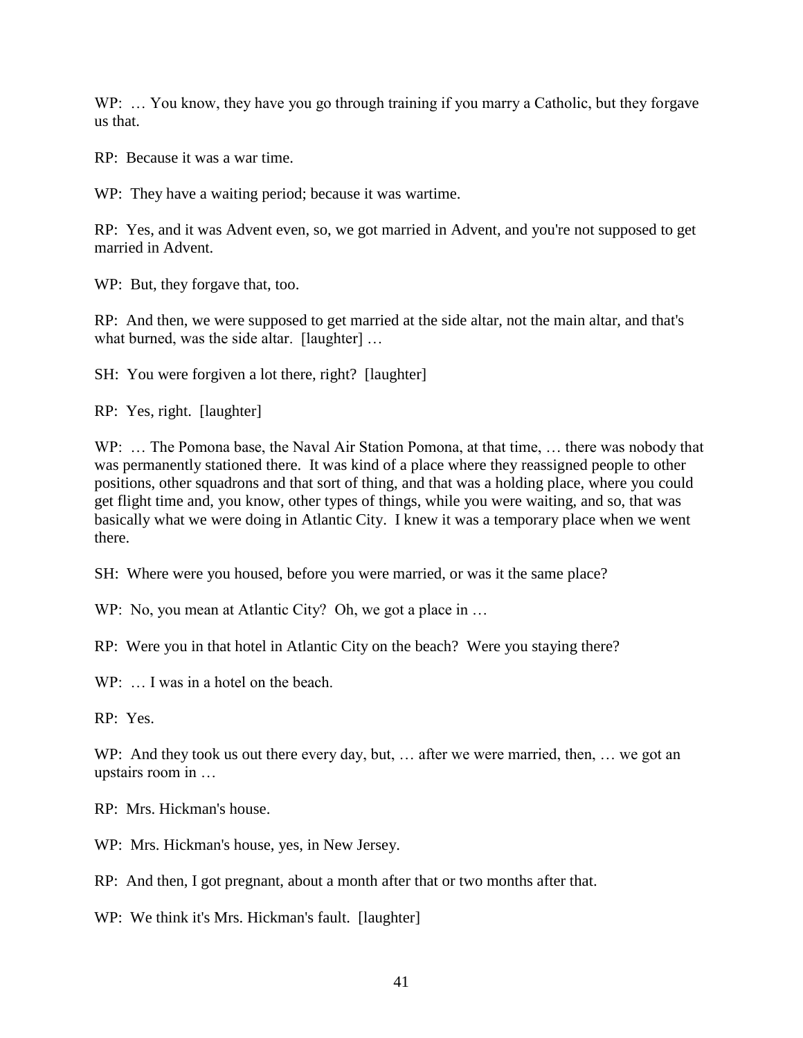WP: ... You know, they have you go through training if you marry a Catholic, but they forgave us that.

RP: Because it was a war time.

WP: They have a waiting period; because it was wartime.

RP: Yes, and it was Advent even, so, we got married in Advent, and you're not supposed to get married in Advent.

WP: But, they forgave that, too.

RP: And then, we were supposed to get married at the side altar, not the main altar, and that's what burned, was the side altar. [laughter] ...

SH: You were forgiven a lot there, right? [laughter]

RP: Yes, right. [laughter]

WP: … The Pomona base, the Naval Air Station Pomona, at that time, … there was nobody that was permanently stationed there. It was kind of a place where they reassigned people to other positions, other squadrons and that sort of thing, and that was a holding place, where you could get flight time and, you know, other types of things, while you were waiting, and so, that was basically what we were doing in Atlantic City. I knew it was a temporary place when we went there.

SH: Where were you housed, before you were married, or was it the same place?

WP: No, you mean at Atlantic City? Oh, we got a place in ...

RP: Were you in that hotel in Atlantic City on the beach? Were you staying there?

WP: ... I was in a hotel on the beach.

RP: Yes.

WP: And they took us out there every day, but, ... after we were married, then, ... we got an upstairs room in …

RP: Mrs. Hickman's house.

WP: Mrs. Hickman's house, yes, in New Jersey.

RP: And then, I got pregnant, about a month after that or two months after that.

WP: We think it's Mrs. Hickman's fault. [laughter]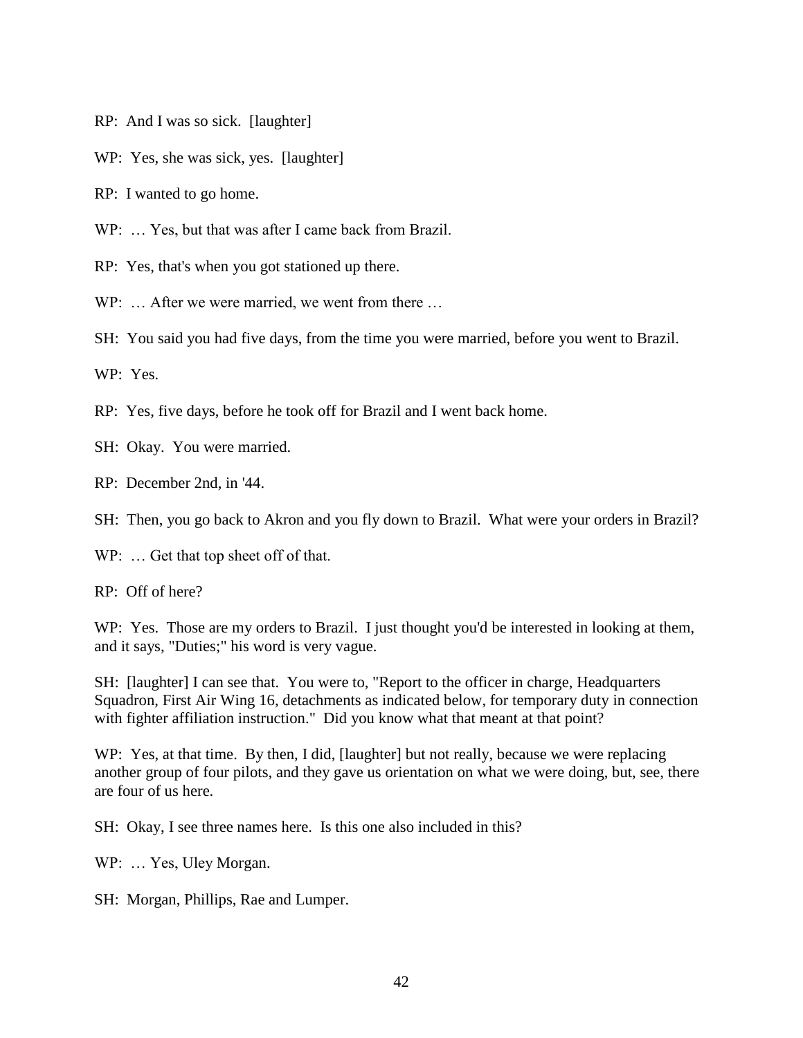- RP: And I was so sick. [laughter]
- WP: Yes, she was sick, yes. [laughter]
- RP: I wanted to go home.
- WP: ... Yes, but that was after I came back from Brazil.
- RP: Yes, that's when you got stationed up there.

WP: ... After we were married, we went from there ...

SH: You said you had five days, from the time you were married, before you went to Brazil.

WP: Yes.

- RP: Yes, five days, before he took off for Brazil and I went back home.
- SH: Okay. You were married.
- RP: December 2nd, in '44.
- SH: Then, you go back to Akron and you fly down to Brazil. What were your orders in Brazil?
- WP: ... Get that top sheet off of that.

RP: Off of here?

WP: Yes. Those are my orders to Brazil. I just thought you'd be interested in looking at them, and it says, "Duties;" his word is very vague.

SH: [laughter] I can see that. You were to, "Report to the officer in charge, Headquarters Squadron, First Air Wing 16, detachments as indicated below, for temporary duty in connection with fighter affiliation instruction." Did you know what that meant at that point?

WP: Yes, at that time. By then, I did, [laughter] but not really, because we were replacing another group of four pilots, and they gave us orientation on what we were doing, but, see, there are four of us here.

SH: Okay, I see three names here. Is this one also included in this?

WP: ... Yes, Uley Morgan.

SH: Morgan, Phillips, Rae and Lumper.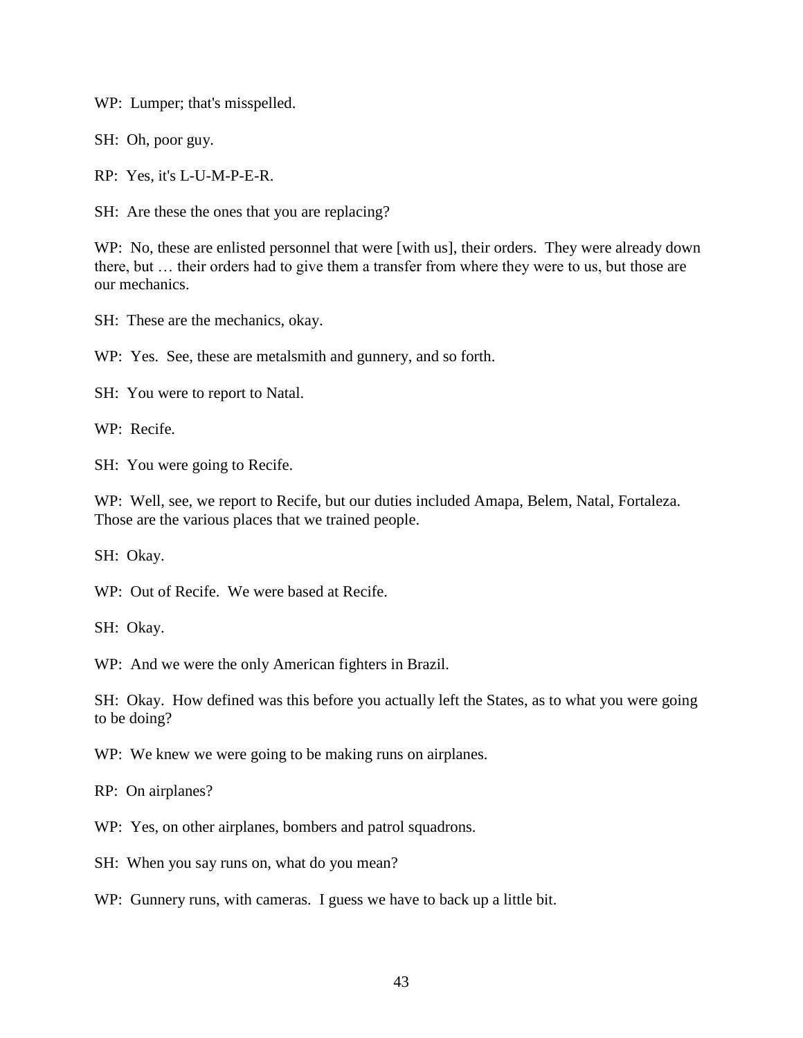WP: Lumper; that's misspelled.

SH: Oh, poor guy.

RP: Yes, it's L-U-M-P-E-R.

SH: Are these the ones that you are replacing?

WP: No, these are enlisted personnel that were [with us], their orders. They were already down there, but … their orders had to give them a transfer from where they were to us, but those are our mechanics.

SH: These are the mechanics, okay.

WP: Yes. See, these are metalsmith and gunnery, and so forth.

SH: You were to report to Natal.

WP: Recife.

SH: You were going to Recife.

WP: Well, see, we report to Recife, but our duties included Amapa, Belem, Natal, Fortaleza. Those are the various places that we trained people.

SH: Okay.

WP: Out of Recife. We were based at Recife.

SH: Okay.

WP: And we were the only American fighters in Brazil.

SH: Okay. How defined was this before you actually left the States, as to what you were going to be doing?

WP: We knew we were going to be making runs on airplanes.

RP: On airplanes?

WP: Yes, on other airplanes, bombers and patrol squadrons.

SH: When you say runs on, what do you mean?

WP: Gunnery runs, with cameras. I guess we have to back up a little bit.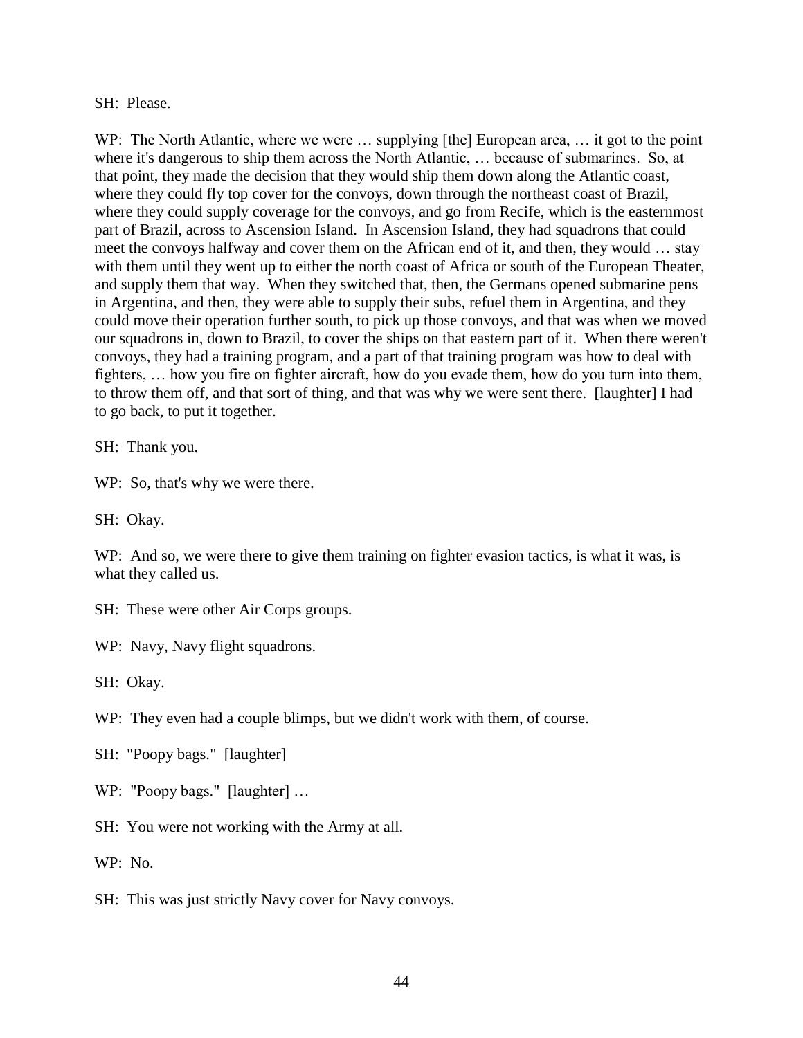#### SH: Please.

WP: The North Atlantic, where we were ... supplying [the] European area, ... it got to the point where it's dangerous to ship them across the North Atlantic, … because of submarines. So, at that point, they made the decision that they would ship them down along the Atlantic coast, where they could fly top cover for the convoys, down through the northeast coast of Brazil, where they could supply coverage for the convoys, and go from Recife, which is the easternmost part of Brazil, across to Ascension Island. In Ascension Island, they had squadrons that could meet the convoys halfway and cover them on the African end of it, and then, they would … stay with them until they went up to either the north coast of Africa or south of the European Theater, and supply them that way. When they switched that, then, the Germans opened submarine pens in Argentina, and then, they were able to supply their subs, refuel them in Argentina, and they could move their operation further south, to pick up those convoys, and that was when we moved our squadrons in, down to Brazil, to cover the ships on that eastern part of it. When there weren't convoys, they had a training program, and a part of that training program was how to deal with fighters, … how you fire on fighter aircraft, how do you evade them, how do you turn into them, to throw them off, and that sort of thing, and that was why we were sent there. [laughter] I had to go back, to put it together.

SH: Thank you.

WP: So, that's why we were there.

SH: Okay.

WP: And so, we were there to give them training on fighter evasion tactics, is what it was, is what they called us.

SH: These were other Air Corps groups.

WP: Navy, Navy flight squadrons.

SH: Okay.

WP: They even had a couple blimps, but we didn't work with them, of course.

- SH: "Poopy bags." [laughter]
- WP: "Poopy bags." [laughter] …
- SH: You were not working with the Army at all.

WP: No.

SH: This was just strictly Navy cover for Navy convoys.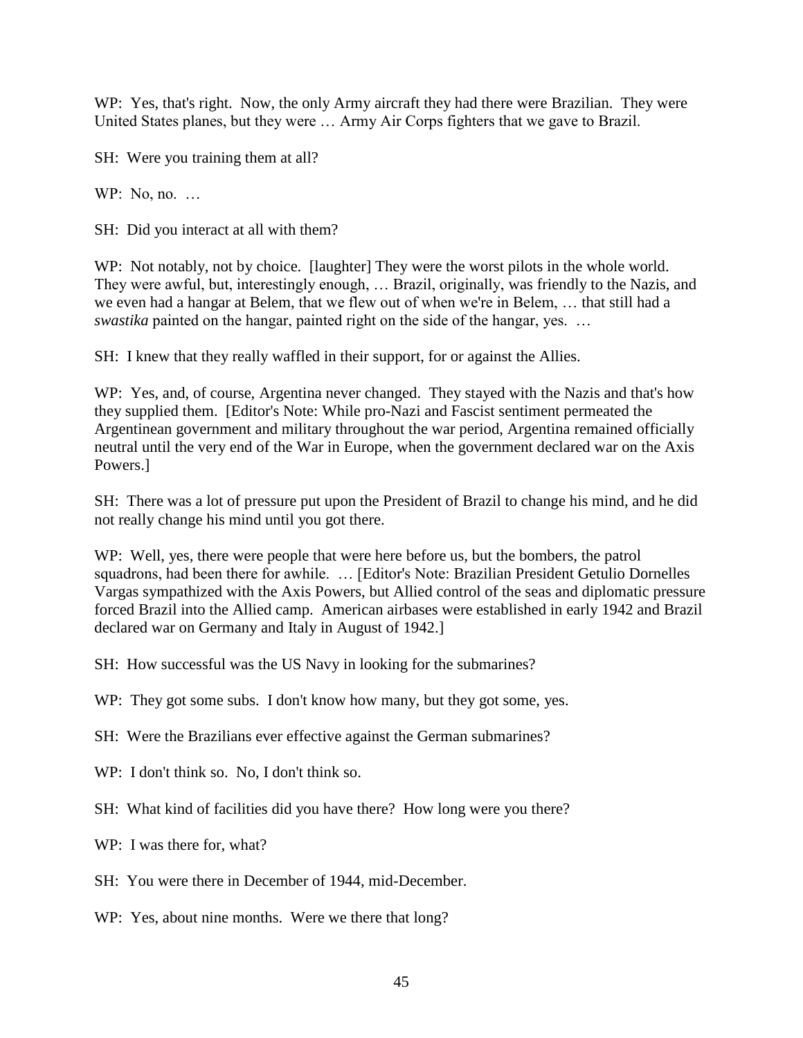WP: Yes, that's right. Now, the only Army aircraft they had there were Brazilian. They were United States planes, but they were … Army Air Corps fighters that we gave to Brazil.

SH: Were you training them at all?

WP: No, no. ...

SH: Did you interact at all with them?

WP: Not notably, not by choice. [laughter] They were the worst pilots in the whole world. They were awful, but, interestingly enough, … Brazil, originally, was friendly to the Nazis, and we even had a hangar at Belem, that we flew out of when we're in Belem, … that still had a *swastika* painted on the hangar, painted right on the side of the hangar, yes. …

SH: I knew that they really waffled in their support, for or against the Allies.

WP: Yes, and, of course, Argentina never changed. They stayed with the Nazis and that's how they supplied them. [Editor's Note: While pro-Nazi and Fascist sentiment permeated the Argentinean government and military throughout the war period, Argentina remained officially neutral until the very end of the War in Europe, when the government declared war on the Axis Powers.]

SH: There was a lot of pressure put upon the President of Brazil to change his mind, and he did not really change his mind until you got there.

WP: Well, yes, there were people that were here before us, but the bombers, the patrol squadrons, had been there for awhile. … [Editor's Note: Brazilian President Getulio Dornelles Vargas sympathized with the Axis Powers, but Allied control of the seas and diplomatic pressure forced Brazil into the Allied camp. American airbases were established in early 1942 and Brazil declared war on Germany and Italy in August of 1942.]

SH: How successful was the US Navy in looking for the submarines?

WP: They got some subs. I don't know how many, but they got some, yes.

SH: Were the Brazilians ever effective against the German submarines?

- WP: I don't think so. No. I don't think so.
- SH: What kind of facilities did you have there? How long were you there?

WP: I was there for, what?

- SH: You were there in December of 1944, mid-December.
- WP: Yes, about nine months. Were we there that long?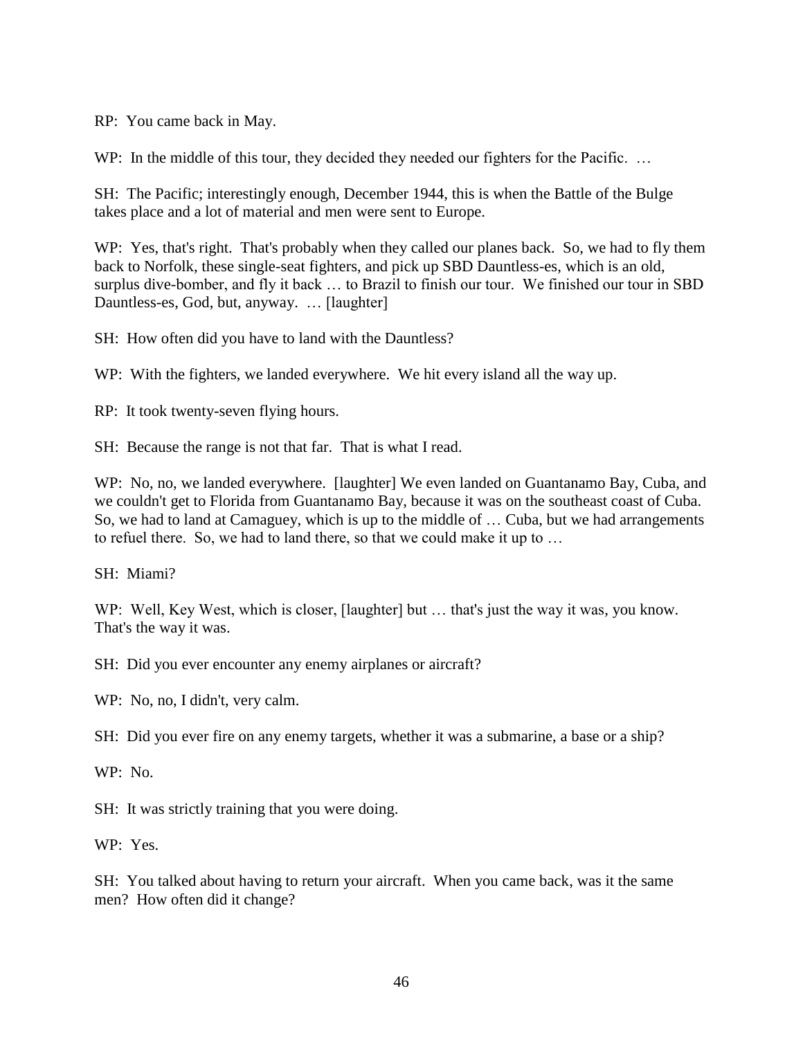RP: You came back in May.

WP: In the middle of this tour, they decided they needed our fighters for the Pacific. ...

SH: The Pacific; interestingly enough, December 1944, this is when the Battle of the Bulge takes place and a lot of material and men were sent to Europe.

WP: Yes, that's right. That's probably when they called our planes back. So, we had to fly them back to Norfolk, these single-seat fighters, and pick up SBD Dauntless-es, which is an old, surplus dive-bomber, and fly it back … to Brazil to finish our tour. We finished our tour in SBD Dauntless-es, God, but, anyway. … [laughter]

SH: How often did you have to land with the Dauntless?

WP: With the fighters, we landed everywhere. We hit every island all the way up.

RP: It took twenty-seven flying hours.

SH: Because the range is not that far. That is what I read.

WP: No, no, we landed everywhere. [laughter] We even landed on Guantanamo Bay, Cuba, and we couldn't get to Florida from Guantanamo Bay, because it was on the southeast coast of Cuba. So, we had to land at Camaguey, which is up to the middle of … Cuba, but we had arrangements to refuel there. So, we had to land there, so that we could make it up to …

SH: Miami?

WP: Well, Key West, which is closer, [laughter] but ... that's just the way it was, you know. That's the way it was.

SH: Did you ever encounter any enemy airplanes or aircraft?

WP: No, no, I didn't, very calm.

SH: Did you ever fire on any enemy targets, whether it was a submarine, a base or a ship?

WP: No.

SH: It was strictly training that you were doing.

WP: Yes.

SH: You talked about having to return your aircraft. When you came back, was it the same men? How often did it change?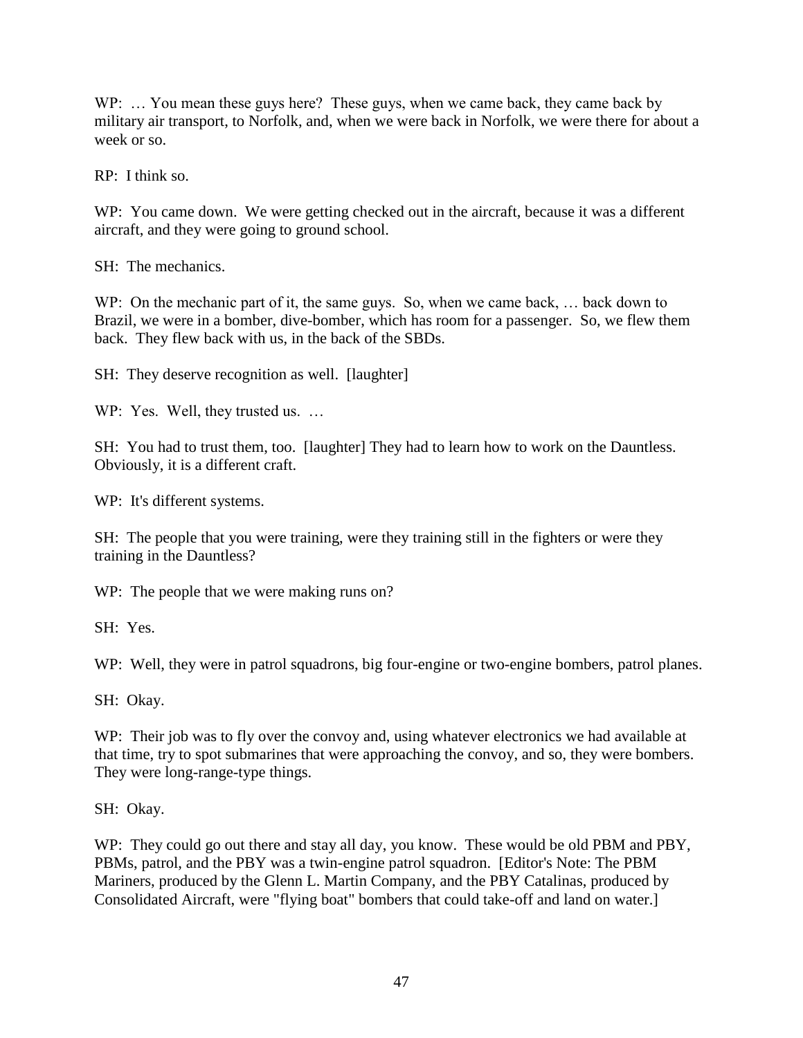WP: ... You mean these guys here? These guys, when we came back, they came back by military air transport, to Norfolk, and, when we were back in Norfolk, we were there for about a week or so.

RP: I think so.

WP: You came down. We were getting checked out in the aircraft, because it was a different aircraft, and they were going to ground school.

SH: The mechanics.

WP: On the mechanic part of it, the same guys. So, when we came back, ... back down to Brazil, we were in a bomber, dive-bomber, which has room for a passenger. So, we flew them back. They flew back with us, in the back of the SBDs.

SH: They deserve recognition as well. [laughter]

WP: Yes. Well, they trusted us. ...

SH: You had to trust them, too. [laughter] They had to learn how to work on the Dauntless. Obviously, it is a different craft.

WP: It's different systems.

SH: The people that you were training, were they training still in the fighters or were they training in the Dauntless?

WP: The people that we were making runs on?

SH: Yes.

WP: Well, they were in patrol squadrons, big four-engine or two-engine bombers, patrol planes.

SH: Okay.

WP: Their job was to fly over the convoy and, using whatever electronics we had available at that time, try to spot submarines that were approaching the convoy, and so, they were bombers. They were long-range-type things.

SH: Okay.

WP: They could go out there and stay all day, you know. These would be old PBM and PBY, PBMs, patrol, and the PBY was a twin-engine patrol squadron. [Editor's Note: The PBM Mariners, produced by the Glenn L. Martin Company, and the PBY Catalinas, produced by Consolidated Aircraft, were "flying boat" bombers that could take-off and land on water.]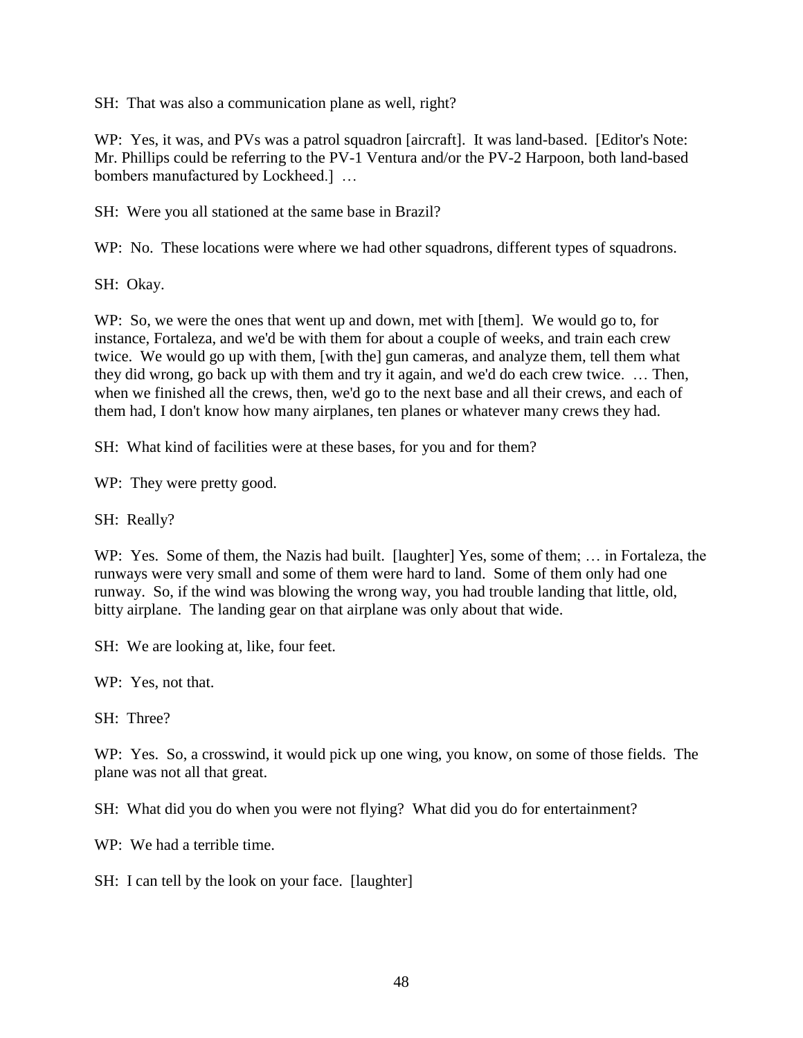SH: That was also a communication plane as well, right?

WP: Yes, it was, and PVs was a patrol squadron [aircraft]. It was land-based. [Editor's Note: Mr. Phillips could be referring to the PV-1 Ventura and/or the PV-2 Harpoon, both land-based bombers manufactured by Lockheed.] …

SH: Were you all stationed at the same base in Brazil?

WP: No. These locations were where we had other squadrons, different types of squadrons.

SH: Okay.

WP: So, we were the ones that went up and down, met with [them]. We would go to, for instance, Fortaleza, and we'd be with them for about a couple of weeks, and train each crew twice. We would go up with them, [with the] gun cameras, and analyze them, tell them what they did wrong, go back up with them and try it again, and we'd do each crew twice. … Then, when we finished all the crews, then, we'd go to the next base and all their crews, and each of them had, I don't know how many airplanes, ten planes or whatever many crews they had.

SH: What kind of facilities were at these bases, for you and for them?

WP: They were pretty good.

SH: Really?

WP: Yes. Some of them, the Nazis had built. [laughter] Yes, some of them; … in Fortaleza, the runways were very small and some of them were hard to land. Some of them only had one runway. So, if the wind was blowing the wrong way, you had trouble landing that little, old, bitty airplane. The landing gear on that airplane was only about that wide.

SH: We are looking at, like, four feet.

WP: Yes, not that.

SH: Three?

WP: Yes. So, a crosswind, it would pick up one wing, you know, on some of those fields. The plane was not all that great.

SH: What did you do when you were not flying? What did you do for entertainment?

WP: We had a terrible time.

SH: I can tell by the look on your face. [laughter]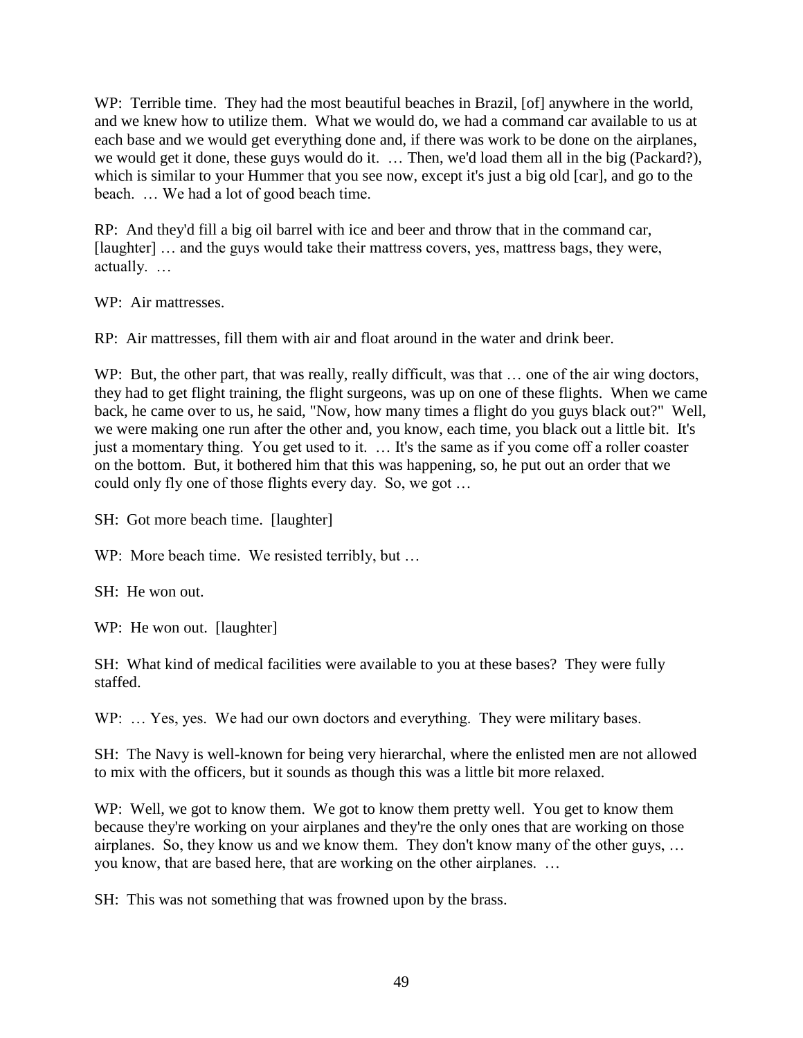WP: Terrible time. They had the most beautiful beaches in Brazil, [of] anywhere in the world, and we knew how to utilize them. What we would do, we had a command car available to us at each base and we would get everything done and, if there was work to be done on the airplanes, we would get it done, these guys would do it. … Then, we'd load them all in the big (Packard?), which is similar to your Hummer that you see now, except it's just a big old [car], and go to the beach. … We had a lot of good beach time.

RP: And they'd fill a big oil barrel with ice and beer and throw that in the command car, [laughter] … and the guys would take their mattress covers, yes, mattress bags, they were, actually. …

WP: Air mattresses.

RP: Air mattresses, fill them with air and float around in the water and drink beer.

WP: But, the other part, that was really, really difficult, was that ... one of the air wing doctors, they had to get flight training, the flight surgeons, was up on one of these flights. When we came back, he came over to us, he said, "Now, how many times a flight do you guys black out?" Well, we were making one run after the other and, you know, each time, you black out a little bit. It's just a momentary thing. You get used to it. … It's the same as if you come off a roller coaster on the bottom. But, it bothered him that this was happening, so, he put out an order that we could only fly one of those flights every day. So, we got …

SH: Got more beach time. [laughter]

WP: More beach time. We resisted terribly, but ...

SH: He won out.

WP: He won out. [laughter]

SH: What kind of medical facilities were available to you at these bases? They were fully staffed.

WP: ... Yes, yes. We had our own doctors and everything. They were military bases.

SH: The Navy is well-known for being very hierarchal, where the enlisted men are not allowed to mix with the officers, but it sounds as though this was a little bit more relaxed.

WP: Well, we got to know them. We got to know them pretty well. You get to know them because they're working on your airplanes and they're the only ones that are working on those airplanes. So, they know us and we know them. They don't know many of the other guys, … you know, that are based here, that are working on the other airplanes. …

SH: This was not something that was frowned upon by the brass.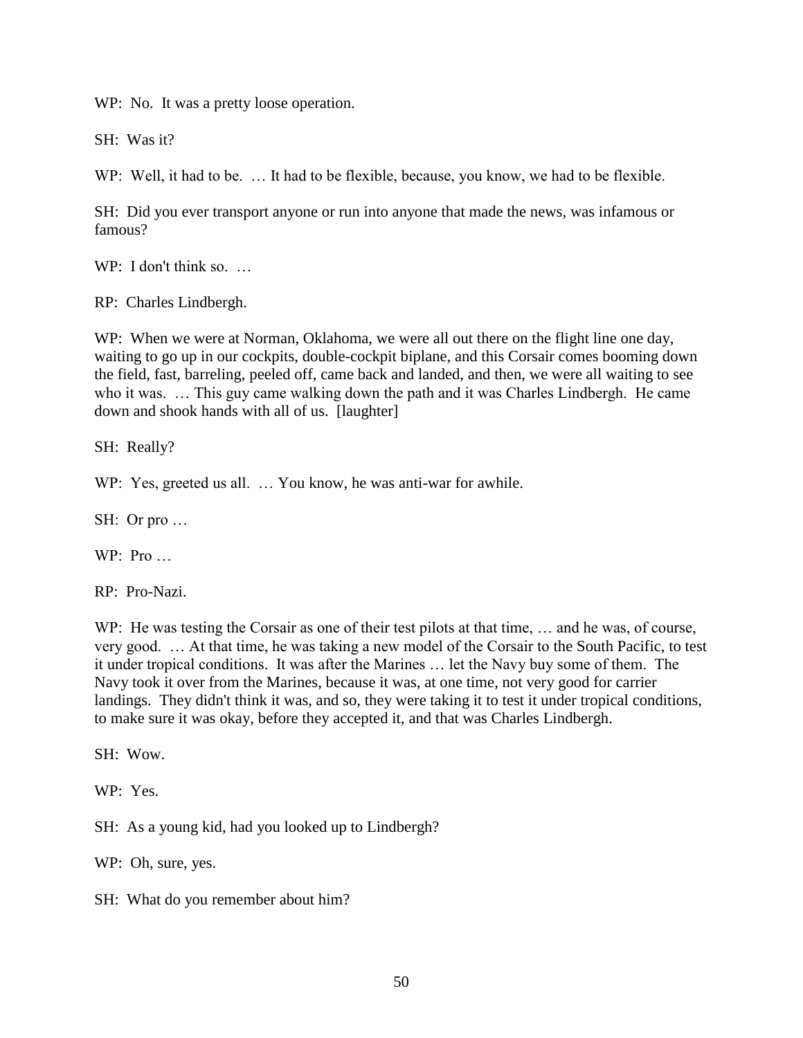WP: No. It was a pretty loose operation.

SH: Was it?

WP: Well, it had to be. ... It had to be flexible, because, you know, we had to be flexible.

SH: Did you ever transport anyone or run into anyone that made the news, was infamous or famous?

WP: I don't think so. ...

RP: Charles Lindbergh.

WP: When we were at Norman, Oklahoma, we were all out there on the flight line one day, waiting to go up in our cockpits, double-cockpit biplane, and this Corsair comes booming down the field, fast, barreling, peeled off, came back and landed, and then, we were all waiting to see who it was. ... This guy came walking down the path and it was Charles Lindbergh. He came down and shook hands with all of us. [laughter]

SH: Really?

WP: Yes, greeted us all. ... You know, he was anti-war for awhile.

SH: Or pro …

WP: Pro …

RP: Pro-Nazi.

WP: He was testing the Corsair as one of their test pilots at that time, … and he was, of course, very good. … At that time, he was taking a new model of the Corsair to the South Pacific, to test it under tropical conditions. It was after the Marines … let the Navy buy some of them. The Navy took it over from the Marines, because it was, at one time, not very good for carrier landings. They didn't think it was, and so, they were taking it to test it under tropical conditions, to make sure it was okay, before they accepted it, and that was Charles Lindbergh.

SH: Wow.

WP: Yes.

SH: As a young kid, had you looked up to Lindbergh?

WP: Oh, sure, yes.

SH: What do you remember about him?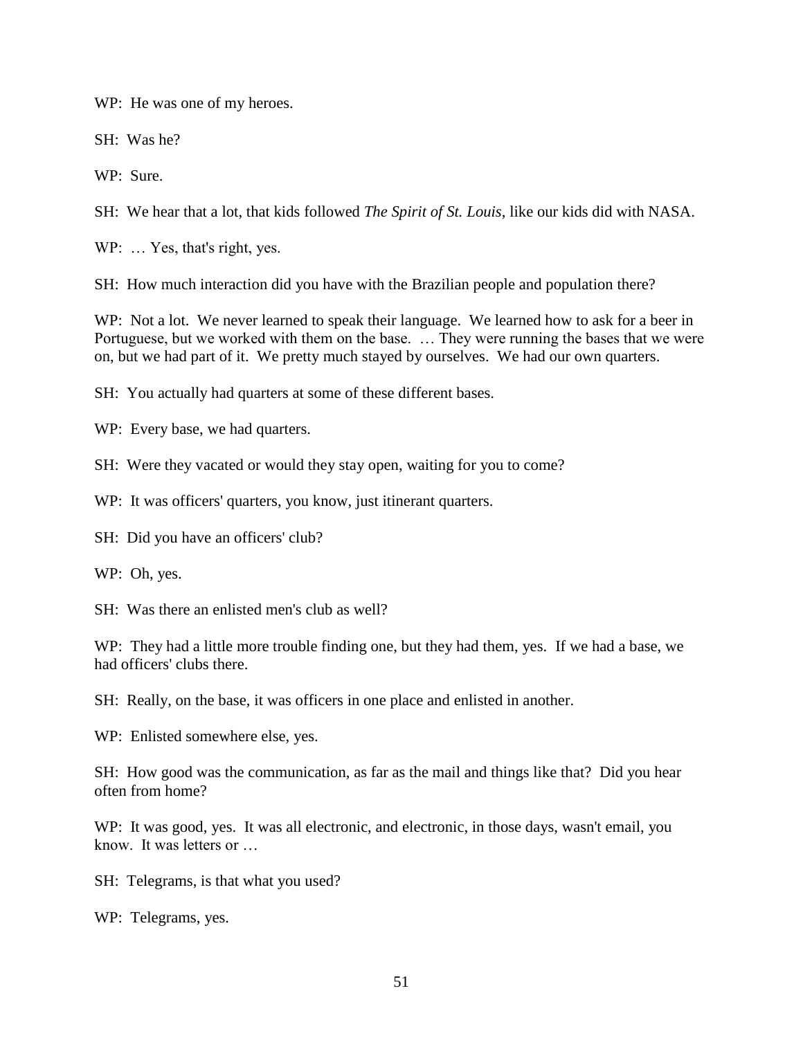WP: He was one of my heroes.

SH: Was he?

WP: Sure.

SH: We hear that a lot, that kids followed *The Spirit of St. Louis*, like our kids did with NASA.

WP: ... Yes, that's right, yes.

SH: How much interaction did you have with the Brazilian people and population there?

WP: Not a lot. We never learned to speak their language. We learned how to ask for a beer in Portuguese, but we worked with them on the base. … They were running the bases that we were on, but we had part of it. We pretty much stayed by ourselves. We had our own quarters.

SH: You actually had quarters at some of these different bases.

WP: Every base, we had quarters.

SH: Were they vacated or would they stay open, waiting for you to come?

WP: It was officers' quarters, you know, just itinerant quarters.

SH: Did you have an officers' club?

WP: Oh, yes.

SH: Was there an enlisted men's club as well?

WP: They had a little more trouble finding one, but they had them, yes. If we had a base, we had officers' clubs there.

SH: Really, on the base, it was officers in one place and enlisted in another.

WP: Enlisted somewhere else, yes.

SH: How good was the communication, as far as the mail and things like that? Did you hear often from home?

WP: It was good, yes. It was all electronic, and electronic, in those days, wasn't email, you know. It was letters or …

SH: Telegrams, is that what you used?

WP: Telegrams, yes.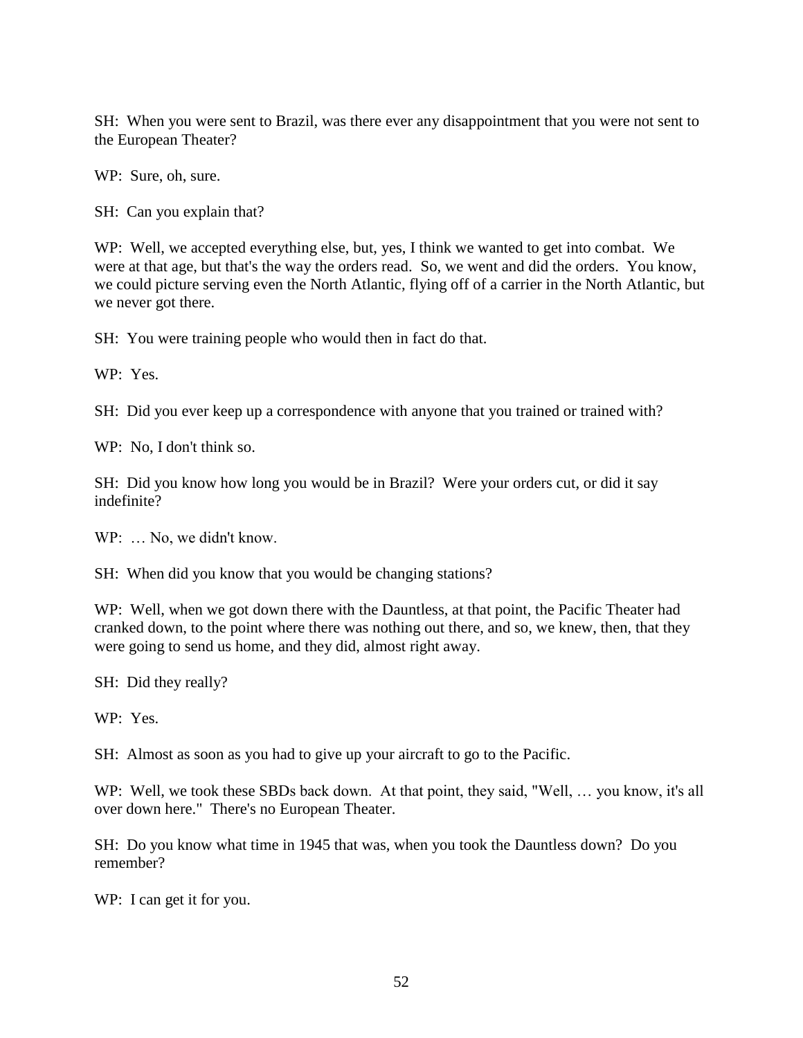SH: When you were sent to Brazil, was there ever any disappointment that you were not sent to the European Theater?

WP: Sure, oh, sure.

SH: Can you explain that?

WP: Well, we accepted everything else, but, yes, I think we wanted to get into combat. We were at that age, but that's the way the orders read. So, we went and did the orders. You know, we could picture serving even the North Atlantic, flying off of a carrier in the North Atlantic, but we never got there.

SH: You were training people who would then in fact do that.

WP: Yes.

SH: Did you ever keep up a correspondence with anyone that you trained or trained with?

WP: No, I don't think so.

SH: Did you know how long you would be in Brazil? Were your orders cut, or did it say indefinite?

WP: ... No, we didn't know.

SH: When did you know that you would be changing stations?

WP: Well, when we got down there with the Dauntless, at that point, the Pacific Theater had cranked down, to the point where there was nothing out there, and so, we knew, then, that they were going to send us home, and they did, almost right away.

SH: Did they really?

WP: Yes.

SH: Almost as soon as you had to give up your aircraft to go to the Pacific.

WP: Well, we took these SBDs back down. At that point, they said, "Well, ... you know, it's all over down here." There's no European Theater.

SH: Do you know what time in 1945 that was, when you took the Dauntless down? Do you remember?

WP: I can get it for you.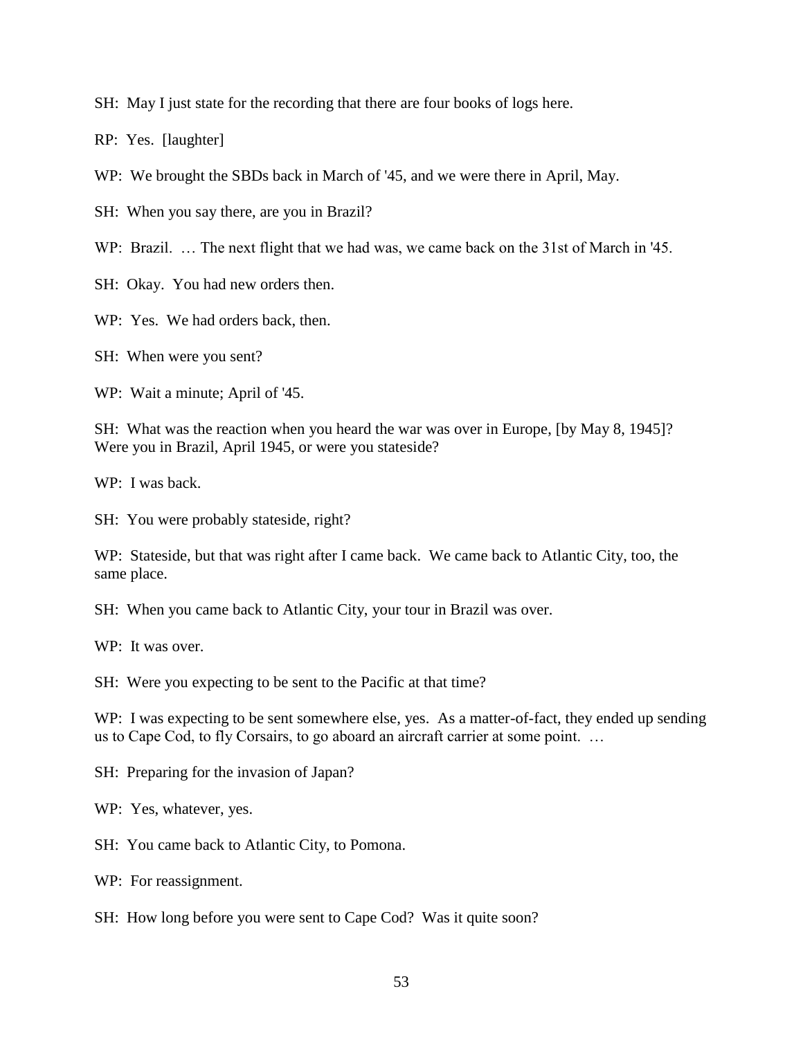SH: May I just state for the recording that there are four books of logs here.

RP: Yes. [laughter]

WP: We brought the SBDs back in March of '45, and we were there in April, May.

SH: When you say there, are you in Brazil?

WP: Brazil. ... The next flight that we had was, we came back on the 31st of March in '45.

SH: Okay. You had new orders then.

WP: Yes. We had orders back, then.

SH: When were you sent?

WP: Wait a minute; April of '45.

SH: What was the reaction when you heard the war was over in Europe, [by May 8, 1945]? Were you in Brazil, April 1945, or were you stateside?

WP: I was back.

SH: You were probably stateside, right?

WP: Stateside, but that was right after I came back. We came back to Atlantic City, too, the same place.

SH: When you came back to Atlantic City, your tour in Brazil was over.

WP: It was over.

SH: Were you expecting to be sent to the Pacific at that time?

WP: I was expecting to be sent somewhere else, yes. As a matter-of-fact, they ended up sending us to Cape Cod, to fly Corsairs, to go aboard an aircraft carrier at some point. …

SH: Preparing for the invasion of Japan?

WP: Yes, whatever, yes.

SH: You came back to Atlantic City, to Pomona.

WP: For reassignment.

SH: How long before you were sent to Cape Cod? Was it quite soon?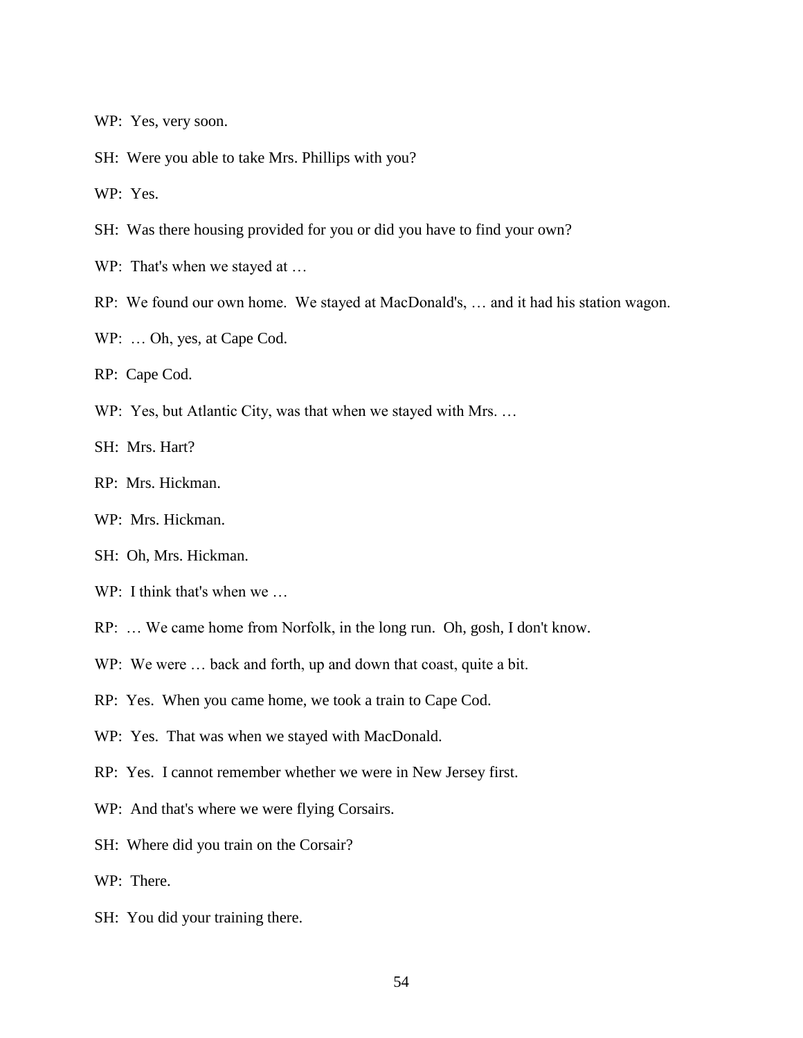WP: Yes, very soon.

SH: Were you able to take Mrs. Phillips with you?

WP: Yes.

SH: Was there housing provided for you or did you have to find your own?

WP: That's when we stayed at ...

- RP: We found our own home. We stayed at MacDonald's, … and it had his station wagon.
- WP: … Oh, yes, at Cape Cod.

RP: Cape Cod.

WP: Yes, but Atlantic City, was that when we stayed with Mrs. ...

SH: Mrs. Hart?

- RP: Mrs. Hickman.
- WP: Mrs. Hickman.
- SH: Oh, Mrs. Hickman.
- WP: I think that's when we ...
- RP: … We came home from Norfolk, in the long run. Oh, gosh, I don't know.
- WP: We were ... back and forth, up and down that coast, quite a bit.
- RP: Yes. When you came home, we took a train to Cape Cod.
- WP: Yes. That was when we stayed with MacDonald.
- RP: Yes. I cannot remember whether we were in New Jersey first.
- WP: And that's where we were flying Corsairs.
- SH: Where did you train on the Corsair?
- WP: There.
- SH: You did your training there.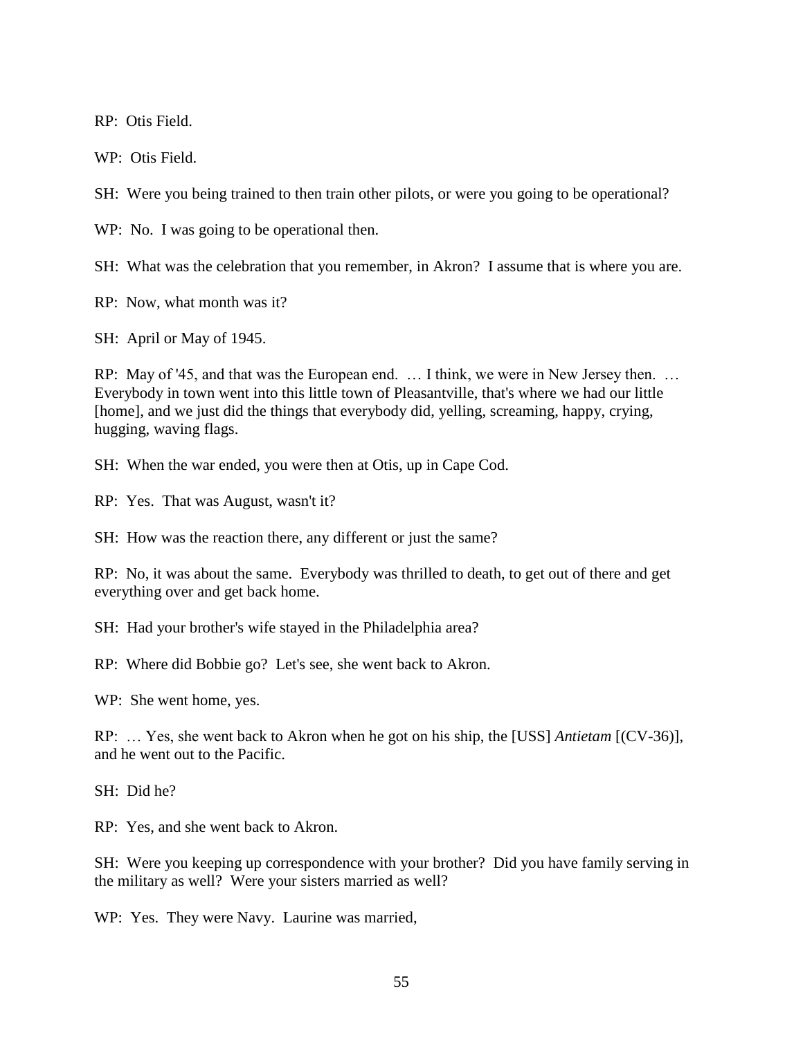RP: Otis Field.

WP: Otis Field.

SH: Were you being trained to then train other pilots, or were you going to be operational?

WP: No. I was going to be operational then.

SH: What was the celebration that you remember, in Akron? I assume that is where you are.

RP: Now, what month was it?

SH: April or May of 1945.

RP: May of '45, and that was the European end. … I think, we were in New Jersey then. … Everybody in town went into this little town of Pleasantville, that's where we had our little [home], and we just did the things that everybody did, yelling, screaming, happy, crying, hugging, waving flags.

SH: When the war ended, you were then at Otis, up in Cape Cod.

RP: Yes. That was August, wasn't it?

SH: How was the reaction there, any different or just the same?

RP: No, it was about the same. Everybody was thrilled to death, to get out of there and get everything over and get back home.

SH: Had your brother's wife stayed in the Philadelphia area?

RP: Where did Bobbie go? Let's see, she went back to Akron.

WP: She went home, yes.

RP: … Yes, she went back to Akron when he got on his ship, the [USS] *Antietam* [(CV-36)], and he went out to the Pacific.

SH: Did he?

RP: Yes, and she went back to Akron.

SH: Were you keeping up correspondence with your brother? Did you have family serving in the military as well? Were your sisters married as well?

WP: Yes. They were Navy. Laurine was married,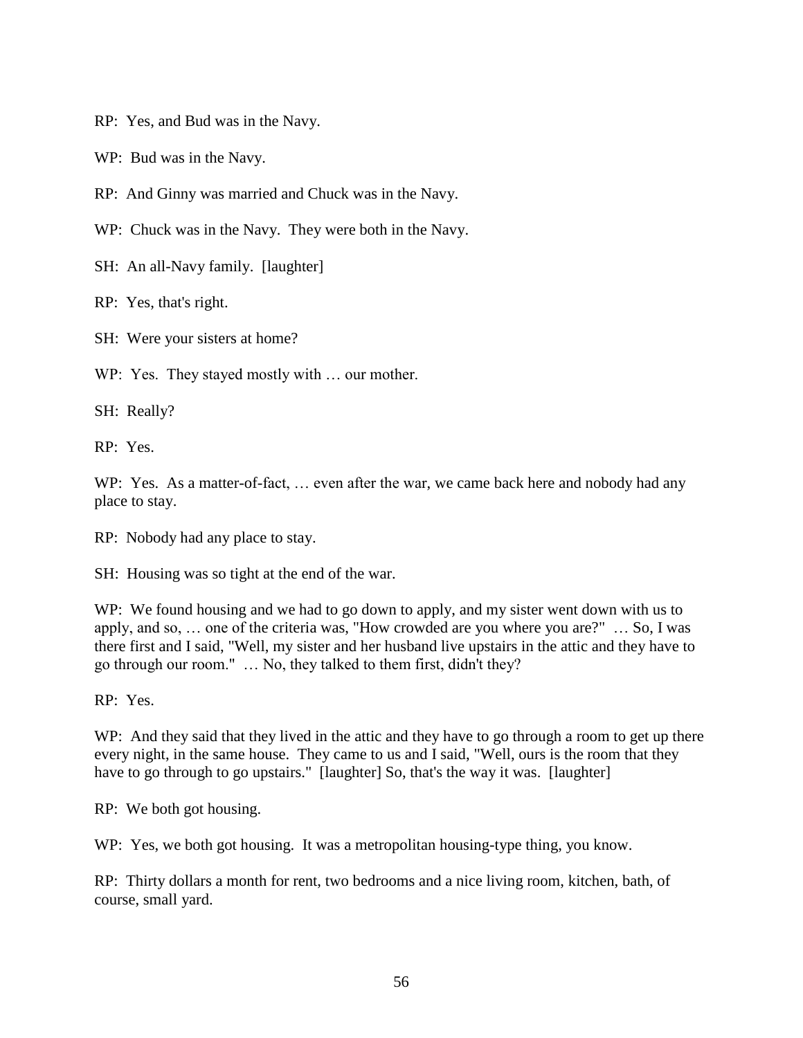RP: Yes, and Bud was in the Navy.

WP: Bud was in the Navy.

RP: And Ginny was married and Chuck was in the Navy.

WP: Chuck was in the Navy. They were both in the Navy.

SH: An all-Navy family. [laughter]

RP: Yes, that's right.

SH: Were your sisters at home?

WP: Yes. They stayed mostly with ... our mother.

SH: Really?

RP: Yes.

WP: Yes. As a matter-of-fact, ... even after the war, we came back here and nobody had any place to stay.

RP: Nobody had any place to stay.

SH: Housing was so tight at the end of the war.

WP: We found housing and we had to go down to apply, and my sister went down with us to apply, and so, … one of the criteria was, "How crowded are you where you are?" … So, I was there first and I said, "Well, my sister and her husband live upstairs in the attic and they have to go through our room." … No, they talked to them first, didn't they?

RP: Yes.

WP: And they said that they lived in the attic and they have to go through a room to get up there every night, in the same house. They came to us and I said, "Well, ours is the room that they have to go through to go upstairs." [laughter] So, that's the way it was. [laughter]

RP: We both got housing.

WP: Yes, we both got housing. It was a metropolitan housing-type thing, you know.

RP: Thirty dollars a month for rent, two bedrooms and a nice living room, kitchen, bath, of course, small yard.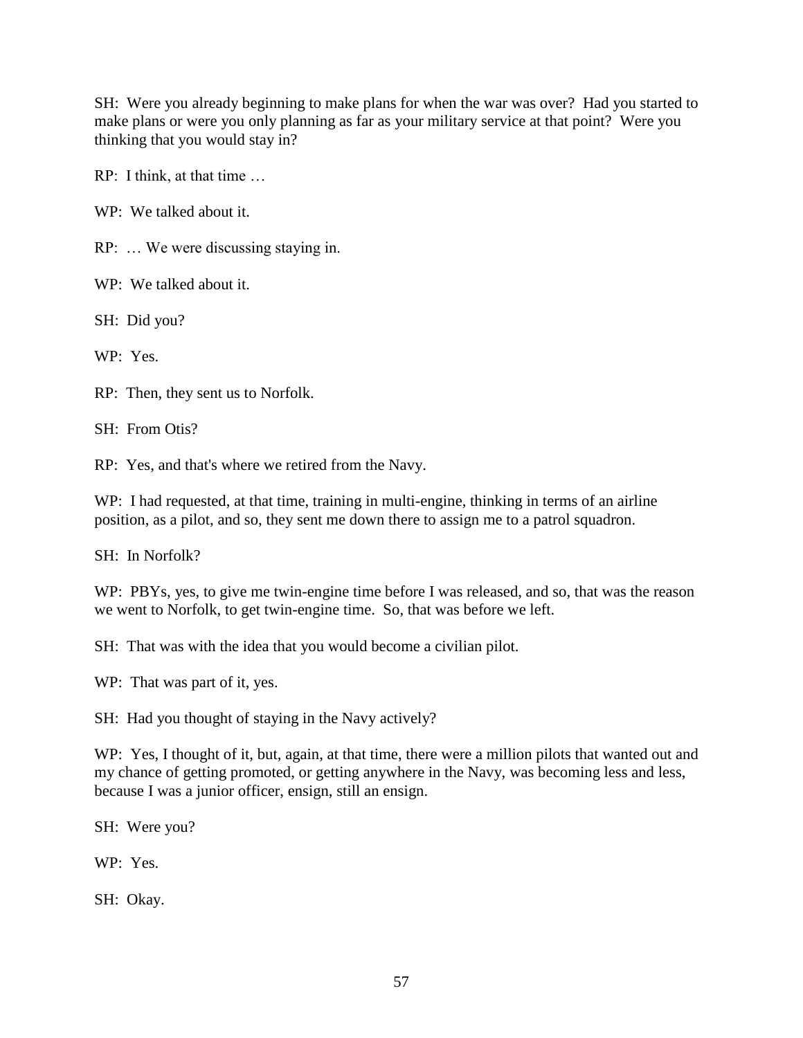SH: Were you already beginning to make plans for when the war was over? Had you started to make plans or were you only planning as far as your military service at that point? Were you thinking that you would stay in?

RP: I think, at that time …

WP: We talked about it.

RP: … We were discussing staying in.

WP: We talked about it.

SH: Did you?

WP: Yes.

RP: Then, they sent us to Norfolk.

SH: From Otis?

RP: Yes, and that's where we retired from the Navy.

WP: I had requested, at that time, training in multi-engine, thinking in terms of an airline position, as a pilot, and so, they sent me down there to assign me to a patrol squadron.

SH: In Norfolk?

WP: PBYs, yes, to give me twin-engine time before I was released, and so, that was the reason we went to Norfolk, to get twin-engine time. So, that was before we left.

SH: That was with the idea that you would become a civilian pilot.

WP: That was part of it, yes.

SH: Had you thought of staying in the Navy actively?

WP: Yes, I thought of it, but, again, at that time, there were a million pilots that wanted out and my chance of getting promoted, or getting anywhere in the Navy, was becoming less and less, because I was a junior officer, ensign, still an ensign.

SH: Were you?

WP: Yes.

SH: Okay.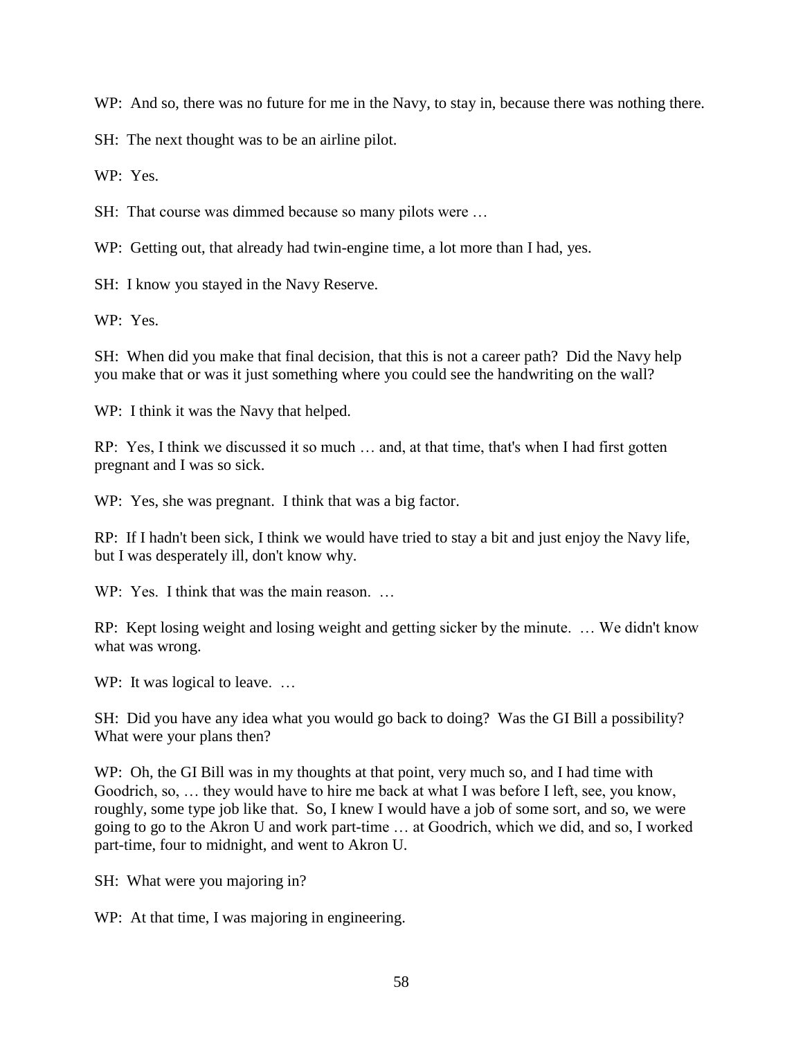WP: And so, there was no future for me in the Navy, to stay in, because there was nothing there.

SH: The next thought was to be an airline pilot.

WP: Yes.

SH: That course was dimmed because so many pilots were ...

WP: Getting out, that already had twin-engine time, a lot more than I had, yes.

SH: I know you stayed in the Navy Reserve.

WP: Yes.

SH: When did you make that final decision, that this is not a career path? Did the Navy help you make that or was it just something where you could see the handwriting on the wall?

WP: I think it was the Navy that helped.

RP: Yes, I think we discussed it so much … and, at that time, that's when I had first gotten pregnant and I was so sick.

WP: Yes, she was pregnant. I think that was a big factor.

RP: If I hadn't been sick, I think we would have tried to stay a bit and just enjoy the Navy life, but I was desperately ill, don't know why.

WP: Yes. I think that was the main reason.

RP: Kept losing weight and losing weight and getting sicker by the minute. … We didn't know what was wrong.

WP: It was logical to leave. ...

SH: Did you have any idea what you would go back to doing? Was the GI Bill a possibility? What were your plans then?

WP: Oh, the GI Bill was in my thoughts at that point, very much so, and I had time with Goodrich, so, … they would have to hire me back at what I was before I left, see, you know, roughly, some type job like that. So, I knew I would have a job of some sort, and so, we were going to go to the Akron U and work part-time … at Goodrich, which we did, and so, I worked part-time, four to midnight, and went to Akron U.

SH: What were you majoring in?

WP: At that time, I was majoring in engineering.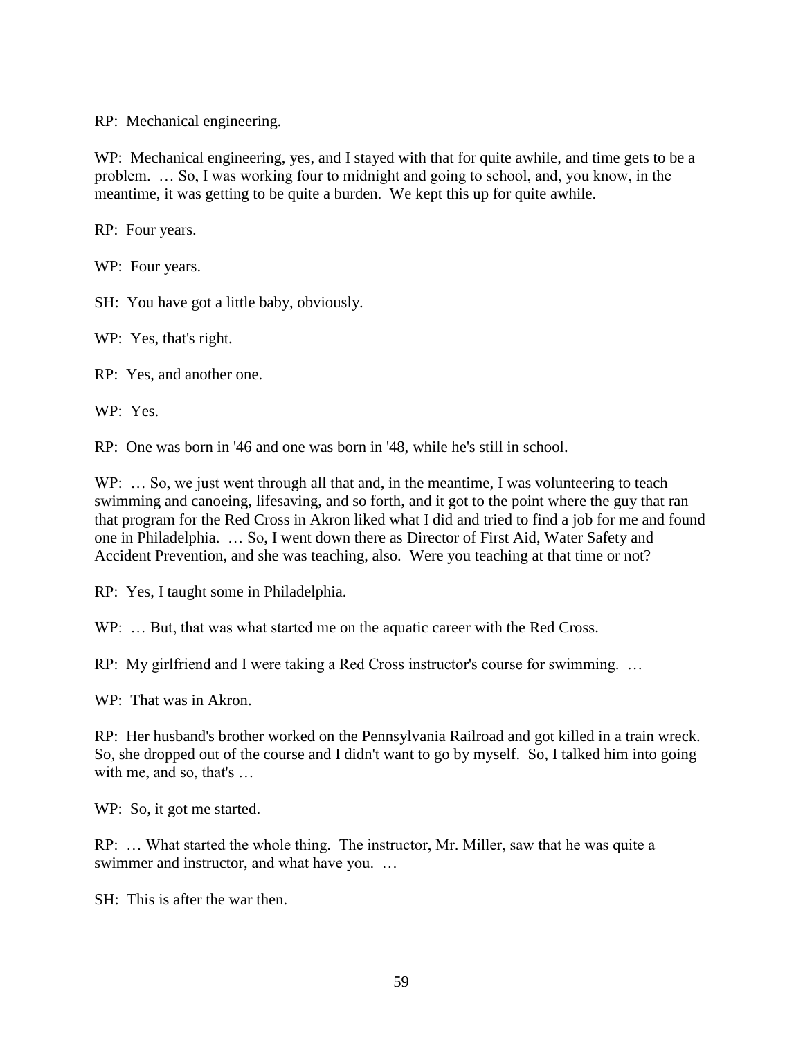RP: Mechanical engineering.

WP: Mechanical engineering, yes, and I stayed with that for quite awhile, and time gets to be a problem. … So, I was working four to midnight and going to school, and, you know, in the meantime, it was getting to be quite a burden. We kept this up for quite awhile.

RP: Four years.

WP: Four years.

SH: You have got a little baby, obviously.

WP: Yes, that's right.

RP: Yes, and another one.

WP: Yes.

RP: One was born in '46 and one was born in '48, while he's still in school.

WP: ... So, we just went through all that and, in the meantime, I was volunteering to teach swimming and canoeing, lifesaving, and so forth, and it got to the point where the guy that ran that program for the Red Cross in Akron liked what I did and tried to find a job for me and found one in Philadelphia. … So, I went down there as Director of First Aid, Water Safety and Accident Prevention, and she was teaching, also. Were you teaching at that time or not?

RP: Yes, I taught some in Philadelphia.

WP: ... But, that was what started me on the aquatic career with the Red Cross.

RP: My girlfriend and I were taking a Red Cross instructor's course for swimming. …

WP: That was in Akron.

RP: Her husband's brother worked on the Pennsylvania Railroad and got killed in a train wreck. So, she dropped out of the course and I didn't want to go by myself. So, I talked him into going with me, and so, that's …

WP: So, it got me started.

RP: … What started the whole thing. The instructor, Mr. Miller, saw that he was quite a swimmer and instructor, and what have you. …

SH: This is after the war then.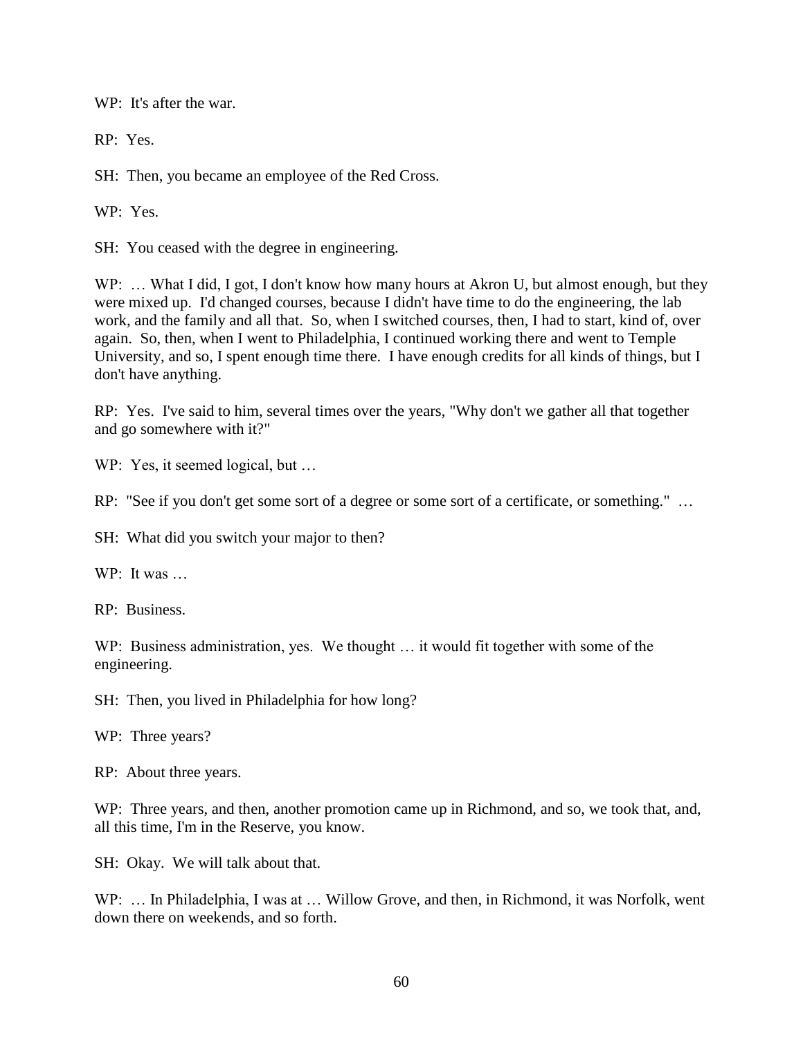WP: It's after the war.

RP: Yes.

SH: Then, you became an employee of the Red Cross.

WP: Yes.

SH: You ceased with the degree in engineering.

WP: ... What I did, I got, I don't know how many hours at Akron U, but almost enough, but they were mixed up. I'd changed courses, because I didn't have time to do the engineering, the lab work, and the family and all that. So, when I switched courses, then, I had to start, kind of, over again. So, then, when I went to Philadelphia, I continued working there and went to Temple University, and so, I spent enough time there. I have enough credits for all kinds of things, but I don't have anything.

RP: Yes. I've said to him, several times over the years, "Why don't we gather all that together and go somewhere with it?"

WP: Yes, it seemed logical, but ...

RP: "See if you don't get some sort of a degree or some sort of a certificate, or something." …

SH: What did you switch your major to then?

 $WP:$  It was

RP: Business.

WP: Business administration, yes. We thought ... it would fit together with some of the engineering.

SH: Then, you lived in Philadelphia for how long?

WP: Three years?

RP: About three years.

WP: Three years, and then, another promotion came up in Richmond, and so, we took that, and, all this time, I'm in the Reserve, you know.

SH: Okay. We will talk about that.

WP: ... In Philadelphia, I was at ... Willow Grove, and then, in Richmond, it was Norfolk, went down there on weekends, and so forth.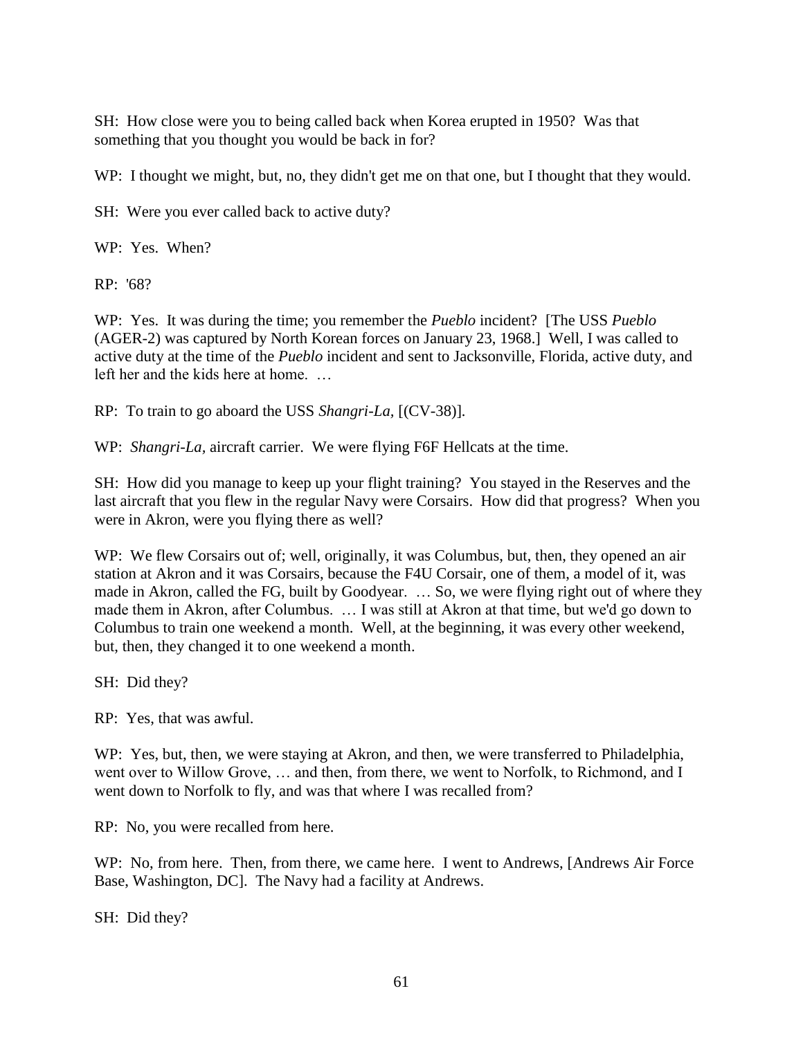SH: How close were you to being called back when Korea erupted in 1950? Was that something that you thought you would be back in for?

WP: I thought we might, but, no, they didn't get me on that one, but I thought that they would.

SH: Were you ever called back to active duty?

WP: Yes. When?

RP: '68?

WP: Yes. It was during the time; you remember the *Pueblo* incident? [The USS *Pueblo* (AGER-2) was captured by North Korean forces on January 23, 1968.] Well, I was called to active duty at the time of the *Pueblo* incident and sent to Jacksonville, Florida, active duty, and left her and the kids here at home. …

RP: To train to go aboard the USS *Shangri-La,* [(CV-38)]*.*

WP: *Shangri-La,* aircraft carrier. We were flying F6F Hellcats at the time.

SH: How did you manage to keep up your flight training? You stayed in the Reserves and the last aircraft that you flew in the regular Navy were Corsairs. How did that progress? When you were in Akron, were you flying there as well?

WP: We flew Corsairs out of; well, originally, it was Columbus, but, then, they opened an air station at Akron and it was Corsairs, because the F4U Corsair, one of them, a model of it, was made in Akron, called the FG, built by Goodyear. ... So, we were flying right out of where they made them in Akron, after Columbus. … I was still at Akron at that time, but we'd go down to Columbus to train one weekend a month. Well, at the beginning, it was every other weekend, but, then, they changed it to one weekend a month.

SH: Did they?

RP: Yes, that was awful.

WP: Yes, but, then, we were staying at Akron, and then, we were transferred to Philadelphia, went over to Willow Grove, … and then, from there, we went to Norfolk, to Richmond, and I went down to Norfolk to fly, and was that where I was recalled from?

RP: No, you were recalled from here.

WP: No, from here. Then, from there, we came here. I went to Andrews, [Andrews Air Force Base, Washington, DC]. The Navy had a facility at Andrews.

SH: Did they?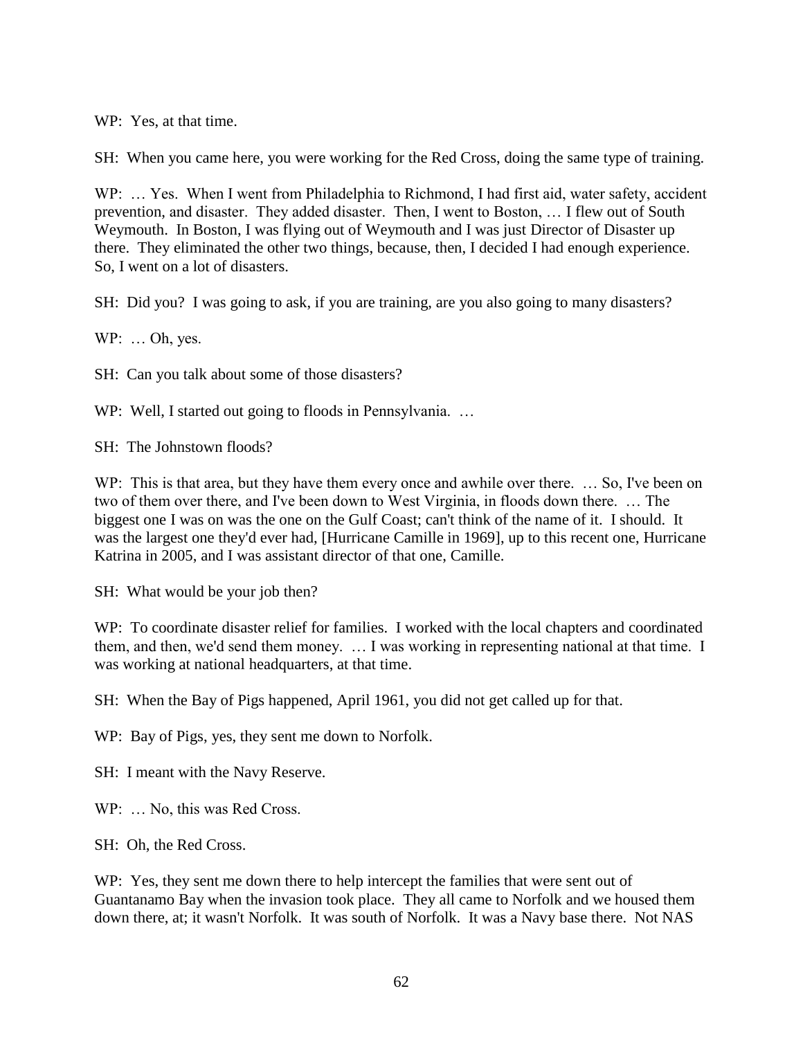WP: Yes, at that time.

SH: When you came here, you were working for the Red Cross, doing the same type of training.

WP: ... Yes. When I went from Philadelphia to Richmond, I had first aid, water safety, accident prevention, and disaster. They added disaster. Then, I went to Boston, … I flew out of South Weymouth. In Boston, I was flying out of Weymouth and I was just Director of Disaster up there. They eliminated the other two things, because, then, I decided I had enough experience. So, I went on a lot of disasters.

SH: Did you? I was going to ask, if you are training, are you also going to many disasters?

WP: … Oh, yes.

SH: Can you talk about some of those disasters?

WP: Well, I started out going to floods in Pennsylvania. ...

SH: The Johnstown floods?

WP: This is that area, but they have them every once and awhile over there. ... So, I've been on two of them over there, and I've been down to West Virginia, in floods down there. … The biggest one I was on was the one on the Gulf Coast; can't think of the name of it. I should. It was the largest one they'd ever had, [Hurricane Camille in 1969], up to this recent one, Hurricane Katrina in 2005, and I was assistant director of that one, Camille.

SH: What would be your job then?

WP: To coordinate disaster relief for families. I worked with the local chapters and coordinated them, and then, we'd send them money. … I was working in representing national at that time. I was working at national headquarters, at that time.

SH: When the Bay of Pigs happened, April 1961, you did not get called up for that.

WP: Bay of Pigs, yes, they sent me down to Norfolk.

SH: I meant with the Navy Reserve.

WP: ... No. this was Red Cross.

SH: Oh, the Red Cross.

WP: Yes, they sent me down there to help intercept the families that were sent out of Guantanamo Bay when the invasion took place. They all came to Norfolk and we housed them down there, at; it wasn't Norfolk. It was south of Norfolk. It was a Navy base there. Not NAS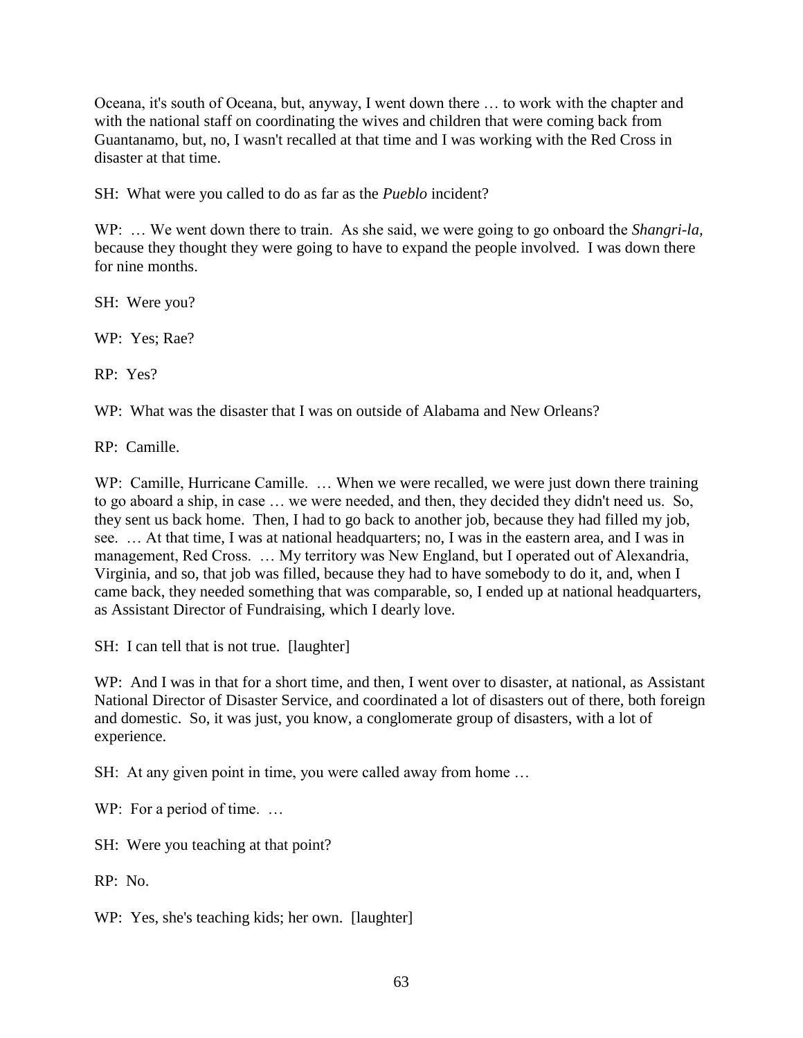Oceana, it's south of Oceana, but, anyway, I went down there … to work with the chapter and with the national staff on coordinating the wives and children that were coming back from Guantanamo, but, no, I wasn't recalled at that time and I was working with the Red Cross in disaster at that time.

SH: What were you called to do as far as the *Pueblo* incident?

WP: … We went down there to train. As she said, we were going to go onboard the *Shangri-la,* because they thought they were going to have to expand the people involved. I was down there for nine months.

SH: Were you?

WP: Yes; Rae?

RP: Yes?

WP: What was the disaster that I was on outside of Alabama and New Orleans?

RP: Camille.

WP: Camille, Hurricane Camille. ... When we were recalled, we were just down there training to go aboard a ship, in case … we were needed, and then, they decided they didn't need us. So, they sent us back home. Then, I had to go back to another job, because they had filled my job, see. … At that time, I was at national headquarters; no, I was in the eastern area, and I was in management, Red Cross. … My territory was New England, but I operated out of Alexandria, Virginia, and so, that job was filled, because they had to have somebody to do it, and, when I came back, they needed something that was comparable, so, I ended up at national headquarters, as Assistant Director of Fundraising, which I dearly love.

SH: I can tell that is not true. [laughter]

WP: And I was in that for a short time, and then, I went over to disaster, at national, as Assistant National Director of Disaster Service, and coordinated a lot of disasters out of there, both foreign and domestic. So, it was just, you know, a conglomerate group of disasters, with a lot of experience.

SH: At any given point in time, you were called away from home ...

WP: For a period of time. ...

SH: Were you teaching at that point?

RP: No.

WP: Yes, she's teaching kids; her own. [laughter]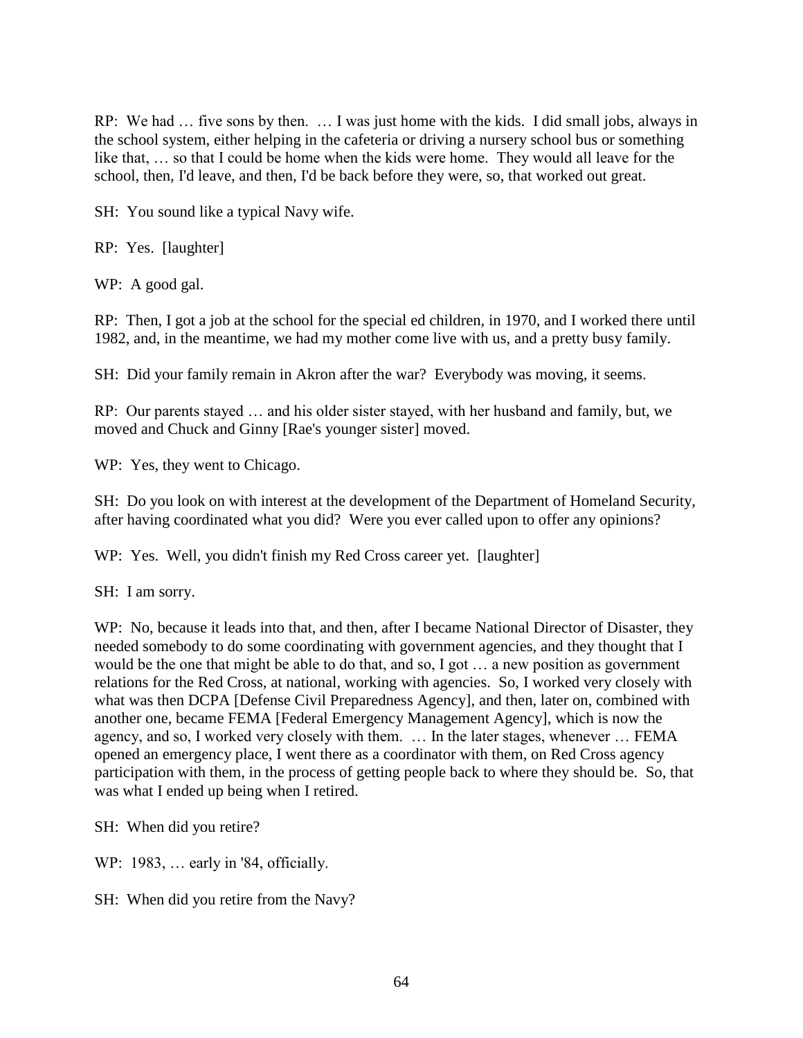RP: We had … five sons by then. … I was just home with the kids. I did small jobs, always in the school system, either helping in the cafeteria or driving a nursery school bus or something like that, … so that I could be home when the kids were home. They would all leave for the school, then, I'd leave, and then, I'd be back before they were, so, that worked out great.

SH: You sound like a typical Navy wife.

RP: Yes. [laughter]

WP: A good gal.

RP: Then, I got a job at the school for the special ed children, in 1970, and I worked there until 1982, and, in the meantime, we had my mother come live with us, and a pretty busy family.

SH: Did your family remain in Akron after the war? Everybody was moving, it seems.

RP: Our parents stayed … and his older sister stayed, with her husband and family, but, we moved and Chuck and Ginny [Rae's younger sister] moved.

WP: Yes, they went to Chicago.

SH: Do you look on with interest at the development of the Department of Homeland Security, after having coordinated what you did? Were you ever called upon to offer any opinions?

WP: Yes. Well, you didn't finish my Red Cross career yet. [laughter]

SH: I am sorry.

WP: No, because it leads into that, and then, after I became National Director of Disaster, they needed somebody to do some coordinating with government agencies, and they thought that I would be the one that might be able to do that, and so, I got … a new position as government relations for the Red Cross, at national, working with agencies. So, I worked very closely with what was then DCPA [Defense Civil Preparedness Agency], and then, later on, combined with another one, became FEMA [Federal Emergency Management Agency], which is now the agency, and so, I worked very closely with them. … In the later stages, whenever … FEMA opened an emergency place, I went there as a coordinator with them, on Red Cross agency participation with them, in the process of getting people back to where they should be. So, that was what I ended up being when I retired.

SH: When did you retire?

WP: 1983, … early in '84, officially.

SH: When did you retire from the Navy?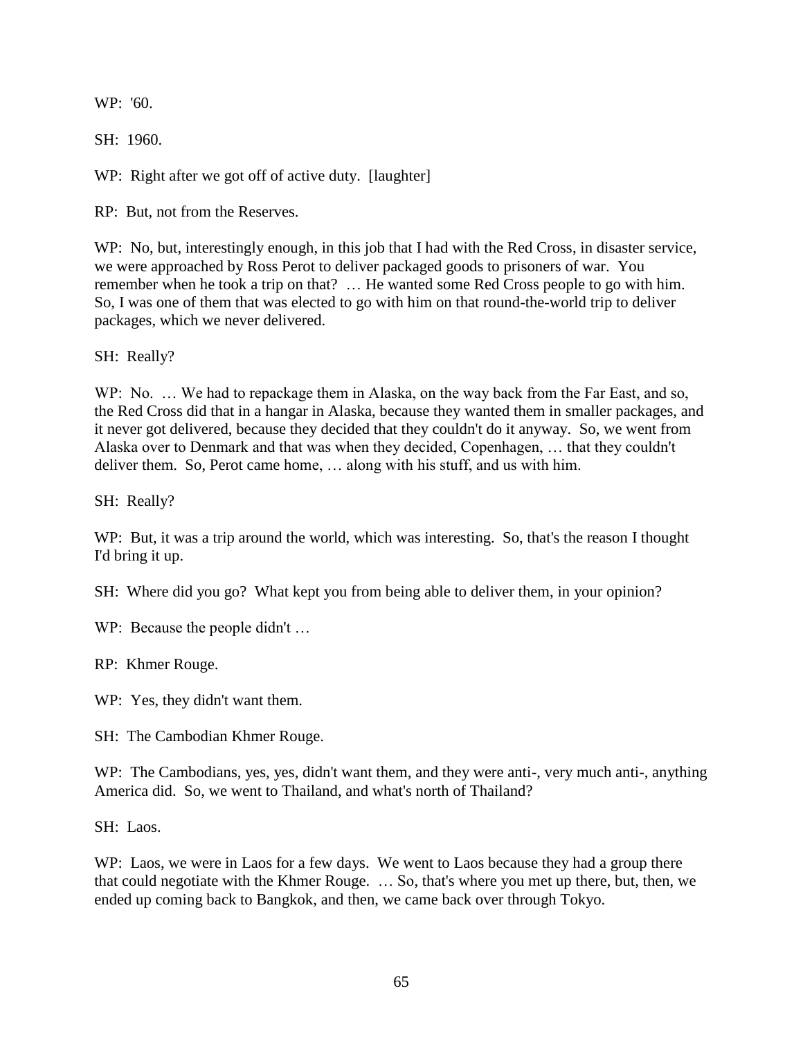WP: '60.

SH: 1960.

WP: Right after we got off of active duty. [laughter]

RP: But, not from the Reserves.

WP: No, but, interestingly enough, in this job that I had with the Red Cross, in disaster service, we were approached by Ross Perot to deliver packaged goods to prisoners of war. You remember when he took a trip on that? … He wanted some Red Cross people to go with him. So, I was one of them that was elected to go with him on that round-the-world trip to deliver packages, which we never delivered.

SH: Really?

WP: No. ... We had to repackage them in Alaska, on the way back from the Far East, and so, the Red Cross did that in a hangar in Alaska, because they wanted them in smaller packages, and it never got delivered, because they decided that they couldn't do it anyway. So, we went from Alaska over to Denmark and that was when they decided, Copenhagen, … that they couldn't deliver them. So, Perot came home, … along with his stuff, and us with him.

SH: Really?

WP: But, it was a trip around the world, which was interesting. So, that's the reason I thought I'd bring it up.

SH: Where did you go? What kept you from being able to deliver them, in your opinion?

WP: Because the people didn't ...

RP: Khmer Rouge.

WP: Yes, they didn't want them.

SH: The Cambodian Khmer Rouge.

WP: The Cambodians, yes, yes, didn't want them, and they were anti-, very much anti-, anything America did. So, we went to Thailand, and what's north of Thailand?

SH: Laos.

WP: Laos, we were in Laos for a few days. We went to Laos because they had a group there that could negotiate with the Khmer Rouge. … So, that's where you met up there, but, then, we ended up coming back to Bangkok, and then, we came back over through Tokyo.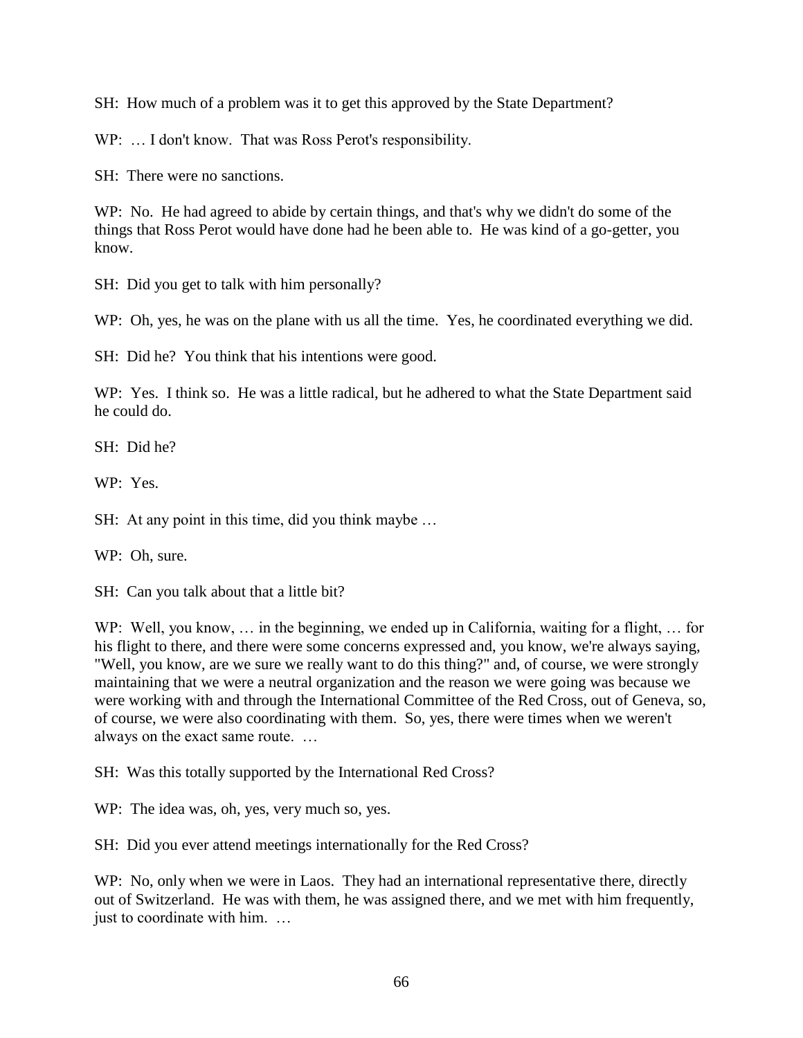SH: How much of a problem was it to get this approved by the State Department?

WP: ... I don't know. That was Ross Perot's responsibility.

SH: There were no sanctions.

WP: No. He had agreed to abide by certain things, and that's why we didn't do some of the things that Ross Perot would have done had he been able to. He was kind of a go-getter, you know.

SH: Did you get to talk with him personally?

WP: Oh, yes, he was on the plane with us all the time. Yes, he coordinated everything we did.

SH: Did he? You think that his intentions were good.

WP: Yes. I think so. He was a little radical, but he adhered to what the State Department said he could do.

SH: Did he?

WP: Yes.

SH: At any point in this time, did you think maybe …

WP: Oh, sure.

SH: Can you talk about that a little bit?

WP: Well, you know, ... in the beginning, we ended up in California, waiting for a flight, ... for his flight to there, and there were some concerns expressed and, you know, we're always saying, "Well, you know, are we sure we really want to do this thing?" and, of course, we were strongly maintaining that we were a neutral organization and the reason we were going was because we were working with and through the International Committee of the Red Cross, out of Geneva, so, of course, we were also coordinating with them. So, yes, there were times when we weren't always on the exact same route. …

SH: Was this totally supported by the International Red Cross?

WP: The idea was, oh, yes, very much so, yes.

SH: Did you ever attend meetings internationally for the Red Cross?

WP: No, only when we were in Laos. They had an international representative there, directly out of Switzerland. He was with them, he was assigned there, and we met with him frequently, just to coordinate with him. …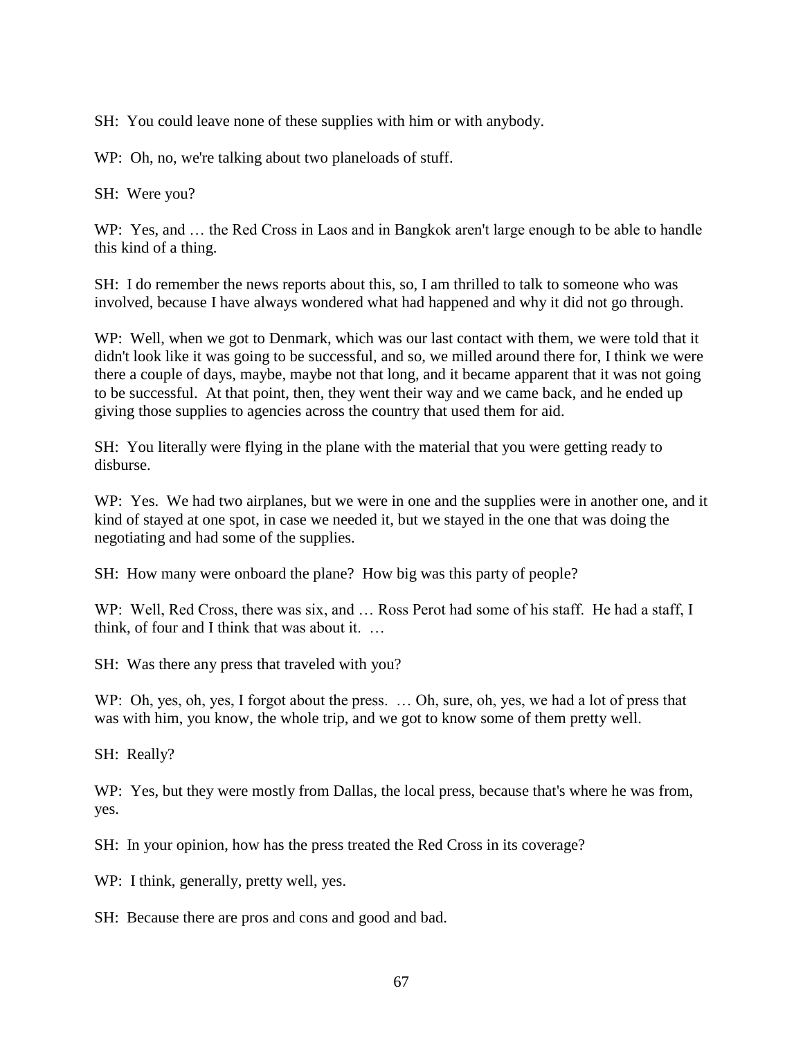SH: You could leave none of these supplies with him or with anybody.

WP: Oh, no, we're talking about two planeloads of stuff.

SH: Were you?

WP: Yes, and … the Red Cross in Laos and in Bangkok aren't large enough to be able to handle this kind of a thing.

SH: I do remember the news reports about this, so, I am thrilled to talk to someone who was involved, because I have always wondered what had happened and why it did not go through.

WP: Well, when we got to Denmark, which was our last contact with them, we were told that it didn't look like it was going to be successful, and so, we milled around there for, I think we were there a couple of days, maybe, maybe not that long, and it became apparent that it was not going to be successful. At that point, then, they went their way and we came back, and he ended up giving those supplies to agencies across the country that used them for aid.

SH: You literally were flying in the plane with the material that you were getting ready to disburse.

WP: Yes. We had two airplanes, but we were in one and the supplies were in another one, and it kind of stayed at one spot, in case we needed it, but we stayed in the one that was doing the negotiating and had some of the supplies.

SH: How many were onboard the plane? How big was this party of people?

WP: Well, Red Cross, there was six, and ... Ross Perot had some of his staff. He had a staff, I think, of four and I think that was about it. …

SH: Was there any press that traveled with you?

WP: Oh, yes, oh, yes, I forgot about the press. ... Oh, sure, oh, yes, we had a lot of press that was with him, you know, the whole trip, and we got to know some of them pretty well.

SH: Really?

WP: Yes, but they were mostly from Dallas, the local press, because that's where he was from, yes.

SH: In your opinion, how has the press treated the Red Cross in its coverage?

WP: I think, generally, pretty well, yes.

SH: Because there are pros and cons and good and bad.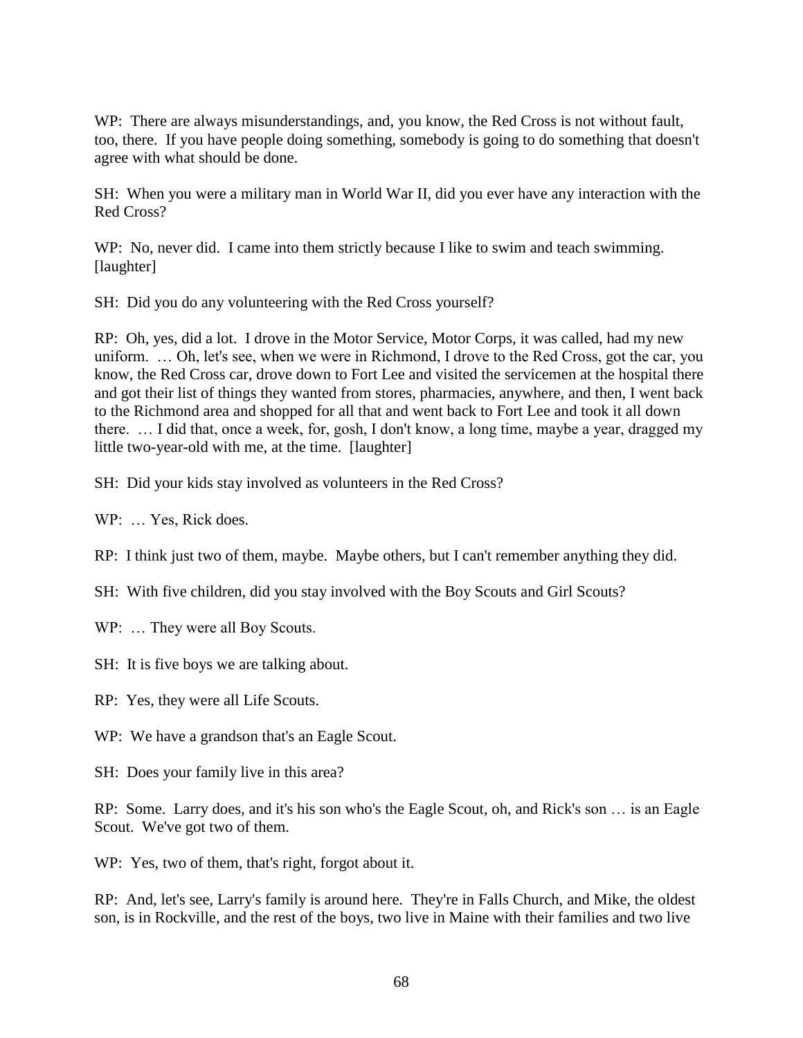WP: There are always misunderstandings, and, you know, the Red Cross is not without fault, too, there. If you have people doing something, somebody is going to do something that doesn't agree with what should be done.

SH: When you were a military man in World War II, did you ever have any interaction with the Red Cross?

WP: No, never did. I came into them strictly because I like to swim and teach swimming. [laughter]

SH: Did you do any volunteering with the Red Cross yourself?

RP: Oh, yes, did a lot. I drove in the Motor Service, Motor Corps, it was called, had my new uniform. … Oh, let's see, when we were in Richmond, I drove to the Red Cross, got the car, you know, the Red Cross car, drove down to Fort Lee and visited the servicemen at the hospital there and got their list of things they wanted from stores, pharmacies, anywhere, and then, I went back to the Richmond area and shopped for all that and went back to Fort Lee and took it all down there. … I did that, once a week, for, gosh, I don't know, a long time, maybe a year, dragged my little two-year-old with me, at the time. [laughter]

SH: Did your kids stay involved as volunteers in the Red Cross?

WP: ... Yes, Rick does.

RP: I think just two of them, maybe. Maybe others, but I can't remember anything they did.

SH: With five children, did you stay involved with the Boy Scouts and Girl Scouts?

WP: ... They were all Boy Scouts.

SH: It is five boys we are talking about.

RP: Yes, they were all Life Scouts.

WP: We have a grandson that's an Eagle Scout.

SH: Does your family live in this area?

RP: Some. Larry does, and it's his son who's the Eagle Scout, oh, and Rick's son … is an Eagle Scout. We've got two of them.

WP: Yes, two of them, that's right, forgot about it.

RP: And, let's see, Larry's family is around here. They're in Falls Church, and Mike, the oldest son, is in Rockville, and the rest of the boys, two live in Maine with their families and two live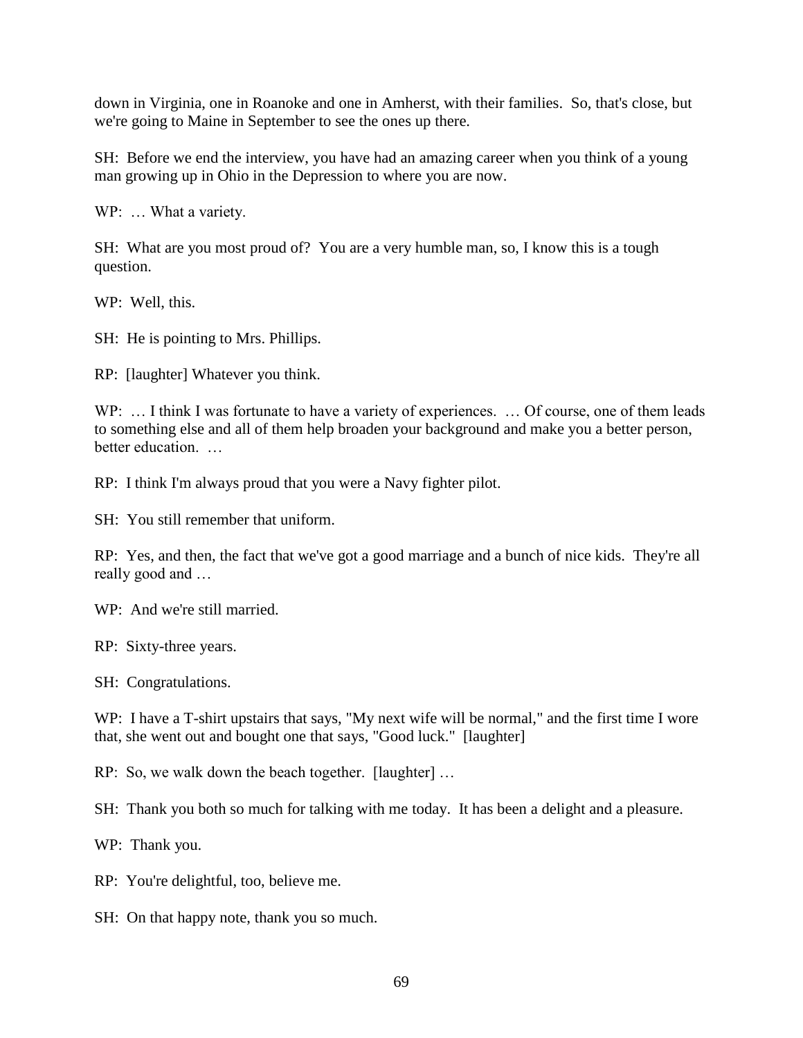down in Virginia, one in Roanoke and one in Amherst, with their families. So, that's close, but we're going to Maine in September to see the ones up there.

SH: Before we end the interview, you have had an amazing career when you think of a young man growing up in Ohio in the Depression to where you are now.

WP: ... What a variety.

SH: What are you most proud of? You are a very humble man, so, I know this is a tough question.

WP: Well, this.

SH: He is pointing to Mrs. Phillips.

RP: [laughter] Whatever you think.

WP: ... I think I was fortunate to have a variety of experiences. ... Of course, one of them leads to something else and all of them help broaden your background and make you a better person, better education.

RP: I think I'm always proud that you were a Navy fighter pilot.

SH: You still remember that uniform.

RP: Yes, and then, the fact that we've got a good marriage and a bunch of nice kids. They're all really good and …

WP: And we're still married.

RP: Sixty-three years.

SH: Congratulations.

WP: I have a T-shirt upstairs that says, "My next wife will be normal," and the first time I wore that, she went out and bought one that says, "Good luck." [laughter]

RP: So, we walk down the beach together. [laughter] …

SH: Thank you both so much for talking with me today. It has been a delight and a pleasure.

WP: Thank you.

RP: You're delightful, too, believe me.

SH: On that happy note, thank you so much.